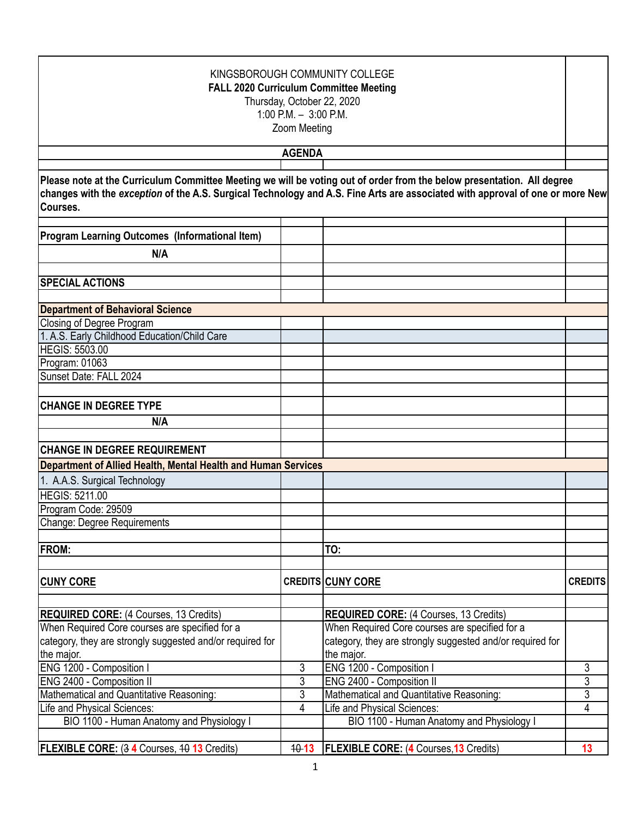| KINGSBOROUGH COMMUNITY COLLEGE<br><b>FALL 2020 Curriculum Committee Meeting</b><br>Thursday, October 22, 2020<br>1:00 P.M. $-3:00$ P.M.<br>Zoom Meeting |                |                                                                                                                                                                                                                                                         |                |  |
|---------------------------------------------------------------------------------------------------------------------------------------------------------|----------------|---------------------------------------------------------------------------------------------------------------------------------------------------------------------------------------------------------------------------------------------------------|----------------|--|
|                                                                                                                                                         | <b>AGENDA</b>  |                                                                                                                                                                                                                                                         |                |  |
|                                                                                                                                                         |                |                                                                                                                                                                                                                                                         |                |  |
| Courses.                                                                                                                                                |                | Please note at the Curriculum Committee Meeting we will be voting out of order from the below presentation. All degree<br>changes with the exception of the A.S. Surgical Technology and A.S. Fine Arts are associated with approval of one or more New |                |  |
| <b>Program Learning Outcomes (Informational Item)</b>                                                                                                   |                |                                                                                                                                                                                                                                                         |                |  |
| N/A                                                                                                                                                     |                |                                                                                                                                                                                                                                                         |                |  |
| <b>SPECIAL ACTIONS</b>                                                                                                                                  |                |                                                                                                                                                                                                                                                         |                |  |
|                                                                                                                                                         |                |                                                                                                                                                                                                                                                         |                |  |
| <b>Department of Behavioral Science</b>                                                                                                                 |                |                                                                                                                                                                                                                                                         |                |  |
| Closing of Degree Program                                                                                                                               |                |                                                                                                                                                                                                                                                         |                |  |
| 1. A.S. Early Childhood Education/Child Care<br><b>HEGIS: 5503.00</b>                                                                                   |                |                                                                                                                                                                                                                                                         |                |  |
|                                                                                                                                                         |                |                                                                                                                                                                                                                                                         |                |  |
| Program: 01063<br>Sunset Date: FALL 2024                                                                                                                |                |                                                                                                                                                                                                                                                         |                |  |
|                                                                                                                                                         |                |                                                                                                                                                                                                                                                         |                |  |
| <b>CHANGE IN DEGREE TYPE</b>                                                                                                                            |                |                                                                                                                                                                                                                                                         |                |  |
| N/A                                                                                                                                                     |                |                                                                                                                                                                                                                                                         |                |  |
|                                                                                                                                                         |                |                                                                                                                                                                                                                                                         |                |  |
| <b>CHANGE IN DEGREE REQUIREMENT</b>                                                                                                                     |                |                                                                                                                                                                                                                                                         |                |  |
| Department of Allied Health, Mental Health and Human Services                                                                                           |                |                                                                                                                                                                                                                                                         |                |  |
| 1. A.A.S. Surgical Technology                                                                                                                           |                |                                                                                                                                                                                                                                                         |                |  |
| <b>HEGIS: 5211.00</b>                                                                                                                                   |                |                                                                                                                                                                                                                                                         |                |  |
| Program Code: 29509                                                                                                                                     |                |                                                                                                                                                                                                                                                         |                |  |
| Change: Degree Requirements                                                                                                                             |                |                                                                                                                                                                                                                                                         |                |  |
| <b>FROM:</b>                                                                                                                                            |                | TO:                                                                                                                                                                                                                                                     |                |  |
|                                                                                                                                                         |                |                                                                                                                                                                                                                                                         |                |  |
| <b>CUNY CORE</b>                                                                                                                                        |                | <b>CREDITS CUNY CORE</b>                                                                                                                                                                                                                                | <b>CREDITS</b> |  |
| <b>REQUIRED CORE:</b> (4 Courses, 13 Credits)                                                                                                           |                | <b>REQUIRED CORE:</b> (4 Courses, 13 Credits)                                                                                                                                                                                                           |                |  |
| When Required Core courses are specified for a                                                                                                          |                | When Required Core courses are specified for a                                                                                                                                                                                                          |                |  |
| category, they are strongly suggested and/or required for<br>the major.                                                                                 |                | category, they are strongly suggested and/or required for<br>the major.                                                                                                                                                                                 |                |  |
| ENG 1200 - Composition I                                                                                                                                | $\mathfrak{Z}$ | ENG 1200 - Composition I                                                                                                                                                                                                                                | 3              |  |
| ENG 2400 - Composition II                                                                                                                               | 3              | ENG 2400 - Composition II                                                                                                                                                                                                                               | $\overline{3}$ |  |
| Mathematical and Quantitative Reasoning:                                                                                                                | 3              | Mathematical and Quantitative Reasoning:                                                                                                                                                                                                                | 3              |  |
| Life and Physical Sciences:                                                                                                                             | $\overline{4}$ | Life and Physical Sciences:                                                                                                                                                                                                                             | 4              |  |
| BIO 1100 - Human Anatomy and Physiology I                                                                                                               |                | BIO 1100 - Human Anatomy and Physiology I                                                                                                                                                                                                               |                |  |
| FLEXIBLE CORE: (3 4 Courses, 40 13 Credits)                                                                                                             | $40 - 13$      | <b>FLEXIBLE CORE: (4 Courses, 13 Credits)</b>                                                                                                                                                                                                           | 13             |  |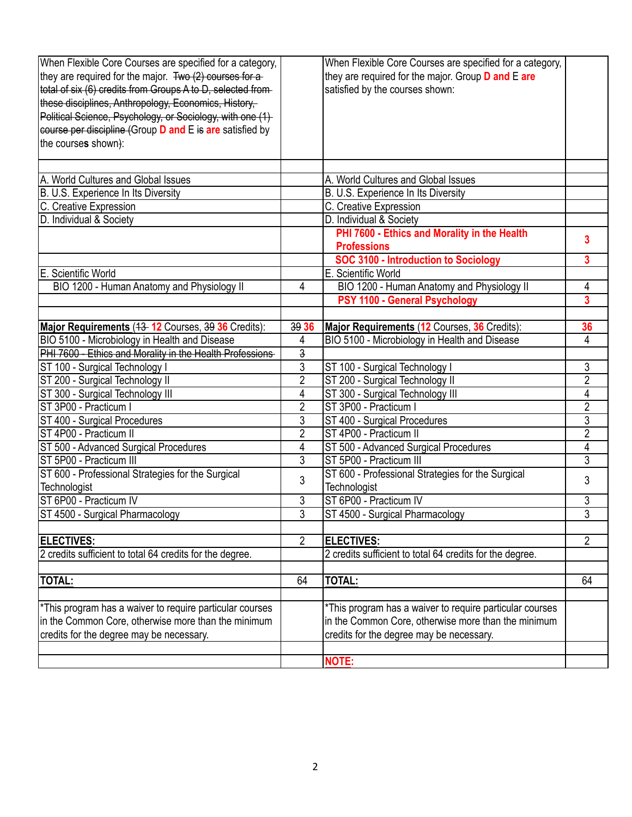| When Flexible Core Courses are specified for a category,             |                | When Flexible Core Courses are specified for a category, |                         |
|----------------------------------------------------------------------|----------------|----------------------------------------------------------|-------------------------|
| they are required for the major. Two (2) courses for a               |                | they are required for the major. Group D and E are       |                         |
| total of six (6) credits from Groups A to D, selected from-          |                | satisfied by the courses shown:                          |                         |
| these disciplines, Anthropology, Economics, History,                 |                |                                                          |                         |
| Political Science, Psychology, or Sociology, with one (1)            |                |                                                          |                         |
| eourse per discipline (Group D and E is are satisfied by             |                |                                                          |                         |
| the courses shown):                                                  |                |                                                          |                         |
|                                                                      |                |                                                          |                         |
|                                                                      |                |                                                          |                         |
| A. World Cultures and Global Issues                                  |                | A. World Cultures and Global Issues                      |                         |
| B. U.S. Experience In Its Diversity                                  |                | B. U.S. Experience In Its Diversity                      |                         |
| C. Creative Expression                                               |                | C. Creative Expression                                   |                         |
| D. Individual & Society                                              |                | D. Individual & Society                                  |                         |
|                                                                      |                | PHI 7600 - Ethics and Morality in the Health             | 3                       |
|                                                                      |                | <b>Professions</b>                                       |                         |
|                                                                      |                | <b>SOC 3100 - Introduction to Sociology</b>              | 3                       |
| E. Scientific World                                                  |                | E. Scientific World                                      |                         |
| BIO 1200 - Human Anatomy and Physiology II                           | 4              | BIO 1200 - Human Anatomy and Physiology II               | 4                       |
|                                                                      |                | PSY 1100 - General Psychology                            | $\overline{\mathbf{3}}$ |
|                                                                      |                |                                                          |                         |
| Major Requirements (43-12 Courses, 39 36 Credits):                   | 39 36          | Major Requirements (12 Courses, 36 Credits):             | 36                      |
| BIO 5100 - Microbiology in Health and Disease                        | 4              | BIO 5100 - Microbiology in Health and Disease            | 4                       |
| PHI 7600 - Ethics and Morality in the Health Professions             | 3              |                                                          |                         |
| ST 100 - Surgical Technology I                                       | 3              | ST 100 - Surgical Technology I                           | 3                       |
| ST 200 - Surgical Technology II                                      | $\overline{2}$ | ST 200 - Surgical Technology II                          | $\overline{2}$          |
| ST 300 - Surgical Technology III                                     | 4              | ST 300 - Surgical Technology III                         | $\overline{4}$          |
| IST 3P00 - Practicum I                                               | $\overline{2}$ | ST 3P00 - Practicum I                                    | $\overline{2}$          |
| ST 400 - Surgical Procedures                                         | 3              | ST 400 - Surgical Procedures                             | 3                       |
| ST 4P00 - Practicum II                                               | $\overline{2}$ | ST 4P00 - Practicum II                                   | $\overline{2}$          |
| ST 500 - Advanced Surgical Procedures                                | 4              | ST 500 - Advanced Surgical Procedures                    | 4                       |
| IST 5P00 - Practicum III                                             | 3              | ST 5P00 - Practicum III                                  | $\overline{3}$          |
| ST 600 - Professional Strategies for the Surgical                    | 3              | ST 600 - Professional Strategies for the Surgical        | 3                       |
| Technologist                                                         |                | Technologist                                             |                         |
| ST 6P00 - Practicum IV                                               | 3              | ST 6P00 - Practicum IV                                   | 3                       |
| ST 4500 - Surgical Pharmacology                                      | $\overline{3}$ | ST 4500 - Surgical Pharmacology                          | 3                       |
|                                                                      |                |                                                          |                         |
| <b>ELECTIVES:</b>                                                    | $\overline{2}$ | <b>ELECTIVES:</b>                                        | $\overline{2}$          |
| 2 credits sufficient to total 64 credits for the degree.             |                | 2 credits sufficient to total 64 credits for the degree. |                         |
|                                                                      |                |                                                          |                         |
| <b>TOTAL:</b>                                                        | 64             | <b>TOTAL:</b>                                            | 64                      |
|                                                                      |                |                                                          |                         |
| <sup>*</sup> This program has a waiver to require particular courses |                | *This program has a waiver to require particular courses |                         |
| in the Common Core, otherwise more than the minimum                  |                | in the Common Core, otherwise more than the minimum      |                         |
| credits for the degree may be necessary.                             |                | credits for the degree may be necessary.                 |                         |
|                                                                      |                |                                                          |                         |
|                                                                      |                | <b>NOTE:</b>                                             |                         |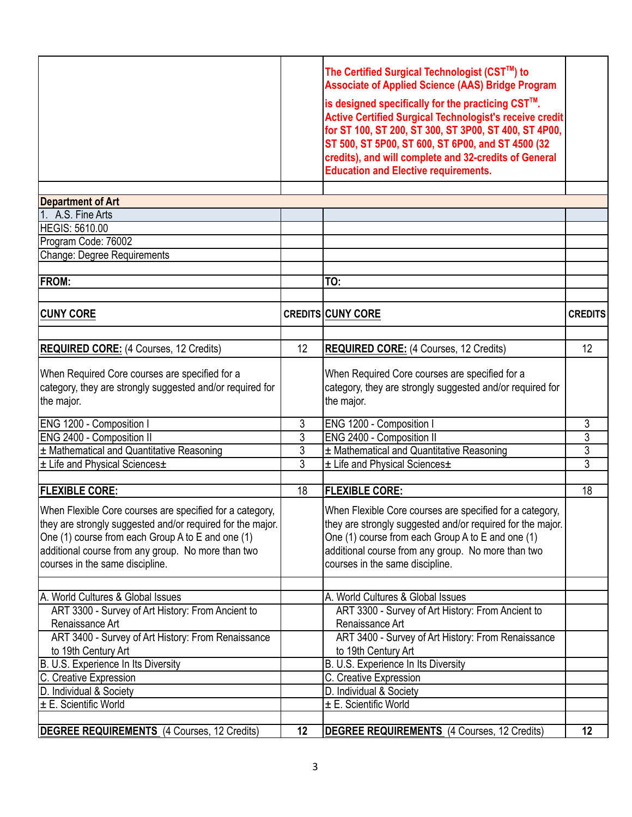|                             | The Certified Surgical Technologist (CST™) to<br><b>Associate of Applied Science (AAS) Bridge Program</b><br>is designed specifically for the practicing CST™.<br><b>Active Certified Surgical Technologist's receive credit</b><br>for ST 100, ST 200, ST 300, ST 3P00, ST 400, ST 4P00,<br>ST 500, ST 5P00, ST 600, ST 6P00, and ST 4500 (32<br>credits), and will complete and 32-credits of General |  |
|-----------------------------|---------------------------------------------------------------------------------------------------------------------------------------------------------------------------------------------------------------------------------------------------------------------------------------------------------------------------------------------------------------------------------------------------------|--|
|                             | <b>Education and Elective requirements.</b>                                                                                                                                                                                                                                                                                                                                                             |  |
|                             |                                                                                                                                                                                                                                                                                                                                                                                                         |  |
| <b>Department of Art</b>    |                                                                                                                                                                                                                                                                                                                                                                                                         |  |
| 1. A.S. Fine Arts           |                                                                                                                                                                                                                                                                                                                                                                                                         |  |
| HEGIS: 5610.00              |                                                                                                                                                                                                                                                                                                                                                                                                         |  |
| Program Code: 76002         |                                                                                                                                                                                                                                                                                                                                                                                                         |  |
| Change: Degree Requirements |                                                                                                                                                                                                                                                                                                                                                                                                         |  |
|                             |                                                                                                                                                                                                                                                                                                                                                                                                         |  |
| IED∩M.                      | ITA.                                                                                                                                                                                                                                                                                                                                                                                                    |  |

| <b>FROM:</b>                                                                                                                                                                                                                                                         |                | TO:                                                                                                                                                                                                                                                                  |                 |
|----------------------------------------------------------------------------------------------------------------------------------------------------------------------------------------------------------------------------------------------------------------------|----------------|----------------------------------------------------------------------------------------------------------------------------------------------------------------------------------------------------------------------------------------------------------------------|-----------------|
|                                                                                                                                                                                                                                                                      |                |                                                                                                                                                                                                                                                                      |                 |
| <b>CUNY CORE</b>                                                                                                                                                                                                                                                     |                | <b>CREDITS CUNY CORE</b>                                                                                                                                                                                                                                             | <b>CREDITS</b>  |
| <b>REQUIRED CORE: (4 Courses, 12 Credits)</b>                                                                                                                                                                                                                        | 12             | <b>REQUIRED CORE: (4 Courses, 12 Credits)</b>                                                                                                                                                                                                                        | 12              |
| When Required Core courses are specified for a<br>category, they are strongly suggested and/or required for<br>the major.                                                                                                                                            |                | When Required Core courses are specified for a<br>category, they are strongly suggested and/or required for<br>the major.                                                                                                                                            |                 |
| ENG 1200 - Composition I                                                                                                                                                                                                                                             | 3              | ENG 1200 - Composition I                                                                                                                                                                                                                                             | 3               |
| ENG 2400 - Composition II                                                                                                                                                                                                                                            | 3              | ENG 2400 - Composition II                                                                                                                                                                                                                                            | $\overline{3}$  |
| ± Mathematical and Quantitative Reasoning                                                                                                                                                                                                                            | 3              | ± Mathematical and Quantitative Reasoning                                                                                                                                                                                                                            | 3               |
| ± Life and Physical Sciences±                                                                                                                                                                                                                                        | $\overline{3}$ | ± Life and Physical Sciences±                                                                                                                                                                                                                                        | $\overline{3}$  |
| <b>FLEXIBLE CORE:</b>                                                                                                                                                                                                                                                | 18             | <b>FLEXIBLE CORE:</b>                                                                                                                                                                                                                                                | $\overline{18}$ |
| When Flexible Core courses are specified for a category,<br>they are strongly suggested and/or required for the major.<br>One (1) course from each Group A to E and one (1)<br>additional course from any group. No more than two<br>courses in the same discipline. |                | When Flexible Core courses are specified for a category,<br>they are strongly suggested and/or required for the major.<br>One (1) course from each Group A to E and one (1)<br>additional course from any group. No more than two<br>courses in the same discipline. |                 |
| A. World Cultures & Global Issues                                                                                                                                                                                                                                    |                | A. World Cultures & Global Issues                                                                                                                                                                                                                                    |                 |
| ART 3300 - Survey of Art History: From Ancient to<br>Renaissance Art                                                                                                                                                                                                 |                | ART 3300 - Survey of Art History: From Ancient to<br>Renaissance Art                                                                                                                                                                                                 |                 |
| ART 3400 - Survey of Art History: From Renaissance                                                                                                                                                                                                                   |                | ART 3400 - Survey of Art History: From Renaissance                                                                                                                                                                                                                   |                 |
| to 19th Century Art                                                                                                                                                                                                                                                  |                | to 19th Century Art                                                                                                                                                                                                                                                  |                 |
| B. U.S. Experience In Its Diversity                                                                                                                                                                                                                                  |                | B. U.S. Experience In Its Diversity                                                                                                                                                                                                                                  |                 |
| C. Creative Expression                                                                                                                                                                                                                                               |                | C. Creative Expression                                                                                                                                                                                                                                               |                 |
| D. Individual & Society                                                                                                                                                                                                                                              |                | D. Individual & Society                                                                                                                                                                                                                                              |                 |
| ± E. Scientific World                                                                                                                                                                                                                                                |                | ± E. Scientific World                                                                                                                                                                                                                                                |                 |
| <b>DEGREE REQUIREMENTS</b> (4 Courses, 12 Credits)                                                                                                                                                                                                                   | 12             | DEGREE REQUIREMENTS (4 Courses, 12 Credits)                                                                                                                                                                                                                          | 12              |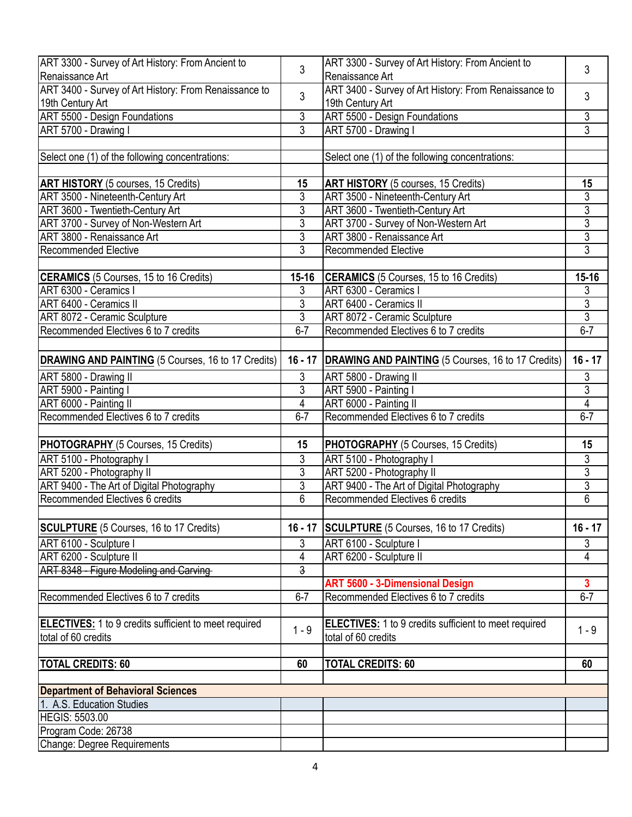| ART 3300 - Survey of Art History: From Ancient to            | 3                         | ART 3300 - Survey of Art History: From Ancient to                 | 3                       |
|--------------------------------------------------------------|---------------------------|-------------------------------------------------------------------|-------------------------|
| lRenaissance Art                                             |                           | Renaissance Art                                                   |                         |
| ART 3400 - Survey of Art History: From Renaissance to        | $\mathbf{3}$              | ART 3400 - Survey of Art History: From Renaissance to             | 3                       |
| 19th Century Art                                             |                           | 19th Century Art                                                  |                         |
| <b>ART 5500 - Design Foundations</b>                         | 3                         | <b>ART 5500 - Design Foundations</b>                              | 3                       |
| ART 5700 - Drawing I                                         | $\overline{3}$            | ART 5700 - Drawing I                                              | $\overline{3}$          |
|                                                              |                           |                                                                   |                         |
| Select one (1) of the following concentrations:              |                           | Select one (1) of the following concentrations:                   |                         |
|                                                              |                           |                                                                   |                         |
| <b>ART HISTORY</b> (5 courses, 15 Credits)                   | 15                        | <b>ART HISTORY</b> (5 courses, 15 Credits)                        | 15                      |
| ART 3500 - Nineteenth-Century Art                            | 3                         | ART 3500 - Nineteenth-Century Art                                 | 3                       |
| ART 3600 - Twentieth-Century Art                             | 3                         | <b>ART 3600 - Twentieth-Century Art</b>                           | $\overline{3}$          |
| ART 3700 - Survey of Non-Western Art                         | 3                         | ART 3700 - Survey of Non-Western Art                              | $\overline{3}$          |
| ART 3800 - Renaissance Art                                   | 3                         | ART 3800 - Renaissance Art                                        | $\overline{3}$          |
| <b>Recommended Elective</b>                                  | $\overline{3}$            | <b>Recommended Elective</b>                                       | $\overline{3}$          |
|                                                              |                           |                                                                   |                         |
| <b>CERAMICS</b> (5 Courses, 15 to 16 Credits)                | 15-16                     | <b>CERAMICS</b> (5 Courses, 15 to 16 Credits)                     | 15-16                   |
| ART 6300 - Ceramics I                                        | 3                         | ART 6300 - Ceramics I                                             | 3                       |
| ART 6400 - Ceramics II                                       | $\mathfrak{Z}$            | ART 6400 - Ceramics II                                            | $rac{3}{3}$             |
| ART 8072 - Ceramic Sculpture                                 | $\overline{3}$            | <b>ART 8072 - Ceramic Sculpture</b>                               |                         |
| Recommended Electives 6 to 7 credits                         | $6 - 7$                   | Recommended Electives 6 to 7 credits                              | $6 - 7$                 |
|                                                              |                           |                                                                   |                         |
| DRAWING AND PAINTING (5 Courses, 16 to 17 Credits)           |                           | 16 - 17 <b>DRAWING AND PAINTING</b> (5 Courses, 16 to 17 Credits) | $16 - 17$               |
|                                                              |                           |                                                                   |                         |
| ART 5800 - Drawing II                                        | 3                         | ART 5800 - Drawing II                                             | 3                       |
| ART 5900 - Painting I                                        | $\overline{3}$            | ART 5900 - Painting I                                             | $\overline{3}$          |
| ART 6000 - Painting II                                       | $\overline{4}$<br>$6 - 7$ | ART 6000 - Painting II                                            | $\overline{4}$          |
| Recommended Electives 6 to 7 credits                         |                           | Recommended Electives 6 to 7 credits                              | $6 - 7$                 |
|                                                              | 15                        |                                                                   |                         |
| PHOTOGRAPHY (5 Courses, 15 Credits)                          |                           | PHOTOGRAPHY (5 Courses, 15 Credits)                               | 15                      |
| ART 5100 - Photography I                                     | $\overline{3}$            | ART 5100 - Photography I                                          | $\overline{3}$          |
| ART 5200 - Photography II                                    | $\overline{3}$            | ART 5200 - Photography II                                         | $\overline{3}$          |
| ART 9400 - The Art of Digital Photography                    | 3                         | ART 9400 - The Art of Digital Photography                         | 3                       |
| Recommended Electives 6 credits                              | $\overline{6}$            | Recommended Electives 6 credits                                   | $\overline{6}$          |
|                                                              |                           |                                                                   |                         |
| <b>SCULPTURE</b> (5 Courses, 16 to 17 Credits)               |                           | 16 - 17 SCULPTURE (5 Courses, 16 to 17 Credits)                   | $16 - 17$               |
| ART 6100 - Sculpture I                                       | 3                         | ART 6100 - Sculpture I                                            | 3                       |
| ART 6200 - Sculpture II                                      | 4                         | ART 6200 - Sculpture II                                           | 4                       |
| ART 8348 - Figure Modeling and Carving-                      | $\overline{3}$            |                                                                   |                         |
|                                                              |                           | <b>ART 5600 - 3-Dimensional Design</b>                            | $\overline{\mathbf{3}}$ |
| Recommended Electives 6 to 7 credits                         | $6 - 7$                   | Recommended Electives 6 to 7 credits                              | $6 - 7$                 |
|                                                              |                           |                                                                   |                         |
| <b>ELECTIVES:</b> 1 to 9 credits sufficient to meet required | $1 - 9$                   | <b>ELECTIVES:</b> 1 to 9 credits sufficient to meet required      | $1 - 9$                 |
| total of 60 credits                                          |                           | total of 60 credits                                               |                         |
|                                                              |                           |                                                                   |                         |
| <b>TOTAL CREDITS: 60</b>                                     | 60                        | <b>TOTAL CREDITS: 60</b>                                          | 60                      |
|                                                              |                           |                                                                   |                         |
| <b>Department of Behavioral Sciences</b>                     |                           |                                                                   |                         |
| 1. A.S. Education Studies                                    |                           |                                                                   |                         |
| <b>HEGIS: 5503.00</b>                                        |                           |                                                                   |                         |
| Program Code: 26738                                          |                           |                                                                   |                         |
| Change: Degree Requirements                                  |                           |                                                                   |                         |
|                                                              |                           |                                                                   |                         |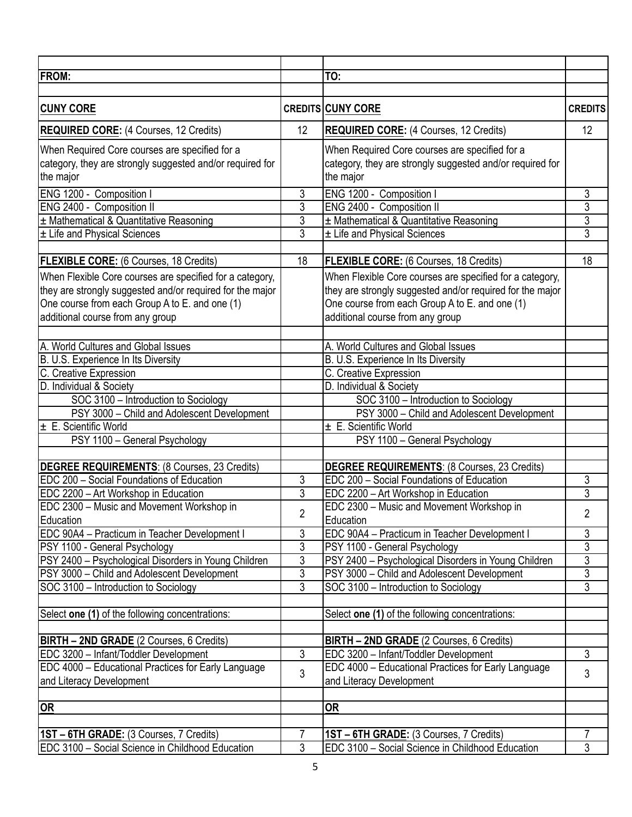| TO:<br><b>CREDITS CUNY CORE</b><br>12<br>12<br><b>REQUIRED CORE: (4 Courses, 12 Credits)</b><br><b>REQUIRED CORE:</b> (4 Courses, 12 Credits)<br>When Required Core courses are specified for a<br>When Required Core courses are specified for a<br>category, they are strongly suggested and/or required for<br>category, they are strongly suggested and/or required for<br>the major<br>ENG 1200 - Composition I<br>3<br>ENG 1200 - Composition I<br>3<br>$\overline{3}$<br>$\overline{3}$<br>ENG 2400 - Composition II<br>ENG 2400 - Composition II<br>$\overline{3}$<br>3<br>± Mathematical & Quantitative Reasoning<br>± Mathematical & Quantitative Reasoning<br>$\overline{3}$<br>$\overline{3}$<br>± Life and Physical Sciences<br>± Life and Physical Sciences<br>18<br>18<br>FLEXIBLE CORE: (6 Courses, 18 Credits)<br>When Flexible Core courses are specified for a category,<br>When Flexible Core courses are specified for a category,<br>they are strongly suggested and/or required for the major<br>One course from each Group A to E. and one (1)<br>One course from each Group A to E. and one (1)<br>additional course from any group<br>A. World Cultures and Global Issues<br>A. World Cultures and Global Issues<br>B. U.S. Experience In Its Diversity<br>B. U.S. Experience In Its Diversity<br>C. Creative Expression<br>C. Creative Expression<br>D. Individual & Society<br>SOC 3100 - Introduction to Sociology<br>SOC 3100 - Introduction to Sociology<br>PSY 3000 - Child and Adolescent Development<br>PSY 3000 - Child and Adolescent Development<br>$\pm$ E. Scientific World<br>± E. Scientific World<br>PSY 1100 - General Psychology<br>PSY 1100 - General Psychology<br><b>DEGREE REQUIREMENTS: (8 Courses, 23 Credits)</b><br><b>DEGREE REQUIREMENTS: (8 Courses, 23 Credits)</b><br><b>EDC 200 - Social Foundations of Education</b><br>3<br><b>EDC 200 - Social Foundations of Education</b><br>3<br>$\overline{3}$<br>$\overline{3}$<br>EDC 2200 - Art Workshop in Education<br>EDC 2200 - Art Workshop in Education<br>EDC 2300 - Music and Movement Workshop in<br>EDC 2300 - Music and Movement Workshop in<br>$\overline{c}$<br>2<br>Education<br>Education<br>3<br>3<br>EDC 90A4 - Practicum in Teacher Development I<br>EDC 90A4 - Practicum in Teacher Development I<br>$\overline{3}$<br>$\overline{3}$<br>PSY 1100 - General Psychology<br>PSY 1100 - General Psychology<br>$\overline{3}$<br>3<br>PSY 2400 - Psychological Disorders in Young Children<br>PSY 2400 - Psychological Disorders in Young Children<br>$\overline{3}$<br>$\overline{3}$<br>PSY 3000 - Child and Adolescent Development<br>PSY 3000 - Child and Adolescent Development<br>$\overline{3}$<br>3<br>SOC 3100 - Introduction to Sociology<br>SOC 3100 - Introduction to Sociology<br>Select one (1) of the following concentrations:<br>BIRTH - 2ND GRADE (2 Courses, 6 Credits)<br>$\overline{3}$<br>3<br>EDC 3200 - Infant/Toddler Development<br>EDC 4000 - Educational Practices for Early Language<br>EDC 4000 - Educational Practices for Early Language<br>3<br>3<br>and Literacy Development<br>and Literacy Development<br><u>OR</u><br><b>OR</b><br>$\overline{7}$<br>1ST - 6TH GRADE: (3 Courses, 7 Credits)<br>7<br>1ST - 6TH GRADE: (3 Courses, 7 Credits)<br>3<br>3<br>EDC 3100 - Social Science in Childhood Education<br>EDC 3100 - Social Science in Childhood Education |                                                           |  |  |
|------------------------------------------------------------------------------------------------------------------------------------------------------------------------------------------------------------------------------------------------------------------------------------------------------------------------------------------------------------------------------------------------------------------------------------------------------------------------------------------------------------------------------------------------------------------------------------------------------------------------------------------------------------------------------------------------------------------------------------------------------------------------------------------------------------------------------------------------------------------------------------------------------------------------------------------------------------------------------------------------------------------------------------------------------------------------------------------------------------------------------------------------------------------------------------------------------------------------------------------------------------------------------------------------------------------------------------------------------------------------------------------------------------------------------------------------------------------------------------------------------------------------------------------------------------------------------------------------------------------------------------------------------------------------------------------------------------------------------------------------------------------------------------------------------------------------------------------------------------------------------------------------------------------------------------------------------------------------------------------------------------------------------------------------------------------------------------------------------------------------------------------------------------------------------------------------------------------------------------------------------------------------------------------------------------------------------------------------------------------------------------------------------------------------------------------------------------------------------------------------------------------------------------------------------------------------------------------------------------------------------------------------------------------------------------------------------------------------------------------------------------------------------------------------------------------------------------------------------------------------------------------------------------------------------------------------------------------------------------------------------------------------------------------------------------------------------------------------------------------------------------------------------------------------------------------------------------------------------------------------------------------------------------------------------------------------------------------------------------------------------------------------------------------------|-----------------------------------------------------------|--|--|
| <b>CREDITS</b>                                                                                                                                                                                                                                                                                                                                                                                                                                                                                                                                                                                                                                                                                                                                                                                                                                                                                                                                                                                                                                                                                                                                                                                                                                                                                                                                                                                                                                                                                                                                                                                                                                                                                                                                                                                                                                                                                                                                                                                                                                                                                                                                                                                                                                                                                                                                                                                                                                                                                                                                                                                                                                                                                                                                                                                                                                                                                                                                                                                                                                                                                                                                                                                                                                                                                                                                                                                                         | <b>FROM:</b>                                              |  |  |
|                                                                                                                                                                                                                                                                                                                                                                                                                                                                                                                                                                                                                                                                                                                                                                                                                                                                                                                                                                                                                                                                                                                                                                                                                                                                                                                                                                                                                                                                                                                                                                                                                                                                                                                                                                                                                                                                                                                                                                                                                                                                                                                                                                                                                                                                                                                                                                                                                                                                                                                                                                                                                                                                                                                                                                                                                                                                                                                                                                                                                                                                                                                                                                                                                                                                                                                                                                                                                        |                                                           |  |  |
|                                                                                                                                                                                                                                                                                                                                                                                                                                                                                                                                                                                                                                                                                                                                                                                                                                                                                                                                                                                                                                                                                                                                                                                                                                                                                                                                                                                                                                                                                                                                                                                                                                                                                                                                                                                                                                                                                                                                                                                                                                                                                                                                                                                                                                                                                                                                                                                                                                                                                                                                                                                                                                                                                                                                                                                                                                                                                                                                                                                                                                                                                                                                                                                                                                                                                                                                                                                                                        | <b>CUNY CORE</b>                                          |  |  |
|                                                                                                                                                                                                                                                                                                                                                                                                                                                                                                                                                                                                                                                                                                                                                                                                                                                                                                                                                                                                                                                                                                                                                                                                                                                                                                                                                                                                                                                                                                                                                                                                                                                                                                                                                                                                                                                                                                                                                                                                                                                                                                                                                                                                                                                                                                                                                                                                                                                                                                                                                                                                                                                                                                                                                                                                                                                                                                                                                                                                                                                                                                                                                                                                                                                                                                                                                                                                                        |                                                           |  |  |
|                                                                                                                                                                                                                                                                                                                                                                                                                                                                                                                                                                                                                                                                                                                                                                                                                                                                                                                                                                                                                                                                                                                                                                                                                                                                                                                                                                                                                                                                                                                                                                                                                                                                                                                                                                                                                                                                                                                                                                                                                                                                                                                                                                                                                                                                                                                                                                                                                                                                                                                                                                                                                                                                                                                                                                                                                                                                                                                                                                                                                                                                                                                                                                                                                                                                                                                                                                                                                        |                                                           |  |  |
|                                                                                                                                                                                                                                                                                                                                                                                                                                                                                                                                                                                                                                                                                                                                                                                                                                                                                                                                                                                                                                                                                                                                                                                                                                                                                                                                                                                                                                                                                                                                                                                                                                                                                                                                                                                                                                                                                                                                                                                                                                                                                                                                                                                                                                                                                                                                                                                                                                                                                                                                                                                                                                                                                                                                                                                                                                                                                                                                                                                                                                                                                                                                                                                                                                                                                                                                                                                                                        | the major                                                 |  |  |
|                                                                                                                                                                                                                                                                                                                                                                                                                                                                                                                                                                                                                                                                                                                                                                                                                                                                                                                                                                                                                                                                                                                                                                                                                                                                                                                                                                                                                                                                                                                                                                                                                                                                                                                                                                                                                                                                                                                                                                                                                                                                                                                                                                                                                                                                                                                                                                                                                                                                                                                                                                                                                                                                                                                                                                                                                                                                                                                                                                                                                                                                                                                                                                                                                                                                                                                                                                                                                        |                                                           |  |  |
|                                                                                                                                                                                                                                                                                                                                                                                                                                                                                                                                                                                                                                                                                                                                                                                                                                                                                                                                                                                                                                                                                                                                                                                                                                                                                                                                                                                                                                                                                                                                                                                                                                                                                                                                                                                                                                                                                                                                                                                                                                                                                                                                                                                                                                                                                                                                                                                                                                                                                                                                                                                                                                                                                                                                                                                                                                                                                                                                                                                                                                                                                                                                                                                                                                                                                                                                                                                                                        |                                                           |  |  |
|                                                                                                                                                                                                                                                                                                                                                                                                                                                                                                                                                                                                                                                                                                                                                                                                                                                                                                                                                                                                                                                                                                                                                                                                                                                                                                                                                                                                                                                                                                                                                                                                                                                                                                                                                                                                                                                                                                                                                                                                                                                                                                                                                                                                                                                                                                                                                                                                                                                                                                                                                                                                                                                                                                                                                                                                                                                                                                                                                                                                                                                                                                                                                                                                                                                                                                                                                                                                                        |                                                           |  |  |
|                                                                                                                                                                                                                                                                                                                                                                                                                                                                                                                                                                                                                                                                                                                                                                                                                                                                                                                                                                                                                                                                                                                                                                                                                                                                                                                                                                                                                                                                                                                                                                                                                                                                                                                                                                                                                                                                                                                                                                                                                                                                                                                                                                                                                                                                                                                                                                                                                                                                                                                                                                                                                                                                                                                                                                                                                                                                                                                                                                                                                                                                                                                                                                                                                                                                                                                                                                                                                        |                                                           |  |  |
|                                                                                                                                                                                                                                                                                                                                                                                                                                                                                                                                                                                                                                                                                                                                                                                                                                                                                                                                                                                                                                                                                                                                                                                                                                                                                                                                                                                                                                                                                                                                                                                                                                                                                                                                                                                                                                                                                                                                                                                                                                                                                                                                                                                                                                                                                                                                                                                                                                                                                                                                                                                                                                                                                                                                                                                                                                                                                                                                                                                                                                                                                                                                                                                                                                                                                                                                                                                                                        |                                                           |  |  |
|                                                                                                                                                                                                                                                                                                                                                                                                                                                                                                                                                                                                                                                                                                                                                                                                                                                                                                                                                                                                                                                                                                                                                                                                                                                                                                                                                                                                                                                                                                                                                                                                                                                                                                                                                                                                                                                                                                                                                                                                                                                                                                                                                                                                                                                                                                                                                                                                                                                                                                                                                                                                                                                                                                                                                                                                                                                                                                                                                                                                                                                                                                                                                                                                                                                                                                                                                                                                                        | <b>FLEXIBLE CORE:</b> (6 Courses, 18 Credits)             |  |  |
|                                                                                                                                                                                                                                                                                                                                                                                                                                                                                                                                                                                                                                                                                                                                                                                                                                                                                                                                                                                                                                                                                                                                                                                                                                                                                                                                                                                                                                                                                                                                                                                                                                                                                                                                                                                                                                                                                                                                                                                                                                                                                                                                                                                                                                                                                                                                                                                                                                                                                                                                                                                                                                                                                                                                                                                                                                                                                                                                                                                                                                                                                                                                                                                                                                                                                                                                                                                                                        |                                                           |  |  |
|                                                                                                                                                                                                                                                                                                                                                                                                                                                                                                                                                                                                                                                                                                                                                                                                                                                                                                                                                                                                                                                                                                                                                                                                                                                                                                                                                                                                                                                                                                                                                                                                                                                                                                                                                                                                                                                                                                                                                                                                                                                                                                                                                                                                                                                                                                                                                                                                                                                                                                                                                                                                                                                                                                                                                                                                                                                                                                                                                                                                                                                                                                                                                                                                                                                                                                                                                                                                                        | they are strongly suggested and/or required for the major |  |  |
|                                                                                                                                                                                                                                                                                                                                                                                                                                                                                                                                                                                                                                                                                                                                                                                                                                                                                                                                                                                                                                                                                                                                                                                                                                                                                                                                                                                                                                                                                                                                                                                                                                                                                                                                                                                                                                                                                                                                                                                                                                                                                                                                                                                                                                                                                                                                                                                                                                                                                                                                                                                                                                                                                                                                                                                                                                                                                                                                                                                                                                                                                                                                                                                                                                                                                                                                                                                                                        |                                                           |  |  |
|                                                                                                                                                                                                                                                                                                                                                                                                                                                                                                                                                                                                                                                                                                                                                                                                                                                                                                                                                                                                                                                                                                                                                                                                                                                                                                                                                                                                                                                                                                                                                                                                                                                                                                                                                                                                                                                                                                                                                                                                                                                                                                                                                                                                                                                                                                                                                                                                                                                                                                                                                                                                                                                                                                                                                                                                                                                                                                                                                                                                                                                                                                                                                                                                                                                                                                                                                                                                                        | additional course from any group                          |  |  |
|                                                                                                                                                                                                                                                                                                                                                                                                                                                                                                                                                                                                                                                                                                                                                                                                                                                                                                                                                                                                                                                                                                                                                                                                                                                                                                                                                                                                                                                                                                                                                                                                                                                                                                                                                                                                                                                                                                                                                                                                                                                                                                                                                                                                                                                                                                                                                                                                                                                                                                                                                                                                                                                                                                                                                                                                                                                                                                                                                                                                                                                                                                                                                                                                                                                                                                                                                                                                                        |                                                           |  |  |
|                                                                                                                                                                                                                                                                                                                                                                                                                                                                                                                                                                                                                                                                                                                                                                                                                                                                                                                                                                                                                                                                                                                                                                                                                                                                                                                                                                                                                                                                                                                                                                                                                                                                                                                                                                                                                                                                                                                                                                                                                                                                                                                                                                                                                                                                                                                                                                                                                                                                                                                                                                                                                                                                                                                                                                                                                                                                                                                                                                                                                                                                                                                                                                                                                                                                                                                                                                                                                        |                                                           |  |  |
|                                                                                                                                                                                                                                                                                                                                                                                                                                                                                                                                                                                                                                                                                                                                                                                                                                                                                                                                                                                                                                                                                                                                                                                                                                                                                                                                                                                                                                                                                                                                                                                                                                                                                                                                                                                                                                                                                                                                                                                                                                                                                                                                                                                                                                                                                                                                                                                                                                                                                                                                                                                                                                                                                                                                                                                                                                                                                                                                                                                                                                                                                                                                                                                                                                                                                                                                                                                                                        |                                                           |  |  |
|                                                                                                                                                                                                                                                                                                                                                                                                                                                                                                                                                                                                                                                                                                                                                                                                                                                                                                                                                                                                                                                                                                                                                                                                                                                                                                                                                                                                                                                                                                                                                                                                                                                                                                                                                                                                                                                                                                                                                                                                                                                                                                                                                                                                                                                                                                                                                                                                                                                                                                                                                                                                                                                                                                                                                                                                                                                                                                                                                                                                                                                                                                                                                                                                                                                                                                                                                                                                                        |                                                           |  |  |
|                                                                                                                                                                                                                                                                                                                                                                                                                                                                                                                                                                                                                                                                                                                                                                                                                                                                                                                                                                                                                                                                                                                                                                                                                                                                                                                                                                                                                                                                                                                                                                                                                                                                                                                                                                                                                                                                                                                                                                                                                                                                                                                                                                                                                                                                                                                                                                                                                                                                                                                                                                                                                                                                                                                                                                                                                                                                                                                                                                                                                                                                                                                                                                                                                                                                                                                                                                                                                        | D. Individual & Society                                   |  |  |
|                                                                                                                                                                                                                                                                                                                                                                                                                                                                                                                                                                                                                                                                                                                                                                                                                                                                                                                                                                                                                                                                                                                                                                                                                                                                                                                                                                                                                                                                                                                                                                                                                                                                                                                                                                                                                                                                                                                                                                                                                                                                                                                                                                                                                                                                                                                                                                                                                                                                                                                                                                                                                                                                                                                                                                                                                                                                                                                                                                                                                                                                                                                                                                                                                                                                                                                                                                                                                        |                                                           |  |  |
|                                                                                                                                                                                                                                                                                                                                                                                                                                                                                                                                                                                                                                                                                                                                                                                                                                                                                                                                                                                                                                                                                                                                                                                                                                                                                                                                                                                                                                                                                                                                                                                                                                                                                                                                                                                                                                                                                                                                                                                                                                                                                                                                                                                                                                                                                                                                                                                                                                                                                                                                                                                                                                                                                                                                                                                                                                                                                                                                                                                                                                                                                                                                                                                                                                                                                                                                                                                                                        |                                                           |  |  |
|                                                                                                                                                                                                                                                                                                                                                                                                                                                                                                                                                                                                                                                                                                                                                                                                                                                                                                                                                                                                                                                                                                                                                                                                                                                                                                                                                                                                                                                                                                                                                                                                                                                                                                                                                                                                                                                                                                                                                                                                                                                                                                                                                                                                                                                                                                                                                                                                                                                                                                                                                                                                                                                                                                                                                                                                                                                                                                                                                                                                                                                                                                                                                                                                                                                                                                                                                                                                                        |                                                           |  |  |
|                                                                                                                                                                                                                                                                                                                                                                                                                                                                                                                                                                                                                                                                                                                                                                                                                                                                                                                                                                                                                                                                                                                                                                                                                                                                                                                                                                                                                                                                                                                                                                                                                                                                                                                                                                                                                                                                                                                                                                                                                                                                                                                                                                                                                                                                                                                                                                                                                                                                                                                                                                                                                                                                                                                                                                                                                                                                                                                                                                                                                                                                                                                                                                                                                                                                                                                                                                                                                        |                                                           |  |  |
|                                                                                                                                                                                                                                                                                                                                                                                                                                                                                                                                                                                                                                                                                                                                                                                                                                                                                                                                                                                                                                                                                                                                                                                                                                                                                                                                                                                                                                                                                                                                                                                                                                                                                                                                                                                                                                                                                                                                                                                                                                                                                                                                                                                                                                                                                                                                                                                                                                                                                                                                                                                                                                                                                                                                                                                                                                                                                                                                                                                                                                                                                                                                                                                                                                                                                                                                                                                                                        |                                                           |  |  |
|                                                                                                                                                                                                                                                                                                                                                                                                                                                                                                                                                                                                                                                                                                                                                                                                                                                                                                                                                                                                                                                                                                                                                                                                                                                                                                                                                                                                                                                                                                                                                                                                                                                                                                                                                                                                                                                                                                                                                                                                                                                                                                                                                                                                                                                                                                                                                                                                                                                                                                                                                                                                                                                                                                                                                                                                                                                                                                                                                                                                                                                                                                                                                                                                                                                                                                                                                                                                                        |                                                           |  |  |
|                                                                                                                                                                                                                                                                                                                                                                                                                                                                                                                                                                                                                                                                                                                                                                                                                                                                                                                                                                                                                                                                                                                                                                                                                                                                                                                                                                                                                                                                                                                                                                                                                                                                                                                                                                                                                                                                                                                                                                                                                                                                                                                                                                                                                                                                                                                                                                                                                                                                                                                                                                                                                                                                                                                                                                                                                                                                                                                                                                                                                                                                                                                                                                                                                                                                                                                                                                                                                        |                                                           |  |  |
|                                                                                                                                                                                                                                                                                                                                                                                                                                                                                                                                                                                                                                                                                                                                                                                                                                                                                                                                                                                                                                                                                                                                                                                                                                                                                                                                                                                                                                                                                                                                                                                                                                                                                                                                                                                                                                                                                                                                                                                                                                                                                                                                                                                                                                                                                                                                                                                                                                                                                                                                                                                                                                                                                                                                                                                                                                                                                                                                                                                                                                                                                                                                                                                                                                                                                                                                                                                                                        |                                                           |  |  |
|                                                                                                                                                                                                                                                                                                                                                                                                                                                                                                                                                                                                                                                                                                                                                                                                                                                                                                                                                                                                                                                                                                                                                                                                                                                                                                                                                                                                                                                                                                                                                                                                                                                                                                                                                                                                                                                                                                                                                                                                                                                                                                                                                                                                                                                                                                                                                                                                                                                                                                                                                                                                                                                                                                                                                                                                                                                                                                                                                                                                                                                                                                                                                                                                                                                                                                                                                                                                                        |                                                           |  |  |
|                                                                                                                                                                                                                                                                                                                                                                                                                                                                                                                                                                                                                                                                                                                                                                                                                                                                                                                                                                                                                                                                                                                                                                                                                                                                                                                                                                                                                                                                                                                                                                                                                                                                                                                                                                                                                                                                                                                                                                                                                                                                                                                                                                                                                                                                                                                                                                                                                                                                                                                                                                                                                                                                                                                                                                                                                                                                                                                                                                                                                                                                                                                                                                                                                                                                                                                                                                                                                        |                                                           |  |  |
|                                                                                                                                                                                                                                                                                                                                                                                                                                                                                                                                                                                                                                                                                                                                                                                                                                                                                                                                                                                                                                                                                                                                                                                                                                                                                                                                                                                                                                                                                                                                                                                                                                                                                                                                                                                                                                                                                                                                                                                                                                                                                                                                                                                                                                                                                                                                                                                                                                                                                                                                                                                                                                                                                                                                                                                                                                                                                                                                                                                                                                                                                                                                                                                                                                                                                                                                                                                                                        |                                                           |  |  |
|                                                                                                                                                                                                                                                                                                                                                                                                                                                                                                                                                                                                                                                                                                                                                                                                                                                                                                                                                                                                                                                                                                                                                                                                                                                                                                                                                                                                                                                                                                                                                                                                                                                                                                                                                                                                                                                                                                                                                                                                                                                                                                                                                                                                                                                                                                                                                                                                                                                                                                                                                                                                                                                                                                                                                                                                                                                                                                                                                                                                                                                                                                                                                                                                                                                                                                                                                                                                                        |                                                           |  |  |
|                                                                                                                                                                                                                                                                                                                                                                                                                                                                                                                                                                                                                                                                                                                                                                                                                                                                                                                                                                                                                                                                                                                                                                                                                                                                                                                                                                                                                                                                                                                                                                                                                                                                                                                                                                                                                                                                                                                                                                                                                                                                                                                                                                                                                                                                                                                                                                                                                                                                                                                                                                                                                                                                                                                                                                                                                                                                                                                                                                                                                                                                                                                                                                                                                                                                                                                                                                                                                        |                                                           |  |  |
|                                                                                                                                                                                                                                                                                                                                                                                                                                                                                                                                                                                                                                                                                                                                                                                                                                                                                                                                                                                                                                                                                                                                                                                                                                                                                                                                                                                                                                                                                                                                                                                                                                                                                                                                                                                                                                                                                                                                                                                                                                                                                                                                                                                                                                                                                                                                                                                                                                                                                                                                                                                                                                                                                                                                                                                                                                                                                                                                                                                                                                                                                                                                                                                                                                                                                                                                                                                                                        |                                                           |  |  |
|                                                                                                                                                                                                                                                                                                                                                                                                                                                                                                                                                                                                                                                                                                                                                                                                                                                                                                                                                                                                                                                                                                                                                                                                                                                                                                                                                                                                                                                                                                                                                                                                                                                                                                                                                                                                                                                                                                                                                                                                                                                                                                                                                                                                                                                                                                                                                                                                                                                                                                                                                                                                                                                                                                                                                                                                                                                                                                                                                                                                                                                                                                                                                                                                                                                                                                                                                                                                                        |                                                           |  |  |
|                                                                                                                                                                                                                                                                                                                                                                                                                                                                                                                                                                                                                                                                                                                                                                                                                                                                                                                                                                                                                                                                                                                                                                                                                                                                                                                                                                                                                                                                                                                                                                                                                                                                                                                                                                                                                                                                                                                                                                                                                                                                                                                                                                                                                                                                                                                                                                                                                                                                                                                                                                                                                                                                                                                                                                                                                                                                                                                                                                                                                                                                                                                                                                                                                                                                                                                                                                                                                        | Select one (1) of the following concentrations:           |  |  |
|                                                                                                                                                                                                                                                                                                                                                                                                                                                                                                                                                                                                                                                                                                                                                                                                                                                                                                                                                                                                                                                                                                                                                                                                                                                                                                                                                                                                                                                                                                                                                                                                                                                                                                                                                                                                                                                                                                                                                                                                                                                                                                                                                                                                                                                                                                                                                                                                                                                                                                                                                                                                                                                                                                                                                                                                                                                                                                                                                                                                                                                                                                                                                                                                                                                                                                                                                                                                                        | <b>BIRTH - 2ND GRADE</b> (2 Courses, 6 Credits)           |  |  |
|                                                                                                                                                                                                                                                                                                                                                                                                                                                                                                                                                                                                                                                                                                                                                                                                                                                                                                                                                                                                                                                                                                                                                                                                                                                                                                                                                                                                                                                                                                                                                                                                                                                                                                                                                                                                                                                                                                                                                                                                                                                                                                                                                                                                                                                                                                                                                                                                                                                                                                                                                                                                                                                                                                                                                                                                                                                                                                                                                                                                                                                                                                                                                                                                                                                                                                                                                                                                                        | EDC 3200 - Infant/Toddler Development                     |  |  |
|                                                                                                                                                                                                                                                                                                                                                                                                                                                                                                                                                                                                                                                                                                                                                                                                                                                                                                                                                                                                                                                                                                                                                                                                                                                                                                                                                                                                                                                                                                                                                                                                                                                                                                                                                                                                                                                                                                                                                                                                                                                                                                                                                                                                                                                                                                                                                                                                                                                                                                                                                                                                                                                                                                                                                                                                                                                                                                                                                                                                                                                                                                                                                                                                                                                                                                                                                                                                                        |                                                           |  |  |
|                                                                                                                                                                                                                                                                                                                                                                                                                                                                                                                                                                                                                                                                                                                                                                                                                                                                                                                                                                                                                                                                                                                                                                                                                                                                                                                                                                                                                                                                                                                                                                                                                                                                                                                                                                                                                                                                                                                                                                                                                                                                                                                                                                                                                                                                                                                                                                                                                                                                                                                                                                                                                                                                                                                                                                                                                                                                                                                                                                                                                                                                                                                                                                                                                                                                                                                                                                                                                        |                                                           |  |  |
|                                                                                                                                                                                                                                                                                                                                                                                                                                                                                                                                                                                                                                                                                                                                                                                                                                                                                                                                                                                                                                                                                                                                                                                                                                                                                                                                                                                                                                                                                                                                                                                                                                                                                                                                                                                                                                                                                                                                                                                                                                                                                                                                                                                                                                                                                                                                                                                                                                                                                                                                                                                                                                                                                                                                                                                                                                                                                                                                                                                                                                                                                                                                                                                                                                                                                                                                                                                                                        |                                                           |  |  |
|                                                                                                                                                                                                                                                                                                                                                                                                                                                                                                                                                                                                                                                                                                                                                                                                                                                                                                                                                                                                                                                                                                                                                                                                                                                                                                                                                                                                                                                                                                                                                                                                                                                                                                                                                                                                                                                                                                                                                                                                                                                                                                                                                                                                                                                                                                                                                                                                                                                                                                                                                                                                                                                                                                                                                                                                                                                                                                                                                                                                                                                                                                                                                                                                                                                                                                                                                                                                                        |                                                           |  |  |
|                                                                                                                                                                                                                                                                                                                                                                                                                                                                                                                                                                                                                                                                                                                                                                                                                                                                                                                                                                                                                                                                                                                                                                                                                                                                                                                                                                                                                                                                                                                                                                                                                                                                                                                                                                                                                                                                                                                                                                                                                                                                                                                                                                                                                                                                                                                                                                                                                                                                                                                                                                                                                                                                                                                                                                                                                                                                                                                                                                                                                                                                                                                                                                                                                                                                                                                                                                                                                        |                                                           |  |  |
|                                                                                                                                                                                                                                                                                                                                                                                                                                                                                                                                                                                                                                                                                                                                                                                                                                                                                                                                                                                                                                                                                                                                                                                                                                                                                                                                                                                                                                                                                                                                                                                                                                                                                                                                                                                                                                                                                                                                                                                                                                                                                                                                                                                                                                                                                                                                                                                                                                                                                                                                                                                                                                                                                                                                                                                                                                                                                                                                                                                                                                                                                                                                                                                                                                                                                                                                                                                                                        |                                                           |  |  |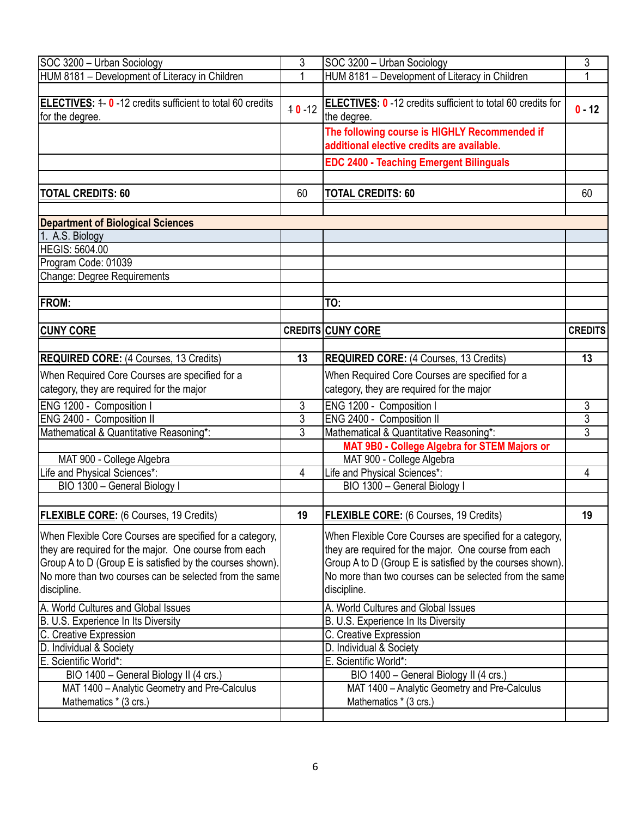| SOC 3200 - Urban Sociology                                                         | 3              | SOC 3200 - Urban Sociology                                                                  | 3              |
|------------------------------------------------------------------------------------|----------------|---------------------------------------------------------------------------------------------|----------------|
| HUM 8181 - Development of Literacy in Children                                     | 1              | HUM 8181 - Development of Literacy in Children                                              | 1              |
|                                                                                    |                |                                                                                             |                |
| <b>ELECTIVES: 4-0-12 credits sufficient to total 60 credits</b><br>for the degree. | $40 - 12$      | <b>ELECTIVES: 0</b> -12 credits sufficient to total 60 credits for<br>the degree.           | $0 - 12$       |
|                                                                                    |                | The following course is HIGHLY Recommended if<br>additional elective credits are available. |                |
|                                                                                    |                | <b>EDC 2400 - Teaching Emergent Bilinguals</b>                                              |                |
|                                                                                    |                |                                                                                             |                |
| <b>TOTAL CREDITS: 60</b>                                                           | 60             | <b>TOTAL CREDITS: 60</b>                                                                    | 60             |
|                                                                                    |                |                                                                                             |                |
| <b>Department of Biological Sciences</b>                                           |                |                                                                                             |                |
| 1. A.S. Biology                                                                    |                |                                                                                             |                |
| <b>HEGIS: 5604.00</b>                                                              |                |                                                                                             |                |
| Program Code: 01039                                                                |                |                                                                                             |                |
| <b>Change: Degree Requirements</b>                                                 |                |                                                                                             |                |
|                                                                                    |                |                                                                                             |                |
| <b>FROM:</b>                                                                       |                | TO:                                                                                         |                |
|                                                                                    |                |                                                                                             |                |
| <b>CUNY CORE</b>                                                                   |                | <b>CREDITS CUNY CORE</b>                                                                    | <b>CREDITS</b> |
|                                                                                    |                |                                                                                             |                |
| <b>REQUIRED CORE:</b> (4 Courses, 13 Credits)                                      | 13             | <b>REQUIRED CORE: (4 Courses, 13 Credits)</b>                                               | 13             |
| When Required Core Courses are specified for a                                     |                | When Required Core Courses are specified for a                                              |                |
| category, they are required for the major                                          |                | category, they are required for the major                                                   |                |
| ENG 1200 - Composition I                                                           | 3              | ENG 1200 - Composition I                                                                    | 3              |
| ENG 2400 - Composition II                                                          | 3              | ENG 2400 - Composition II                                                                   |                |
| Mathematical & Quantitative Reasoning*:                                            | $\overline{3}$ | Mathematical & Quantitative Reasoning*:                                                     | $rac{3}{3}$    |
|                                                                                    |                | MAT 9B0 - College Algebra for STEM Majors or                                                |                |
| MAT 900 - College Algebra                                                          |                | MAT 900 - College Algebra                                                                   |                |
| Life and Physical Sciences*:                                                       | $\overline{4}$ | Life and Physical Sciences*:                                                                | 4              |
| BIO 1300 - General Biology I                                                       |                | BIO 1300 - General Biology I                                                                |                |
|                                                                                    |                |                                                                                             |                |
| <b>FLEXIBLE CORE:</b> (6 Courses, 19 Credits)                                      | 19             | <b>FLEXIBLE CORE:</b> (6 Courses, 19 Credits)                                               | 19             |
| When Flexible Core Courses are specified for a category,                           |                | When Flexible Core Courses are specified for a category,                                    |                |
| they are required for the major. One course from each                              |                | they are required for the major. One course from each                                       |                |
| Group A to D (Group E is satisfied by the courses shown).                          |                | Group A to D (Group E is satisfied by the courses shown).                                   |                |
| No more than two courses can be selected from the same                             |                | No more than two courses can be selected from the same                                      |                |
| discipline.                                                                        |                | discipline.                                                                                 |                |
| A. World Cultures and Global Issues                                                |                | A. World Cultures and Global Issues                                                         |                |
| B. U.S. Experience In Its Diversity                                                |                | B. U.S. Experience In Its Diversity                                                         |                |
| C. Creative Expression                                                             |                | C. Creative Expression                                                                      |                |
| D. Individual & Society                                                            |                | D. Individual & Society                                                                     |                |
| E. Scientific World*:                                                              |                | E. Scientific World*:                                                                       |                |
| BIO 1400 - General Biology II (4 crs.)                                             |                | BIO 1400 - General Biology II (4 crs.)                                                      |                |
| MAT 1400 - Analytic Geometry and Pre-Calculus                                      |                | MAT 1400 - Analytic Geometry and Pre-Calculus                                               |                |
| Mathematics * (3 crs.)                                                             |                | Mathematics * (3 crs.)                                                                      |                |
|                                                                                    |                |                                                                                             |                |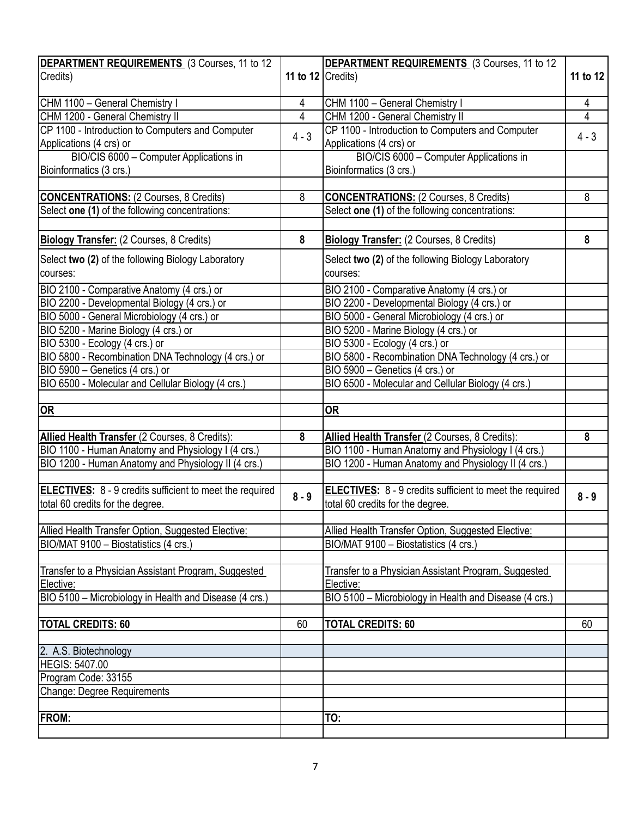| DEPARTMENT REQUIREMENTS (3 Courses, 11 to 12                                                 |                       | DEPARTMENT REQUIREMENTS (3 Courses, 11 to 12                                                        |          |
|----------------------------------------------------------------------------------------------|-----------------------|-----------------------------------------------------------------------------------------------------|----------|
| Credits)                                                                                     | 11 to 12 $ C$ redits) |                                                                                                     | 11 to 12 |
| CHM 1100 - General Chemistry I                                                               | 4                     | CHM 1100 - General Chemistry I                                                                      | 4        |
| CHM 1200 - General Chemistry II                                                              | $\overline{4}$        | CHM 1200 - General Chemistry II                                                                     | 4        |
| CP 1100 - Introduction to Computers and Computer                                             | $4 - 3$               | CP 1100 - Introduction to Computers and Computer                                                    | $4 - 3$  |
| Applications (4 crs) or                                                                      |                       | Applications (4 crs) or                                                                             |          |
| BIO/CIS 6000 - Computer Applications in                                                      |                       | BIO/CIS 6000 - Computer Applications in                                                             |          |
| Bioinformatics (3 crs.)                                                                      |                       | Bioinformatics (3 crs.)                                                                             |          |
|                                                                                              |                       |                                                                                                     |          |
| <b>CONCENTRATIONS: (2 Courses, 8 Credits)</b>                                                | 8                     | <b>CONCENTRATIONS: (2 Courses, 8 Credits)</b>                                                       | 8        |
| Select one (1) of the following concentrations:                                              |                       | Select one (1) of the following concentrations:                                                     |          |
|                                                                                              |                       |                                                                                                     |          |
| Biology Transfer: (2 Courses, 8 Credits)                                                     | 8                     | Biology Transfer: (2 Courses, 8 Credits)                                                            | 8        |
| Select two (2) of the following Biology Laboratory                                           |                       | Select two (2) of the following Biology Laboratory                                                  |          |
| courses:                                                                                     |                       | courses:                                                                                            |          |
| BIO 2100 - Comparative Anatomy (4 crs.) or                                                   |                       | BIO 2100 - Comparative Anatomy (4 crs.) or                                                          |          |
| BIO 2200 - Developmental Biology (4 crs.) or                                                 |                       | BIO 2200 - Developmental Biology (4 crs.) or                                                        |          |
| BIO 5000 - General Microbiology (4 crs.) or                                                  |                       | BIO 5000 - General Microbiology (4 crs.) or                                                         |          |
| BIO 5200 - Marine Biology (4 crs.) or                                                        |                       | BIO 5200 - Marine Biology (4 crs.) or                                                               |          |
| BIO 5300 - Ecology (4 crs.) or                                                               |                       | BIO 5300 - Ecology (4 crs.) or                                                                      |          |
| BIO 5800 - Recombination DNA Technology (4 crs.) or                                          |                       | BIO 5800 - Recombination DNA Technology (4 crs.) or                                                 |          |
| BIO 5900 - Genetics (4 crs.) or                                                              |                       | BIO 5900 - Genetics (4 crs.) or                                                                     |          |
| BIO 6500 - Molecular and Cellular Biology (4 crs.)                                           |                       | BIO 6500 - Molecular and Cellular Biology (4 crs.)                                                  |          |
|                                                                                              |                       |                                                                                                     |          |
| <b>OR</b>                                                                                    |                       | <b>OR</b>                                                                                           |          |
|                                                                                              |                       |                                                                                                     |          |
| Allied Health Transfer (2 Courses, 8 Credits):                                               | 8                     | Allied Health Transfer (2 Courses, 8 Credits):                                                      | 8        |
| BIO 1100 - Human Anatomy and Physiology I (4 crs.)                                           |                       | BIO 1100 - Human Anatomy and Physiology I (4 crs.)                                                  |          |
| BIO 1200 - Human Anatomy and Physiology II (4 crs.)                                          |                       | BIO 1200 - Human Anatomy and Physiology II (4 crs.)                                                 |          |
|                                                                                              |                       |                                                                                                     |          |
| ELECTIVES: 8 - 9 credits sufficient to meet the required<br>total 60 credits for the degree. | $8 - 9$               | <b>ELECTIVES:</b> 8 - 9 credits sufficient to meet the required<br>total 60 credits for the degree. | $8 - 9$  |
|                                                                                              |                       |                                                                                                     |          |
| Allied Health Transfer Option, Suggested Elective:                                           |                       | Allied Health Transfer Option, Suggested Elective:                                                  |          |
| BIO/MAT 9100 - Biostatistics (4 crs.)                                                        |                       | BIO/MAT 9100 - Biostatistics (4 crs.)                                                               |          |
|                                                                                              |                       |                                                                                                     |          |
| Transfer to a Physician Assistant Program, Suggested                                         |                       | Transfer to a Physician Assistant Program, Suggested                                                |          |
| Elective:                                                                                    |                       | Elective:                                                                                           |          |
| BIO 5100 - Microbiology in Health and Disease (4 crs.)                                       |                       | BIO 5100 - Microbiology in Health and Disease (4 crs.)                                              |          |
|                                                                                              |                       |                                                                                                     |          |
| <b>TOTAL CREDITS: 60</b>                                                                     | 60                    | <b>TOTAL CREDITS: 60</b>                                                                            | 60       |
|                                                                                              |                       |                                                                                                     |          |
| 2. A.S. Biotechnology<br><b>HEGIS: 5407.00</b>                                               |                       |                                                                                                     |          |
| Program Code: 33155                                                                          |                       |                                                                                                     |          |
|                                                                                              |                       |                                                                                                     |          |
| Change: Degree Requirements                                                                  |                       |                                                                                                     |          |
| <b>FROM:</b>                                                                                 |                       | TO:                                                                                                 |          |
|                                                                                              |                       |                                                                                                     |          |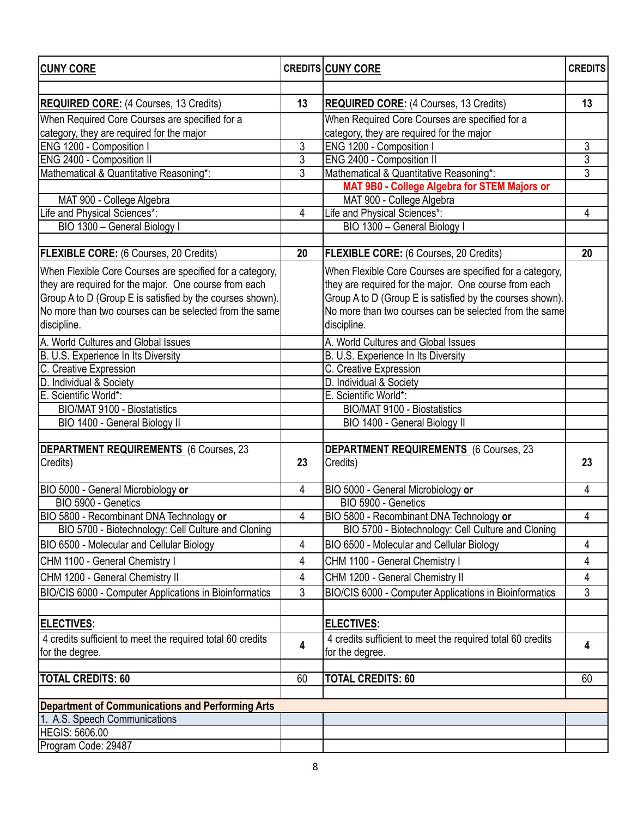| <b>CUNY CORE</b>                                           |                | <b>CREDITS CUNY CORE</b>                                   | <b>CREDITS</b> |
|------------------------------------------------------------|----------------|------------------------------------------------------------|----------------|
|                                                            |                |                                                            |                |
| <b>REQUIRED CORE:</b> (4 Courses, 13 Credits)              | 13             | <b>REQUIRED CORE:</b> (4 Courses, 13 Credits)              | 13             |
| When Required Core Courses are specified for a             |                | When Required Core Courses are specified for a             |                |
| category, they are required for the major                  |                | category, they are required for the major                  |                |
| ENG 1200 - Composition I                                   | 3              | ENG 1200 - Composition I                                   | 3              |
| ENG 2400 - Composition II                                  | 3              | ENG 2400 - Composition II                                  | $\overline{3}$ |
| Mathematical & Quantitative Reasoning*:                    | $\overline{3}$ | Mathematical & Quantitative Reasoning*:                    | $\overline{3}$ |
|                                                            |                | MAT 9B0 - College Algebra for STEM Majors or               |                |
| MAT 900 - College Algebra                                  |                | MAT 900 - College Algebra                                  |                |
| Life and Physical Sciences*:                               | 4              | Life and Physical Sciences*:                               | 4              |
| BIO 1300 - General Biology I                               |                | BIO 1300 - General Biology I                               |                |
| <b>FLEXIBLE CORE:</b> (6 Courses, 20 Credits)              | 20             | FLEXIBLE CORE: (6 Courses, 20 Credits)                     | 20             |
|                                                            |                |                                                            |                |
| When Flexible Core Courses are specified for a category,   |                | When Flexible Core Courses are specified for a category,   |                |
| they are required for the major. One course from each      |                | they are required for the major. One course from each      |                |
| Group A to D (Group E is satisfied by the courses shown).  |                | Group A to D (Group E is satisfied by the courses shown).  |                |
| No more than two courses can be selected from the same     |                | No more than two courses can be selected from the same     |                |
| discipline.                                                |                | discipline.                                                |                |
| A. World Cultures and Global Issues                        |                | A. World Cultures and Global Issues                        |                |
| B. U.S. Experience In Its Diversity                        |                | B. U.S. Experience In Its Diversity                        |                |
| C. Creative Expression                                     |                | C. Creative Expression                                     |                |
| D. Individual & Society                                    |                | D. Individual & Society                                    |                |
| E. Scientific World*:                                      |                | E. Scientific World*:                                      |                |
| <b>BIO/MAT 9100 - Biostatistics</b>                        |                | BIO/MAT 9100 - Biostatistics                               |                |
| BIO 1400 - General Biology II                              |                | BIO 1400 - General Biology II                              |                |
|                                                            |                |                                                            |                |
| DEPARTMENT REQUIREMENTS (6 Courses, 23                     | 23             | <b>DEPARTMENT REQUIREMENTS</b> (6 Courses, 23              |                |
| Credits)                                                   |                | Credits)                                                   | 23             |
| BIO 5000 - General Microbiology or                         | $\overline{4}$ | BIO 5000 - General Microbiology or                         | 4              |
| BIO 5900 - Genetics                                        |                | BIO 5900 - Genetics                                        |                |
| BIO 5800 - Recombinant DNA Technology or                   | 4              | BIO 5800 - Recombinant DNA Technology or                   | 4              |
| BIO 5700 - Biotechnology: Cell Culture and Cloning         |                | BIO 5700 - Biotechnology: Cell Culture and Cloning         |                |
| BIO 6500 - Molecular and Cellular Biology                  | 4              | BIO 6500 - Molecular and Cellular Biology                  | 4              |
| CHM 1100 - General Chemistry I                             | 4              | CHM 1100 - General Chemistry I                             | 4              |
| CHM 1200 - General Chemistry II                            | 4              | CHM 1200 - General Chemistry II                            | 4              |
| BIO/CIS 6000 - Computer Applications in Bioinformatics     | 3              | BIO/CIS 6000 - Computer Applications in Bioinformatics     | 3              |
|                                                            |                |                                                            |                |
| <b>ELECTIVES:</b>                                          |                | <b>ELECTIVES:</b>                                          |                |
| 4 credits sufficient to meet the required total 60 credits |                | 4 credits sufficient to meet the required total 60 credits |                |
| for the degree.                                            | 4              | for the degree.                                            | 4              |
|                                                            |                |                                                            |                |
| <b>TOTAL CREDITS: 60</b>                                   | 60             | TOTAL CREDITS: 60                                          | 60             |
| <b>Department of Communications and Performing Arts</b>    |                |                                                            |                |
| 1. A.S. Speech Communications                              |                |                                                            |                |
| <b>HEGIS: 5606.00</b>                                      |                |                                                            |                |
| Program Code: 29487                                        |                |                                                            |                |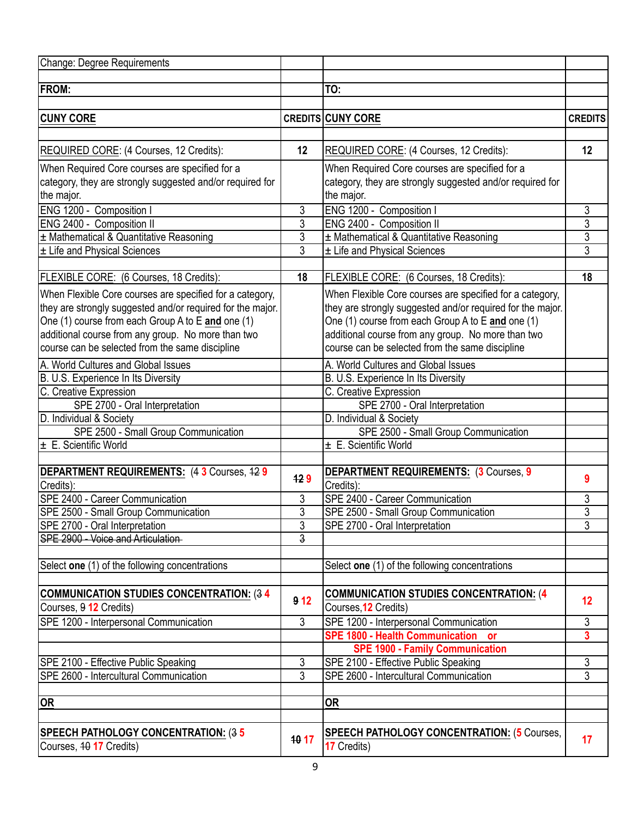| Change: Degree Requirements                                |                 |                                                            |                |
|------------------------------------------------------------|-----------------|------------------------------------------------------------|----------------|
|                                                            |                 |                                                            |                |
| <b>FROM:</b>                                               |                 | TO:                                                        |                |
|                                                            |                 |                                                            |                |
| <b>CUNY CORE</b>                                           |                 | <b>CREDITS CUNY CORE</b>                                   | <b>CREDITS</b> |
|                                                            |                 |                                                            |                |
| <b>REQUIRED CORE:</b> (4 Courses, 12 Credits):             | 12              | REQUIRED CORE: (4 Courses, 12 Credits):                    | 12             |
| When Required Core courses are specified for a             |                 | When Required Core courses are specified for a             |                |
| category, they are strongly suggested and/or required for  |                 | category, they are strongly suggested and/or required for  |                |
| the major.                                                 |                 | the major.                                                 |                |
| ENG 1200 - Composition I                                   | 3               | ENG 1200 - Composition I                                   | 3              |
| ENG 2400 - Composition II                                  | 3               | ENG 2400 - Composition II                                  | $\overline{3}$ |
| ± Mathematical & Quantitative Reasoning                    | 3               | ± Mathematical & Quantitative Reasoning                    | $\overline{3}$ |
| ± Life and Physical Sciences                               | 3               | ± Life and Physical Sciences                               | $\overline{3}$ |
|                                                            |                 |                                                            |                |
| FLEXIBLE CORE: (6 Courses, 18 Credits):                    | 18              | FLEXIBLE CORE: (6 Courses, 18 Credits):                    | 18             |
| When Flexible Core courses are specified for a category,   |                 | When Flexible Core courses are specified for a category,   |                |
| they are strongly suggested and/or required for the major. |                 | they are strongly suggested and/or required for the major. |                |
| One (1) course from each Group A to E and one (1)          |                 | One (1) course from each Group A to E and one (1)          |                |
| additional course from any group. No more than two         |                 | additional course from any group. No more than two         |                |
| course can be selected from the same discipline            |                 | course can be selected from the same discipline            |                |
| A. World Cultures and Global Issues                        |                 | A. World Cultures and Global Issues                        |                |
| B. U.S. Experience In Its Diversity                        |                 | B. U.S. Experience In Its Diversity                        |                |
| C. Creative Expression                                     |                 | C. Creative Expression                                     |                |
| SPE 2700 - Oral Interpretation                             |                 | SPE 2700 - Oral Interpretation                             |                |
| D. Individual & Society                                    |                 | D. Individual & Society                                    |                |
| SPE 2500 - Small Group Communication                       |                 | SPE 2500 - Small Group Communication                       |                |
| ± E. Scientific World                                      |                 | ± E. Scientific World                                      |                |
| DEPARTMENT REQUIREMENTS: (4 3 Courses, 42 9                |                 | <b>DEPARTMENT REQUIREMENTS: (3 Courses, 9</b>              |                |
| Credits):                                                  | 429             | Credits):                                                  | 9              |
| SPE 2400 - Career Communication                            | 3               | SPE 2400 - Career Communication                            | 3              |
| SPE 2500 - Small Group Communication                       | 3               | SPE 2500 - Small Group Communication                       | $\overline{3}$ |
| SPE 2700 - Oral Interpretation                             | 3               | SPE 2700 - Oral Interpretation                             | 3              |
| SPE 2900 - Voice and Articulation                          | $\overline{3}$  |                                                            |                |
|                                                            |                 |                                                            |                |
| Select one (1) of the following concentrations             |                 | Select one (1) of the following concentrations             |                |
|                                                            |                 |                                                            |                |
| COMMUNICATION STUDIES CONCENTRATION: (34                   | 9 <sub>12</sub> | <b>COMMUNICATION STUDIES CONCENTRATION: (4</b>             | 12             |
| Courses, 9 12 Credits)                                     |                 | Courses, 12 Credits)                                       |                |
| SPE 1200 - Interpersonal Communication                     | $\overline{3}$  | SPE 1200 - Interpersonal Communication                     | $\overline{3}$ |
|                                                            |                 | SPE 1800 - Health Communication or                         | 3              |
|                                                            |                 | <b>SPE 1900 - Family Communication</b>                     |                |
| SPE 2100 - Effective Public Speaking                       | 3               | SPE 2100 - Effective Public Speaking                       | 3              |
| SPE 2600 - Intercultural Communication                     | $\overline{3}$  | SPE 2600 - Intercultural Communication                     | $\overline{3}$ |
|                                                            |                 |                                                            |                |
| OR                                                         |                 | <b>OR</b>                                                  |                |
|                                                            |                 |                                                            |                |
| <b>SPEECH PATHOLOGY CONCENTRATION: (35</b>                 | 10 17           | <b>SPEECH PATHOLOGY CONCENTRATION: (5 Courses,</b>         | 17             |
| Courses, 40 17 Credits)                                    |                 | 17 Credits)                                                |                |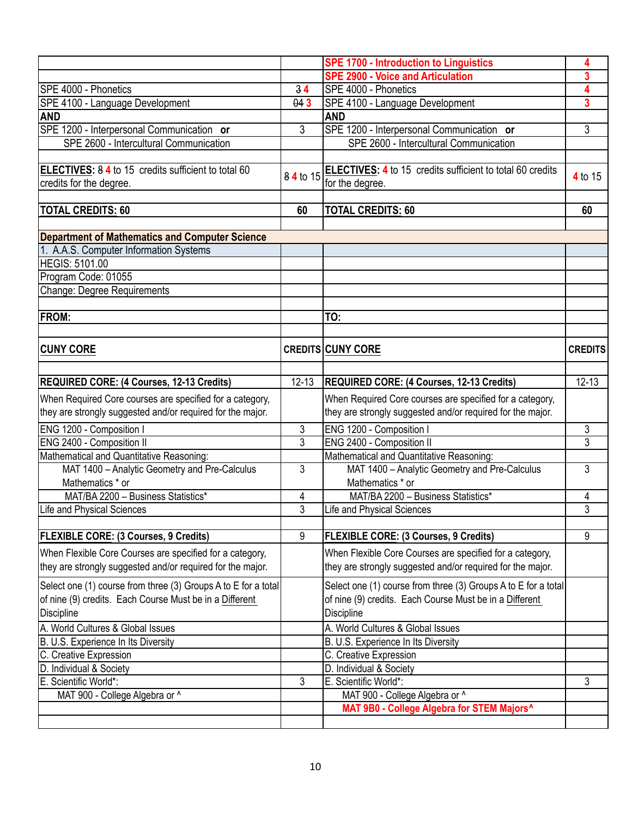|                                                                |                                  | <b>SPE 1700 - Introduction to Linguistics</b>                  | 4              |
|----------------------------------------------------------------|----------------------------------|----------------------------------------------------------------|----------------|
|                                                                |                                  | <b>SPE 2900 - Voice and Articulation</b>                       | 3              |
| SPE 4000 - Phonetics                                           | 34                               | SPE 4000 - Phonetics                                           | 4              |
| SPE 4100 - Language Development                                | 043                              | SPE 4100 - Language Development                                | 3              |
| <b>AND</b>                                                     |                                  | <b>AND</b>                                                     |                |
| SPE 1200 - Interpersonal Communication or                      | 3                                | SPE 1200 - Interpersonal Communication or                      | 3              |
| SPE 2600 - Intercultural Communication                         |                                  | SPE 2600 - Intercultural Communication                         |                |
|                                                                |                                  |                                                                |                |
| ELECTIVES: 8 4 to 15 credits sufficient to total 60            | 84 to 15                         | ELECTIVES: 4 to 15 credits sufficient to total 60 credits      |                |
| credits for the degree.                                        |                                  | for the degree.                                                | 4 to 15        |
|                                                                |                                  |                                                                |                |
| <b>TOTAL CREDITS: 60</b>                                       | 60                               | <b>TOTAL CREDITS: 60</b>                                       | 60             |
|                                                                |                                  |                                                                |                |
| <b>Department of Mathematics and Computer Science</b>          |                                  |                                                                |                |
| 1. A.A.S. Computer Information Systems                         |                                  |                                                                |                |
| <b>HEGIS: 5101.00</b>                                          |                                  |                                                                |                |
| Program Code: 01055                                            |                                  |                                                                |                |
| Change: Degree Requirements                                    |                                  |                                                                |                |
|                                                                |                                  |                                                                |                |
| <b>FROM:</b>                                                   |                                  | TO:                                                            |                |
|                                                                |                                  |                                                                |                |
|                                                                |                                  |                                                                |                |
| <b>CUNY CORE</b>                                               |                                  | <b>CREDITS CUNY CORE</b>                                       | <b>CREDITS</b> |
|                                                                |                                  |                                                                |                |
| <b>REQUIRED CORE: (4 Courses, 12-13 Credits)</b>               | $12 - 13$                        | REQUIRED CORE: (4 Courses, 12-13 Credits)                      | $12 - 13$      |
| When Required Core courses are specified for a category,       |                                  | When Required Core courses are specified for a category,       |                |
| they are strongly suggested and/or required for the major.     |                                  | they are strongly suggested and/or required for the major.     |                |
| ENG 1200 - Composition I                                       |                                  |                                                                |                |
| ENG 2400 - Composition II                                      | $\mathfrak{Z}$<br>$\overline{3}$ | ENG 1200 - Composition I<br>ENG 2400 - Composition II          | 3<br>3         |
|                                                                |                                  |                                                                |                |
| Mathematical and Quantitative Reasoning:                       |                                  | Mathematical and Quantitative Reasoning:                       |                |
| MAT 1400 - Analytic Geometry and Pre-Calculus                  | 3                                | MAT 1400 - Analytic Geometry and Pre-Calculus                  | 3              |
| Mathematics * or                                               |                                  | Mathematics * or                                               |                |
| MAT/BA 2200 - Business Statistics*                             | 4                                | MAT/BA 2200 - Business Statistics*                             | 4              |
| Life and Physical Sciences                                     | 3                                | <b>Life and Physical Sciences</b>                              | 3              |
|                                                                |                                  |                                                                |                |
| <b>FLEXIBLE CORE: (3 Courses, 9 Credits)</b>                   | 9                                | <b>FLEXIBLE CORE: (3 Courses, 9 Credits)</b>                   | 9              |
| When Flexible Core Courses are specified for a category,       |                                  | When Flexible Core Courses are specified for a category,       |                |
| they are strongly suggested and/or required for the major.     |                                  | they are strongly suggested and/or required for the major.     |                |
| Select one (1) course from three (3) Groups A to E for a total |                                  | Select one (1) course from three (3) Groups A to E for a total |                |
| of nine (9) credits. Each Course Must be in a Different        |                                  | of nine (9) credits. Each Course Must be in a Different        |                |
| Discipline                                                     |                                  | Discipline                                                     |                |
| A. World Cultures & Global Issues                              |                                  | A. World Cultures & Global Issues                              |                |
| B. U.S. Experience In Its Diversity                            |                                  | B. U.S. Experience In Its Diversity                            |                |
| C. Creative Expression                                         |                                  | C. Creative Expression                                         |                |
| D. Individual & Society                                        |                                  | D. Individual & Society                                        |                |
| E. Scientific World*:                                          | $\mathfrak{Z}$                   | E. Scientific World*:                                          | 3              |
|                                                                |                                  |                                                                |                |
| MAT 900 - College Algebra or ^                                 |                                  | MAT 900 - College Algebra or ^                                 |                |
|                                                                |                                  | MAT 9B0 - College Algebra for STEM Majors^                     |                |
|                                                                |                                  |                                                                |                |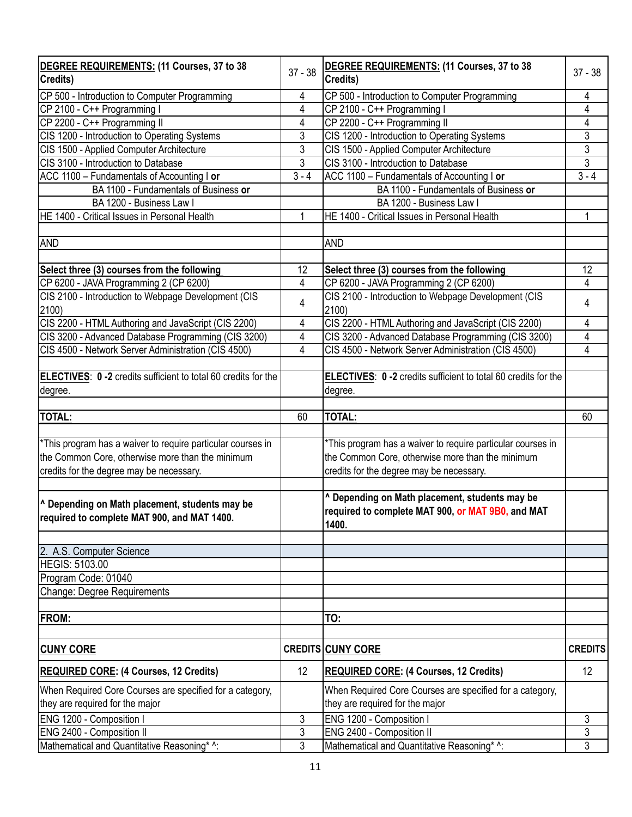| DEGREE REQUIREMENTS: (11 Courses, 37 to 38<br>Credits)                                                   | $37 - 38$      | DEGREE REQUIREMENTS: (11 Courses, 37 to 38<br>Credits)                                                       | $37 - 38$      |
|----------------------------------------------------------------------------------------------------------|----------------|--------------------------------------------------------------------------------------------------------------|----------------|
|                                                                                                          |                |                                                                                                              |                |
| CP 500 - Introduction to Computer Programming                                                            | 4              | CP 500 - Introduction to Computer Programming                                                                | 4              |
| CP 2100 - C++ Programming I<br>CP 2200 - C++ Programming II                                              | 4<br>4         | CP 2100 - C++ Programming I                                                                                  | 4<br>4         |
|                                                                                                          | 3              | CP 2200 - C++ Programming II                                                                                 | $\overline{3}$ |
| CIS 1200 - Introduction to Operating Systems                                                             | 3              | CIS 1200 - Introduction to Operating Systems                                                                 | $\overline{3}$ |
| CIS 1500 - Applied Computer Architecture                                                                 |                | CIS 1500 - Applied Computer Architecture                                                                     | $\overline{3}$ |
| CIS 3100 - Introduction to Database                                                                      | 3<br>$3 - 4$   | CIS 3100 - Introduction to Database                                                                          | $3 - 4$        |
| ACC 1100 - Fundamentals of Accounting I or                                                               |                | ACC 1100 - Fundamentals of Accounting I or                                                                   |                |
| BA 1100 - Fundamentals of Business or                                                                    |                | BA 1100 - Fundamentals of Business or                                                                        |                |
| BA 1200 - Business Law I                                                                                 |                | BA 1200 - Business Law I                                                                                     |                |
| HE 1400 - Critical Issues in Personal Health                                                             | 1              | HE 1400 - Critical Issues in Personal Health                                                                 | 1              |
|                                                                                                          |                |                                                                                                              |                |
| <b>AND</b>                                                                                               |                | <b>AND</b>                                                                                                   |                |
| Select three (3) courses from the following                                                              | 12             | Select three (3) courses from the following                                                                  | 12             |
| CP 6200 - JAVA Programming 2 (CP 6200)                                                                   | 4              | CP 6200 - JAVA Programming 2 (CP 6200)                                                                       | 4              |
| CIS 2100 - Introduction to Webpage Development (CIS                                                      |                | CIS 2100 - Introduction to Webpage Development (CIS                                                          |                |
| 2100)                                                                                                    | 4              | 2100)                                                                                                        | 4              |
| CIS 2200 - HTML Authoring and JavaScript (CIS 2200)                                                      | $\overline{4}$ | CIS 2200 - HTML Authoring and JavaScript (CIS 2200)                                                          | 4              |
| CIS 3200 - Advanced Database Programming (CIS 3200)                                                      | 4              | CIS 3200 - Advanced Database Programming (CIS 3200)                                                          | 4              |
| CIS 4500 - Network Server Administration (CIS 4500)                                                      | 4              | CIS 4500 - Network Server Administration (CIS 4500)                                                          | 4              |
|                                                                                                          |                |                                                                                                              |                |
| ELECTIVES: 0 -2 credits sufficient to total 60 credits for the                                           |                | ELECTIVES: 0 -2 credits sufficient to total 60 credits for the                                               |                |
| degree.                                                                                                  |                | degree.                                                                                                      |                |
|                                                                                                          |                |                                                                                                              |                |
| <b>TOTAL:</b>                                                                                            | 60             | <b>TOTAL:</b>                                                                                                | 60             |
|                                                                                                          |                |                                                                                                              |                |
| *This program has a waiver to require particular courses in                                              |                | *This program has a waiver to require particular courses in                                                  |                |
| the Common Core, otherwise more than the minimum                                                         |                | the Common Core, otherwise more than the minimum                                                             |                |
| credits for the degree may be necessary.                                                                 |                | credits for the degree may be necessary.                                                                     |                |
|                                                                                                          |                |                                                                                                              |                |
| <sup>1</sup> Depending on Math placement, students may be<br>required to complete MAT 900, and MAT 1400. |                | ^ Depending on Math placement, students may be<br>required to complete MAT 900, or MAT 9B0, and MAT<br>1400. |                |
|                                                                                                          |                |                                                                                                              |                |
| 2. A.S. Computer Science                                                                                 |                |                                                                                                              |                |
| <b>HEGIS: 5103.00</b>                                                                                    |                |                                                                                                              |                |
| Program Code: 01040                                                                                      |                |                                                                                                              |                |
| Change: Degree Requirements                                                                              |                |                                                                                                              |                |
|                                                                                                          |                |                                                                                                              |                |
| <b>FROM:</b>                                                                                             |                | TO:                                                                                                          |                |
| <b>CUNY CORE</b>                                                                                         |                | <b>CREDITS CUNY CORE</b>                                                                                     | <b>CREDITS</b> |
| <b>REQUIRED CORE: (4 Courses, 12 Credits)</b>                                                            | 12             | <b>REQUIRED CORE: (4 Courses, 12 Credits)</b>                                                                | 12             |
| When Required Core Courses are specified for a category,                                                 |                | When Required Core Courses are specified for a category,                                                     |                |
| they are required for the major                                                                          |                | they are required for the major                                                                              |                |
| ENG 1200 - Composition I                                                                                 | 3              | ENG 1200 - Composition I                                                                                     | 3              |
| ENG 2400 - Composition II                                                                                | $\mathfrak{Z}$ | ENG 2400 - Composition II                                                                                    | $\overline{3}$ |
| Mathematical and Quantitative Reasoning* ^:                                                              | $\mathbf{3}$   | Mathematical and Quantitative Reasoning* ^:                                                                  | 3              |
|                                                                                                          |                |                                                                                                              |                |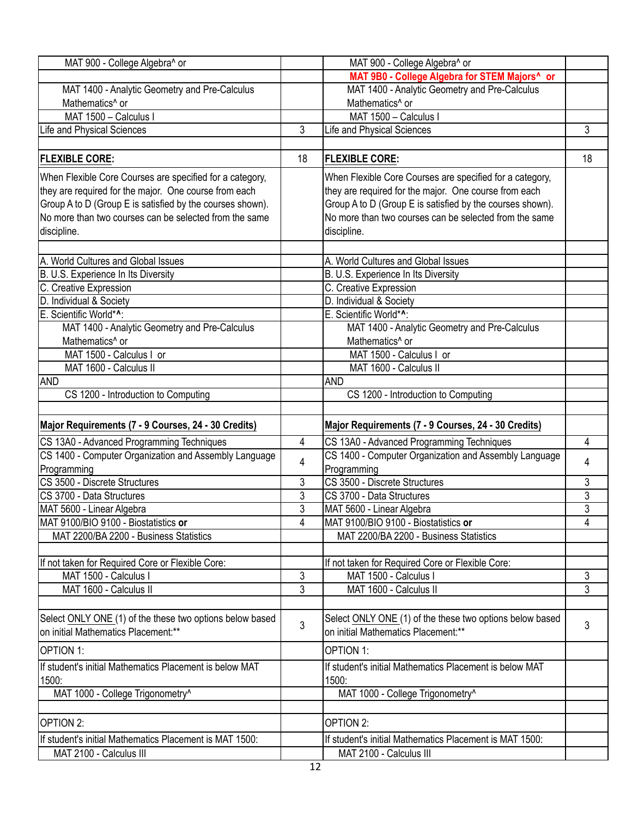| MAT 9B0 - College Algebra for STEM Majors^ or<br>MAT 1400 - Analytic Geometry and Pre-Calculus<br>MAT 1400 - Analytic Geometry and Pre-Calculus<br>Mathematics <sup>^</sup> or<br>Mathematics <sup>^</sup> or<br>MAT 1500 - Calculus I<br>MAT 1500 - Calculus I<br>3<br>3<br>Life and Physical Sciences<br>Life and Physical Sciences<br><b>FLEXIBLE CORE:</b><br>18<br><b>FLEXIBLE CORE:</b><br>18<br>When Flexible Core Courses are specified for a category,<br>When Flexible Core Courses are specified for a category,<br>they are required for the major. One course from each<br>they are required for the major. One course from each<br>Group A to D (Group E is satisfied by the courses shown).<br>Group A to D (Group E is satisfied by the courses shown).<br>No more than two courses can be selected from the same<br>No more than two courses can be selected from the same<br>discipline.<br>discipline.<br>A. World Cultures and Global Issues<br>A. World Cultures and Global Issues<br>B. U.S. Experience In Its Diversity<br>B. U.S. Experience In Its Diversity<br>C. Creative Expression<br>C. Creative Expression<br>D. Individual & Society<br>D. Individual & Society<br>E. Scientific World*^:<br>E. Scientific World*^:<br>MAT 1400 - Analytic Geometry and Pre-Calculus<br>MAT 1400 - Analytic Geometry and Pre-Calculus<br>Mathematics <sup>^</sup> or<br>Mathematics^ or<br>MAT 1500 - Calculus I or<br>MAT 1500 - Calculus I or<br>MAT 1600 - Calculus II<br>MAT 1600 - Calculus II<br><b>AND</b><br><b>AND</b><br>CS 1200 - Introduction to Computing<br>CS 1200 - Introduction to Computing<br>Major Requirements (7 - 9 Courses, 24 - 30 Credits)<br>Major Requirements (7 - 9 Courses, 24 - 30 Credits) | MAT 900 - College Algebra^ or | MAT 900 - College Algebra^ or                           |  |
|---------------------------------------------------------------------------------------------------------------------------------------------------------------------------------------------------------------------------------------------------------------------------------------------------------------------------------------------------------------------------------------------------------------------------------------------------------------------------------------------------------------------------------------------------------------------------------------------------------------------------------------------------------------------------------------------------------------------------------------------------------------------------------------------------------------------------------------------------------------------------------------------------------------------------------------------------------------------------------------------------------------------------------------------------------------------------------------------------------------------------------------------------------------------------------------------------------------------------------------------------------------------------------------------------------------------------------------------------------------------------------------------------------------------------------------------------------------------------------------------------------------------------------------------------------------------------------------------------------------------------------------------------------------------------------------------------------------------------------------------|-------------------------------|---------------------------------------------------------|--|
|                                                                                                                                                                                                                                                                                                                                                                                                                                                                                                                                                                                                                                                                                                                                                                                                                                                                                                                                                                                                                                                                                                                                                                                                                                                                                                                                                                                                                                                                                                                                                                                                                                                                                                                                             |                               |                                                         |  |
|                                                                                                                                                                                                                                                                                                                                                                                                                                                                                                                                                                                                                                                                                                                                                                                                                                                                                                                                                                                                                                                                                                                                                                                                                                                                                                                                                                                                                                                                                                                                                                                                                                                                                                                                             |                               |                                                         |  |
|                                                                                                                                                                                                                                                                                                                                                                                                                                                                                                                                                                                                                                                                                                                                                                                                                                                                                                                                                                                                                                                                                                                                                                                                                                                                                                                                                                                                                                                                                                                                                                                                                                                                                                                                             |                               |                                                         |  |
|                                                                                                                                                                                                                                                                                                                                                                                                                                                                                                                                                                                                                                                                                                                                                                                                                                                                                                                                                                                                                                                                                                                                                                                                                                                                                                                                                                                                                                                                                                                                                                                                                                                                                                                                             |                               |                                                         |  |
|                                                                                                                                                                                                                                                                                                                                                                                                                                                                                                                                                                                                                                                                                                                                                                                                                                                                                                                                                                                                                                                                                                                                                                                                                                                                                                                                                                                                                                                                                                                                                                                                                                                                                                                                             |                               |                                                         |  |
|                                                                                                                                                                                                                                                                                                                                                                                                                                                                                                                                                                                                                                                                                                                                                                                                                                                                                                                                                                                                                                                                                                                                                                                                                                                                                                                                                                                                                                                                                                                                                                                                                                                                                                                                             |                               |                                                         |  |
|                                                                                                                                                                                                                                                                                                                                                                                                                                                                                                                                                                                                                                                                                                                                                                                                                                                                                                                                                                                                                                                                                                                                                                                                                                                                                                                                                                                                                                                                                                                                                                                                                                                                                                                                             |                               |                                                         |  |
|                                                                                                                                                                                                                                                                                                                                                                                                                                                                                                                                                                                                                                                                                                                                                                                                                                                                                                                                                                                                                                                                                                                                                                                                                                                                                                                                                                                                                                                                                                                                                                                                                                                                                                                                             |                               |                                                         |  |
|                                                                                                                                                                                                                                                                                                                                                                                                                                                                                                                                                                                                                                                                                                                                                                                                                                                                                                                                                                                                                                                                                                                                                                                                                                                                                                                                                                                                                                                                                                                                                                                                                                                                                                                                             |                               |                                                         |  |
|                                                                                                                                                                                                                                                                                                                                                                                                                                                                                                                                                                                                                                                                                                                                                                                                                                                                                                                                                                                                                                                                                                                                                                                                                                                                                                                                                                                                                                                                                                                                                                                                                                                                                                                                             |                               |                                                         |  |
|                                                                                                                                                                                                                                                                                                                                                                                                                                                                                                                                                                                                                                                                                                                                                                                                                                                                                                                                                                                                                                                                                                                                                                                                                                                                                                                                                                                                                                                                                                                                                                                                                                                                                                                                             |                               |                                                         |  |
|                                                                                                                                                                                                                                                                                                                                                                                                                                                                                                                                                                                                                                                                                                                                                                                                                                                                                                                                                                                                                                                                                                                                                                                                                                                                                                                                                                                                                                                                                                                                                                                                                                                                                                                                             |                               |                                                         |  |
|                                                                                                                                                                                                                                                                                                                                                                                                                                                                                                                                                                                                                                                                                                                                                                                                                                                                                                                                                                                                                                                                                                                                                                                                                                                                                                                                                                                                                                                                                                                                                                                                                                                                                                                                             |                               |                                                         |  |
|                                                                                                                                                                                                                                                                                                                                                                                                                                                                                                                                                                                                                                                                                                                                                                                                                                                                                                                                                                                                                                                                                                                                                                                                                                                                                                                                                                                                                                                                                                                                                                                                                                                                                                                                             |                               |                                                         |  |
|                                                                                                                                                                                                                                                                                                                                                                                                                                                                                                                                                                                                                                                                                                                                                                                                                                                                                                                                                                                                                                                                                                                                                                                                                                                                                                                                                                                                                                                                                                                                                                                                                                                                                                                                             |                               |                                                         |  |
|                                                                                                                                                                                                                                                                                                                                                                                                                                                                                                                                                                                                                                                                                                                                                                                                                                                                                                                                                                                                                                                                                                                                                                                                                                                                                                                                                                                                                                                                                                                                                                                                                                                                                                                                             |                               |                                                         |  |
|                                                                                                                                                                                                                                                                                                                                                                                                                                                                                                                                                                                                                                                                                                                                                                                                                                                                                                                                                                                                                                                                                                                                                                                                                                                                                                                                                                                                                                                                                                                                                                                                                                                                                                                                             |                               |                                                         |  |
|                                                                                                                                                                                                                                                                                                                                                                                                                                                                                                                                                                                                                                                                                                                                                                                                                                                                                                                                                                                                                                                                                                                                                                                                                                                                                                                                                                                                                                                                                                                                                                                                                                                                                                                                             |                               |                                                         |  |
|                                                                                                                                                                                                                                                                                                                                                                                                                                                                                                                                                                                                                                                                                                                                                                                                                                                                                                                                                                                                                                                                                                                                                                                                                                                                                                                                                                                                                                                                                                                                                                                                                                                                                                                                             |                               |                                                         |  |
|                                                                                                                                                                                                                                                                                                                                                                                                                                                                                                                                                                                                                                                                                                                                                                                                                                                                                                                                                                                                                                                                                                                                                                                                                                                                                                                                                                                                                                                                                                                                                                                                                                                                                                                                             |                               |                                                         |  |
|                                                                                                                                                                                                                                                                                                                                                                                                                                                                                                                                                                                                                                                                                                                                                                                                                                                                                                                                                                                                                                                                                                                                                                                                                                                                                                                                                                                                                                                                                                                                                                                                                                                                                                                                             |                               |                                                         |  |
|                                                                                                                                                                                                                                                                                                                                                                                                                                                                                                                                                                                                                                                                                                                                                                                                                                                                                                                                                                                                                                                                                                                                                                                                                                                                                                                                                                                                                                                                                                                                                                                                                                                                                                                                             |                               |                                                         |  |
|                                                                                                                                                                                                                                                                                                                                                                                                                                                                                                                                                                                                                                                                                                                                                                                                                                                                                                                                                                                                                                                                                                                                                                                                                                                                                                                                                                                                                                                                                                                                                                                                                                                                                                                                             |                               |                                                         |  |
|                                                                                                                                                                                                                                                                                                                                                                                                                                                                                                                                                                                                                                                                                                                                                                                                                                                                                                                                                                                                                                                                                                                                                                                                                                                                                                                                                                                                                                                                                                                                                                                                                                                                                                                                             |                               |                                                         |  |
|                                                                                                                                                                                                                                                                                                                                                                                                                                                                                                                                                                                                                                                                                                                                                                                                                                                                                                                                                                                                                                                                                                                                                                                                                                                                                                                                                                                                                                                                                                                                                                                                                                                                                                                                             |                               |                                                         |  |
| CS 13A0 - Advanced Programming Techniques<br>4<br>CS 13A0 - Advanced Programming Techniques<br>4                                                                                                                                                                                                                                                                                                                                                                                                                                                                                                                                                                                                                                                                                                                                                                                                                                                                                                                                                                                                                                                                                                                                                                                                                                                                                                                                                                                                                                                                                                                                                                                                                                            |                               |                                                         |  |
| CS 1400 - Computer Organization and Assembly Language<br>CS 1400 - Computer Organization and Assembly Language                                                                                                                                                                                                                                                                                                                                                                                                                                                                                                                                                                                                                                                                                                                                                                                                                                                                                                                                                                                                                                                                                                                                                                                                                                                                                                                                                                                                                                                                                                                                                                                                                              |                               |                                                         |  |
| 4<br>4<br>Programming<br>Programming                                                                                                                                                                                                                                                                                                                                                                                                                                                                                                                                                                                                                                                                                                                                                                                                                                                                                                                                                                                                                                                                                                                                                                                                                                                                                                                                                                                                                                                                                                                                                                                                                                                                                                        |                               |                                                         |  |
| 3<br>CS 3500 - Discrete Structures<br>3<br>CS 3500 - Discrete Structures                                                                                                                                                                                                                                                                                                                                                                                                                                                                                                                                                                                                                                                                                                                                                                                                                                                                                                                                                                                                                                                                                                                                                                                                                                                                                                                                                                                                                                                                                                                                                                                                                                                                    |                               |                                                         |  |
| 3<br>CS 3700 - Data Structures<br>3<br>CS 3700 - Data Structures                                                                                                                                                                                                                                                                                                                                                                                                                                                                                                                                                                                                                                                                                                                                                                                                                                                                                                                                                                                                                                                                                                                                                                                                                                                                                                                                                                                                                                                                                                                                                                                                                                                                            |                               |                                                         |  |
| $\overline{3}$<br>$\overline{3}$<br>MAT 5600 - Linear Algebra<br>MAT 5600 - Linear Algebra                                                                                                                                                                                                                                                                                                                                                                                                                                                                                                                                                                                                                                                                                                                                                                                                                                                                                                                                                                                                                                                                                                                                                                                                                                                                                                                                                                                                                                                                                                                                                                                                                                                  |                               |                                                         |  |
| MAT 9100/BIO 9100 - Biostatistics or<br>MAT 9100/BIO 9100 - Biostatistics or<br>4<br>4                                                                                                                                                                                                                                                                                                                                                                                                                                                                                                                                                                                                                                                                                                                                                                                                                                                                                                                                                                                                                                                                                                                                                                                                                                                                                                                                                                                                                                                                                                                                                                                                                                                      |                               |                                                         |  |
| MAT 2200/BA 2200 - Business Statistics<br>MAT 2200/BA 2200 - Business Statistics                                                                                                                                                                                                                                                                                                                                                                                                                                                                                                                                                                                                                                                                                                                                                                                                                                                                                                                                                                                                                                                                                                                                                                                                                                                                                                                                                                                                                                                                                                                                                                                                                                                            |                               |                                                         |  |
|                                                                                                                                                                                                                                                                                                                                                                                                                                                                                                                                                                                                                                                                                                                                                                                                                                                                                                                                                                                                                                                                                                                                                                                                                                                                                                                                                                                                                                                                                                                                                                                                                                                                                                                                             |                               |                                                         |  |
| If not taken for Required Core or Flexible Core:<br>If not taken for Required Core or Flexible Core:                                                                                                                                                                                                                                                                                                                                                                                                                                                                                                                                                                                                                                                                                                                                                                                                                                                                                                                                                                                                                                                                                                                                                                                                                                                                                                                                                                                                                                                                                                                                                                                                                                        |                               |                                                         |  |
| 3<br>MAT 1500 - Calculus I<br>MAT 1500 - Calculus I<br>3                                                                                                                                                                                                                                                                                                                                                                                                                                                                                                                                                                                                                                                                                                                                                                                                                                                                                                                                                                                                                                                                                                                                                                                                                                                                                                                                                                                                                                                                                                                                                                                                                                                                                    |                               |                                                         |  |
| 3<br>3<br>MAT 1600 - Calculus II<br>MAT 1600 - Calculus II                                                                                                                                                                                                                                                                                                                                                                                                                                                                                                                                                                                                                                                                                                                                                                                                                                                                                                                                                                                                                                                                                                                                                                                                                                                                                                                                                                                                                                                                                                                                                                                                                                                                                  |                               |                                                         |  |
|                                                                                                                                                                                                                                                                                                                                                                                                                                                                                                                                                                                                                                                                                                                                                                                                                                                                                                                                                                                                                                                                                                                                                                                                                                                                                                                                                                                                                                                                                                                                                                                                                                                                                                                                             |                               |                                                         |  |
|                                                                                                                                                                                                                                                                                                                                                                                                                                                                                                                                                                                                                                                                                                                                                                                                                                                                                                                                                                                                                                                                                                                                                                                                                                                                                                                                                                                                                                                                                                                                                                                                                                                                                                                                             |                               |                                                         |  |
| Select ONLY ONE (1) of the these two options below based<br>Select ONLY ONE (1) of the these two options below based<br>3<br>3                                                                                                                                                                                                                                                                                                                                                                                                                                                                                                                                                                                                                                                                                                                                                                                                                                                                                                                                                                                                                                                                                                                                                                                                                                                                                                                                                                                                                                                                                                                                                                                                              |                               |                                                         |  |
| <b>I</b> on initial Mathematics Placement:**<br>Ion initial Mathematics Placement:**                                                                                                                                                                                                                                                                                                                                                                                                                                                                                                                                                                                                                                                                                                                                                                                                                                                                                                                                                                                                                                                                                                                                                                                                                                                                                                                                                                                                                                                                                                                                                                                                                                                        |                               |                                                         |  |
| OPTION 1:<br><b>OPTION 1:</b>                                                                                                                                                                                                                                                                                                                                                                                                                                                                                                                                                                                                                                                                                                                                                                                                                                                                                                                                                                                                                                                                                                                                                                                                                                                                                                                                                                                                                                                                                                                                                                                                                                                                                                               |                               |                                                         |  |
| If student's initial Mathematics Placement is below MAT<br>If student's initial Mathematics Placement is below MAT                                                                                                                                                                                                                                                                                                                                                                                                                                                                                                                                                                                                                                                                                                                                                                                                                                                                                                                                                                                                                                                                                                                                                                                                                                                                                                                                                                                                                                                                                                                                                                                                                          |                               |                                                         |  |
| 1500:<br>1500:                                                                                                                                                                                                                                                                                                                                                                                                                                                                                                                                                                                                                                                                                                                                                                                                                                                                                                                                                                                                                                                                                                                                                                                                                                                                                                                                                                                                                                                                                                                                                                                                                                                                                                                              |                               |                                                         |  |
| MAT 1000 - College Trigonometry^<br>MAT 1000 - College Trigonometry^                                                                                                                                                                                                                                                                                                                                                                                                                                                                                                                                                                                                                                                                                                                                                                                                                                                                                                                                                                                                                                                                                                                                                                                                                                                                                                                                                                                                                                                                                                                                                                                                                                                                        |                               | OPTION 2:                                               |  |
| OPTION 2:                                                                                                                                                                                                                                                                                                                                                                                                                                                                                                                                                                                                                                                                                                                                                                                                                                                                                                                                                                                                                                                                                                                                                                                                                                                                                                                                                                                                                                                                                                                                                                                                                                                                                                                                   |                               | If student's initial Mathematics Placement is MAT 1500: |  |
| If student's initial Mathematics Placement is MAT 1500:                                                                                                                                                                                                                                                                                                                                                                                                                                                                                                                                                                                                                                                                                                                                                                                                                                                                                                                                                                                                                                                                                                                                                                                                                                                                                                                                                                                                                                                                                                                                                                                                                                                                                     | MAT 2100 - Calculus III       | MAT 2100 - Calculus III                                 |  |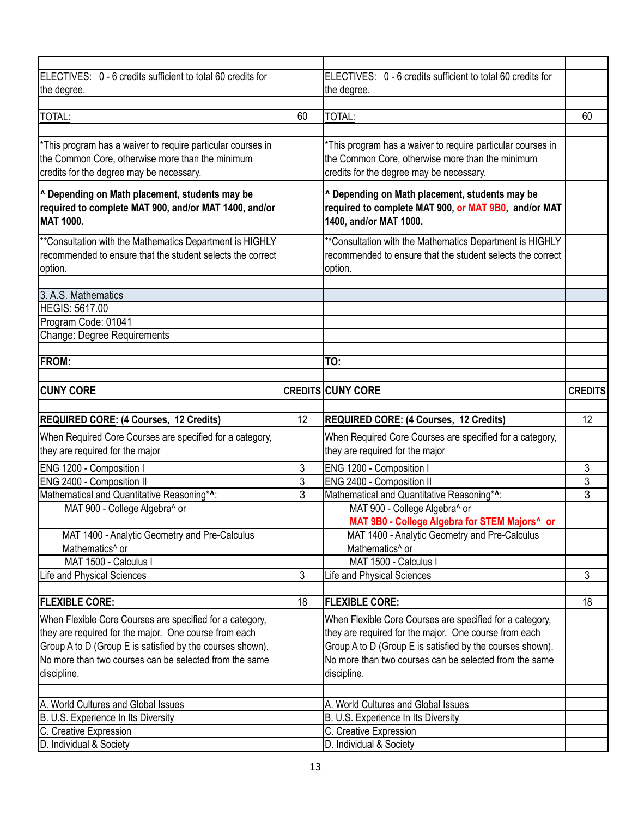| ELECTIVES: 0 - 6 credits sufficient to total 60 credits for               |                | ELECTIVES: 0 - 6 credits sufficient to total 60 credits for |                |
|---------------------------------------------------------------------------|----------------|-------------------------------------------------------------|----------------|
| the degree.                                                               |                | the degree.                                                 |                |
|                                                                           |                |                                                             |                |
| TOTAL:                                                                    | 60             | TOTAL:                                                      | 60             |
|                                                                           |                |                                                             |                |
| *This program has a waiver to require particular courses in               |                | *This program has a waiver to require particular courses in |                |
| the Common Core, otherwise more than the minimum                          |                | the Common Core, otherwise more than the minimum            |                |
| credits for the degree may be necessary.                                  |                | credits for the degree may be necessary.                    |                |
|                                                                           |                |                                                             |                |
| ^ Depending on Math placement, students may be                            |                | ^ Depending on Math placement, students may be              |                |
| required to complete MAT 900, and/or MAT 1400, and/or<br><b>MAT 1000.</b> |                | required to complete MAT 900, or MAT 9B0, and/or MAT        |                |
|                                                                           |                | 1400, and/or MAT 1000.                                      |                |
| ** Consultation with the Mathematics Department is HIGHLY                 |                | **Consultation with the Mathematics Department is HIGHLY    |                |
| recommended to ensure that the student selects the correct                |                | recommended to ensure that the student selects the correct  |                |
| option.                                                                   |                | option.                                                     |                |
|                                                                           |                |                                                             |                |
| 3. A.S. Mathematics                                                       |                |                                                             |                |
| <b>HEGIS: 5617.00</b>                                                     |                |                                                             |                |
| Program Code: 01041                                                       |                |                                                             |                |
| Change: Degree Requirements                                               |                |                                                             |                |
|                                                                           |                |                                                             |                |
| <b>FROM:</b>                                                              |                | TO:                                                         |                |
|                                                                           |                |                                                             |                |
| <b>CUNY CORE</b>                                                          |                | <b>CREDITS CUNY CORE</b>                                    | <b>CREDITS</b> |
|                                                                           |                |                                                             |                |
|                                                                           |                |                                                             |                |
| <b>REQUIRED CORE: (4 Courses, 12 Credits)</b>                             | 12             | REQUIRED CORE: (4 Courses, 12 Credits)                      | 12             |
| When Required Core Courses are specified for a category,                  |                | When Required Core Courses are specified for a category,    |                |
| they are required for the major                                           |                | they are required for the major                             |                |
| ENG 1200 - Composition I                                                  | 3              | ENG 1200 - Composition I                                    | 3              |
| ENG 2400 - Composition II                                                 | 3              | ENG 2400 - Composition II                                   | 3              |
| Mathematical and Quantitative Reasoning*^:                                | $\overline{3}$ | Mathematical and Quantitative Reasoning*^:                  | $\overline{3}$ |
| MAT 900 - College Algebra^ or                                             |                | MAT 900 - College Algebra^ or                               |                |
|                                                                           |                | MAT 9B0 - College Algebra for STEM Majors^ or               |                |
| MAT 1400 - Analytic Geometry and Pre-Calculus                             |                | MAT 1400 - Analytic Geometry and Pre-Calculus               |                |
| Mathematics <sup>^</sup> or                                               |                | Mathematics <sup>^</sup> or                                 |                |
| MAT 1500 - Calculus I                                                     |                | MAT 1500 - Calculus I                                       |                |
| Life and Physical Sciences                                                | $\overline{3}$ | Life and Physical Sciences                                  | 3              |
|                                                                           |                |                                                             |                |
| <b>FLEXIBLE CORE:</b>                                                     | 18             | <b>FLEXIBLE CORE:</b>                                       | 18             |
| When Flexible Core Courses are specified for a category,                  |                | When Flexible Core Courses are specified for a category,    |                |
| they are required for the major. One course from each                     |                | they are required for the major. One course from each       |                |
| Group A to D (Group E is satisfied by the courses shown).                 |                | Group A to D (Group E is satisfied by the courses shown).   |                |
| No more than two courses can be selected from the same                    |                | No more than two courses can be selected from the same      |                |
| discipline.                                                               |                | discipline.                                                 |                |
|                                                                           |                |                                                             |                |
| A. World Cultures and Global Issues                                       |                | A. World Cultures and Global Issues                         |                |
| B. U.S. Experience In Its Diversity                                       |                | B. U.S. Experience In Its Diversity                         |                |
| C. Creative Expression<br>D. Individual & Society                         |                | C. Creative Expression<br>D. Individual & Society           |                |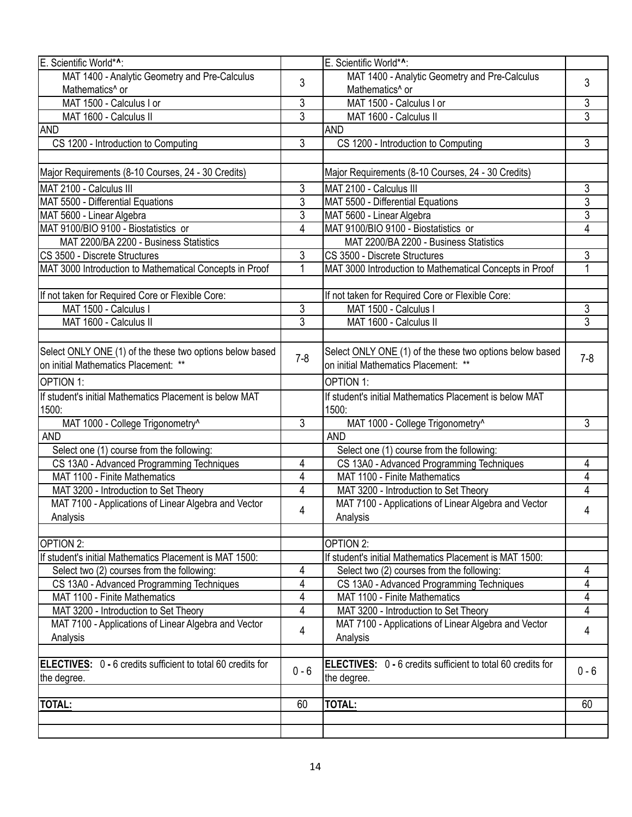| E. Scientific World*^:                                             |                | E. Scientific World*^:                                             |                |
|--------------------------------------------------------------------|----------------|--------------------------------------------------------------------|----------------|
| MAT 1400 - Analytic Geometry and Pre-Calculus                      |                | MAT 1400 - Analytic Geometry and Pre-Calculus                      |                |
| Mathematics <sup>^</sup> or                                        | 3              | Mathematics <sup>^</sup> or                                        | 3              |
| MAT 1500 - Calculus I or                                           | 3              | MAT 1500 - Calculus I or                                           | 3              |
| MAT 1600 - Calculus II                                             | 3              | MAT 1600 - Calculus II                                             | 3              |
| <b>AND</b>                                                         |                | <b>AND</b>                                                         |                |
| CS 1200 - Introduction to Computing                                | 3              | CS 1200 - Introduction to Computing                                | 3              |
|                                                                    |                |                                                                    |                |
| Major Requirements (8-10 Courses, 24 - 30 Credits)                 |                | Major Requirements (8-10 Courses, 24 - 30 Credits)                 |                |
| MAT 2100 - Calculus III                                            | 3              | MAT 2100 - Calculus III                                            | 3              |
| MAT 5500 - Differential Equations                                  | $\overline{3}$ | MAT 5500 - Differential Equations                                  | $\overline{3}$ |
| MAT 5600 - Linear Algebra                                          | 3              | MAT 5600 - Linear Algebra                                          | 3              |
| MAT 9100/BIO 9100 - Biostatistics or                               | 4              | MAT 9100/BIO 9100 - Biostatistics or                               | $\overline{4}$ |
| MAT 2200/BA 2200 - Business Statistics                             |                | MAT 2200/BA 2200 - Business Statistics                             |                |
| <b>CS 3500 - Discrete Structures</b>                               | 3              | CS 3500 - Discrete Structures                                      | 3              |
| MAT 3000 Introduction to Mathematical Concepts in Proof            | 1              | MAT 3000 Introduction to Mathematical Concepts in Proof            | 1              |
|                                                                    |                |                                                                    |                |
| If not taken for Required Core or Flexible Core:                   |                | If not taken for Required Core or Flexible Core:                   |                |
| MAT 1500 - Calculus I                                              | 3              | MAT 1500 - Calculus I                                              | 3              |
| MAT 1600 - Calculus II                                             | 3              | MAT 1600 - Calculus II                                             | $\overline{3}$ |
|                                                                    |                |                                                                    |                |
| Select ONLY ONE (1) of the these two options below based           |                | Select ONLY ONE (1) of the these two options below based           |                |
| on initial Mathematics Placement: **                               | $7 - 8$        | on initial Mathematics Placement: **                               | $7 - 8$        |
| <b>OPTION 1:</b>                                                   |                | <b>OPTION 1:</b>                                                   |                |
| If student's initial Mathematics Placement is below MAT            |                | If student's initial Mathematics Placement is below MAT            |                |
| 1500:                                                              |                | 1500:                                                              |                |
| MAT 1000 - College Trigonometry^                                   | 3              | MAT 1000 - College Trigonometry^                                   | 3              |
| <b>AND</b>                                                         |                | <b>AND</b>                                                         |                |
| Select one (1) course from the following:                          |                | Select one (1) course from the following:                          |                |
| CS 13A0 - Advanced Programming Techniques                          | 4              | CS 13A0 - Advanced Programming Techniques                          | 4              |
| MAT 1100 - Finite Mathematics                                      | 4              | MAT 1100 - Finite Mathematics                                      | 4              |
| MAT 3200 - Introduction to Set Theory                              | 4              | MAT 3200 - Introduction to Set Theory                              | 4              |
| MAT 7100 - Applications of Linear Algebra and Vector               |                | MAT 7100 - Applications of Linear Algebra and Vector               |                |
| Analysis                                                           | 4              | Analysis                                                           | 4              |
|                                                                    |                |                                                                    |                |
| OPTION 2:                                                          |                | OPTION 2:                                                          |                |
| If student's initial Mathematics Placement is MAT 1500:            |                | If student's initial Mathematics Placement is MAT 1500:            |                |
| Select two (2) courses from the following:                         | 4              | Select two (2) courses from the following:                         | 4              |
| CS 13A0 - Advanced Programming Techniques                          | 4              | CS 13A0 - Advanced Programming Techniques                          | 4              |
| MAT 1100 - Finite Mathematics                                      | 4              | MAT 1100 - Finite Mathematics                                      | 4              |
| MAT 3200 - Introduction to Set Theory                              | 4              | MAT 3200 - Introduction to Set Theory                              | 4              |
| MAT 7100 - Applications of Linear Algebra and Vector               |                | MAT 7100 - Applications of Linear Algebra and Vector               |                |
| Analysis                                                           | 4              | Analysis                                                           | 4              |
|                                                                    |                |                                                                    |                |
| <b>ELECTIVES:</b> 0 - 6 credits sufficient to total 60 credits for |                | <b>ELECTIVES:</b> 0 - 6 credits sufficient to total 60 credits for |                |
| the degree.                                                        | $0 - 6$        | the degree.                                                        | $0 - 6$        |
|                                                                    |                |                                                                    |                |
| TOTAL:                                                             | 60             | <b>TOTAL:</b>                                                      | 60             |
|                                                                    |                |                                                                    |                |
|                                                                    |                |                                                                    |                |
|                                                                    |                |                                                                    |                |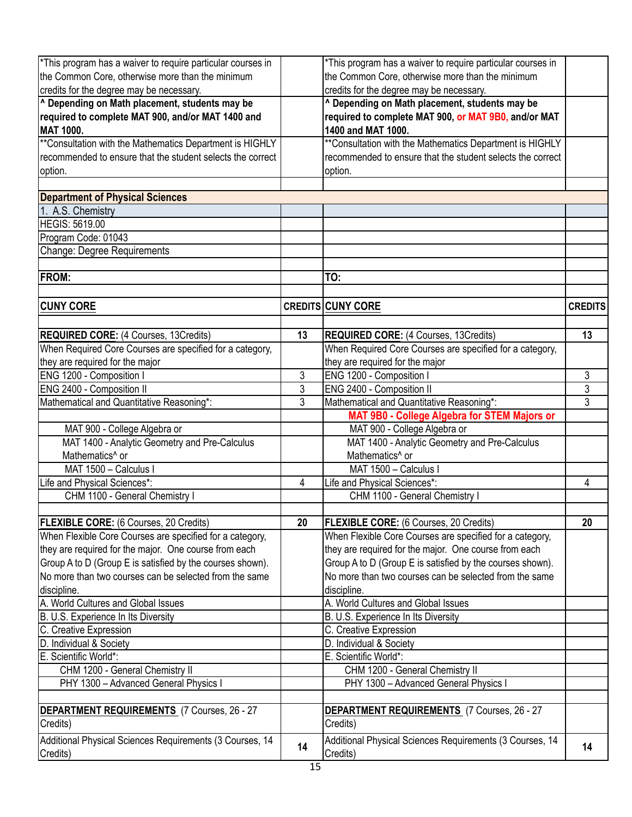| *This program has a waiver to require particular courses in |                |                                                             |                |
|-------------------------------------------------------------|----------------|-------------------------------------------------------------|----------------|
|                                                             |                | *This program has a waiver to require particular courses in |                |
| the Common Core, otherwise more than the minimum            |                | the Common Core, otherwise more than the minimum            |                |
| credits for the degree may be necessary.                    |                | credits for the degree may be necessary.                    |                |
| ^ Depending on Math placement, students may be              |                | ^ Depending on Math placement, students may be              |                |
| required to complete MAT 900, and/or MAT 1400 and           |                | required to complete MAT 900, or MAT 9B0, and/or MAT        |                |
| MAT 1000.                                                   |                | 1400 and MAT 1000.                                          |                |
| ** Consultation with the Mathematics Department is HIGHLY   |                | ** Consultation with the Mathematics Department is HIGHLY   |                |
| recommended to ensure that the student selects the correct  |                | recommended to ensure that the student selects the correct  |                |
| option.                                                     |                | option.                                                     |                |
|                                                             |                |                                                             |                |
| <b>Department of Physical Sciences</b>                      |                |                                                             |                |
| 1. A.S. Chemistry                                           |                |                                                             |                |
| <b>HEGIS: 5619.00</b>                                       |                |                                                             |                |
| Program Code: 01043                                         |                |                                                             |                |
| <b>Change: Degree Requirements</b>                          |                |                                                             |                |
|                                                             |                |                                                             |                |
| FROM:                                                       |                | TO:                                                         |                |
|                                                             |                |                                                             |                |
| <b>CUNY CORE</b>                                            |                | <b>CREDITS CUNY CORE</b>                                    | <b>CREDITS</b> |
|                                                             |                |                                                             |                |
| <b>REQUIRED CORE:</b> (4 Courses, 13Credits)                | 13             | <b>REQUIRED CORE:</b> (4 Courses, 13Credits)                | 13             |
| When Required Core Courses are specified for a category,    |                |                                                             |                |
|                                                             |                | When Required Core Courses are specified for a category,    |                |
| they are required for the major                             |                | they are required for the major                             |                |
| ENG 1200 - Composition I                                    | $\mathfrak{Z}$ | ENG 1200 - Composition I                                    | 3              |
| ENG 2400 - Composition II                                   | 3              | ENG 2400 - Composition II                                   | $\overline{3}$ |
| Mathematical and Quantitative Reasoning*:                   | 3              | Mathematical and Quantitative Reasoning*:                   | 3              |
|                                                             |                | MAT 9B0 - College Algebra for STEM Majors or                |                |
| MAT 900 - College Algebra or                                |                | MAT 900 - College Algebra or                                |                |
| MAT 1400 - Analytic Geometry and Pre-Calculus               |                | MAT 1400 - Analytic Geometry and Pre-Calculus               |                |
| Mathematics <sup>^</sup> or                                 |                | Mathematics <sup>^</sup> or                                 |                |
| MAT 1500 - Calculus I                                       |                | MAT 1500 - Calculus I                                       |                |
| Life and Physical Sciences*:                                | 4              | Life and Physical Sciences*:                                | 4              |
| CHM 1100 - General Chemistry I                              |                | CHM 1100 - General Chemistry I                              |                |
|                                                             |                |                                                             |                |
| <b>FLEXIBLE CORE:</b> (6 Courses, 20 Credits)               | 20             | <b>FLEXIBLE CORE:</b> (6 Courses, 20 Credits)               | 20             |
| When Flexible Core Courses are specified for a category,    |                | When Flexible Core Courses are specified for a category,    |                |
| they are required for the major. One course from each       |                | they are required for the major. One course from each       |                |
| Group A to D (Group E is satisfied by the courses shown).   |                | Group A to D (Group E is satisfied by the courses shown).   |                |
| No more than two courses can be selected from the same      |                | No more than two courses can be selected from the same      |                |
| discipline.                                                 |                | discipline.                                                 |                |
| A. World Cultures and Global Issues                         |                | A. World Cultures and Global Issues                         |                |
| B. U.S. Experience In Its Diversity                         |                | B. U.S. Experience In Its Diversity                         |                |
| C. Creative Expression                                      |                | C. Creative Expression                                      |                |
| D. Individual & Society                                     |                | D. Individual & Society                                     |                |
| E. Scientific World*:                                       |                | E. Scientific World*:                                       |                |
| CHM 1200 - General Chemistry II                             |                | CHM 1200 - General Chemistry II                             |                |
| PHY 1300 - Advanced General Physics I                       |                | PHY 1300 - Advanced General Physics I                       |                |
|                                                             |                |                                                             |                |
| DEPARTMENT REQUIREMENTS (7 Courses, 26 - 27                 |                | <b>DEPARTMENT REQUIREMENTS</b> (7 Courses, 26 - 27          |                |
| Credits)                                                    |                | Credits)                                                    |                |
|                                                             |                |                                                             |                |
| Additional Physical Sciences Requirements (3 Courses, 14    | 14             | Additional Physical Sciences Requirements (3 Courses, 14    | 14             |
| Credits)                                                    |                | Credits)                                                    |                |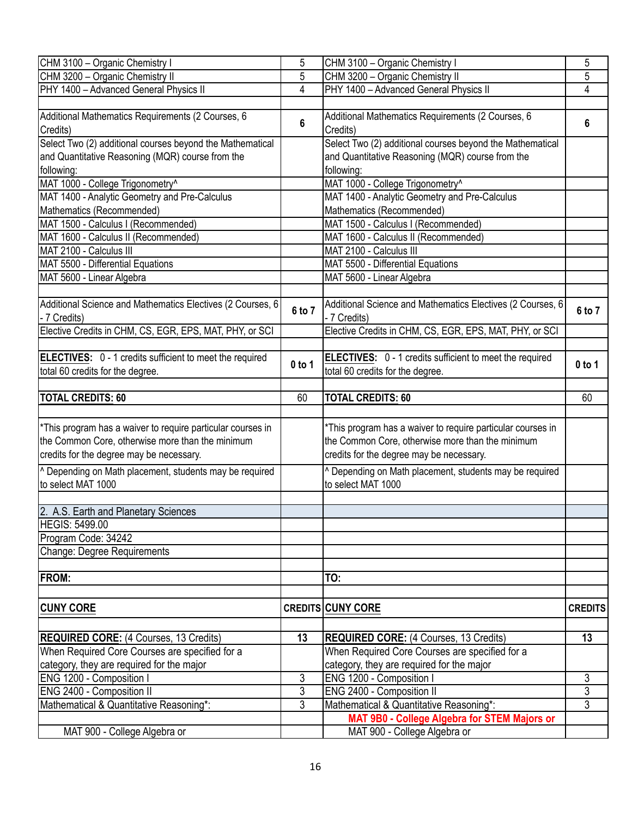| CHM 3100 - Organic Chemistry I                                                               | 5                   | CHM 3100 - Organic Chemistry I                                                               | 5                                |
|----------------------------------------------------------------------------------------------|---------------------|----------------------------------------------------------------------------------------------|----------------------------------|
| CHM 3200 - Organic Chemistry II                                                              | 5                   | CHM 3200 - Organic Chemistry II                                                              | 5                                |
| PHY 1400 - Advanced General Physics II                                                       | 4                   | PHY 1400 - Advanced General Physics II                                                       | 4                                |
|                                                                                              |                     |                                                                                              |                                  |
| Additional Mathematics Requirements (2 Courses, 6<br>Credits)                                | 6                   | Additional Mathematics Requirements (2 Courses, 6<br>Credits)                                | 6                                |
| Select Two (2) additional courses beyond the Mathematical                                    |                     | Select Two (2) additional courses beyond the Mathematical                                    |                                  |
| and Quantitative Reasoning (MQR) course from the                                             |                     | and Quantitative Reasoning (MQR) course from the                                             |                                  |
| following:                                                                                   |                     | following:                                                                                   |                                  |
| MAT 1000 - College Trigonometry^                                                             |                     | MAT 1000 - College Trigonometry^                                                             |                                  |
| MAT 1400 - Analytic Geometry and Pre-Calculus                                                |                     | MAT 1400 - Analytic Geometry and Pre-Calculus                                                |                                  |
| Mathematics (Recommended)                                                                    |                     | Mathematics (Recommended)                                                                    |                                  |
| MAT 1500 - Calculus I (Recommended)                                                          |                     | MAT 1500 - Calculus I (Recommended)                                                          |                                  |
| MAT 1600 - Calculus II (Recommended)                                                         |                     | MAT 1600 - Calculus II (Recommended)                                                         |                                  |
| MAT 2100 - Calculus III                                                                      |                     | MAT 2100 - Calculus III                                                                      |                                  |
| MAT 5500 - Differential Equations                                                            |                     | MAT 5500 - Differential Equations                                                            |                                  |
| MAT 5600 - Linear Algebra                                                                    |                     | MAT 5600 - Linear Algebra                                                                    |                                  |
|                                                                                              |                     |                                                                                              |                                  |
| Additional Science and Mathematics Electives (2 Courses, 6<br>- 7 Credits)                   | 6 to 7              | Additional Science and Mathematics Electives (2 Courses, 6<br>- 7 Credits)                   | 6 to 7                           |
| Elective Credits in CHM, CS, EGR, EPS, MAT, PHY, or SCI                                      |                     | Elective Credits in CHM, CS, EGR, EPS, MAT, PHY, or SCI                                      |                                  |
|                                                                                              |                     |                                                                                              |                                  |
| ELECTIVES: 0 - 1 credits sufficient to meet the required<br>total 60 credits for the degree. | $0$ to 1            | ELECTIVES: 0 - 1 credits sufficient to meet the required<br>total 60 credits for the degree. | $0$ to 1                         |
|                                                                                              |                     |                                                                                              |                                  |
| <b>TOTAL CREDITS: 60</b>                                                                     | 60                  | <b>TOTAL CREDITS: 60</b>                                                                     | 60                               |
|                                                                                              |                     |                                                                                              |                                  |
| <sup>*</sup> This program has a waiver to require particular courses in                      |                     | *This program has a waiver to require particular courses in                                  |                                  |
| the Common Core, otherwise more than the minimum                                             |                     | the Common Core, otherwise more than the minimum                                             |                                  |
| credits for the degree may be necessary.                                                     |                     | credits for the degree may be necessary.                                                     |                                  |
| <sup>1</sup> Depending on Math placement, students may be required                           |                     | <sup>^</sup> Depending on Math placement, students may be required                           |                                  |
| to select MAT 1000                                                                           |                     | to select MAT 1000                                                                           |                                  |
|                                                                                              |                     |                                                                                              |                                  |
| 2. A.S. Earth and Planetary Sciences                                                         |                     |                                                                                              |                                  |
| <b>HEGIS: 5499.00</b>                                                                        |                     |                                                                                              |                                  |
| Program Code: 34242                                                                          |                     |                                                                                              |                                  |
| Change: Degree Requirements                                                                  |                     |                                                                                              |                                  |
|                                                                                              |                     |                                                                                              |                                  |
| <b>FROM:</b>                                                                                 |                     | TO:                                                                                          |                                  |
|                                                                                              |                     |                                                                                              |                                  |
| <b>CUNY CORE</b>                                                                             |                     | <b>CREDITS CUNY CORE</b>                                                                     | <b>CREDITS</b>                   |
|                                                                                              |                     |                                                                                              |                                  |
| <b>REQUIRED CORE:</b> (4 Courses, 13 Credits)                                                | 13                  | <b>REQUIRED CORE:</b> (4 Courses, 13 Credits)                                                | 13                               |
| When Required Core Courses are specified for a                                               |                     | When Required Core Courses are specified for a                                               |                                  |
| category, they are required for the major                                                    |                     | category, they are required for the major                                                    |                                  |
| ENG 1200 - Composition I                                                                     | 3                   | ENG 1200 - Composition I                                                                     | 3                                |
| ENG 2400 - Composition II                                                                    | 3<br>$\overline{3}$ | ENG 2400 - Composition II                                                                    | $\overline{3}$<br>$\overline{3}$ |
| Mathematical & Quantitative Reasoning*:                                                      |                     | Mathematical & Quantitative Reasoning*:                                                      |                                  |
|                                                                                              |                     | MAT 9B0 - College Algebra for STEM Majors or                                                 |                                  |
| MAT 900 - College Algebra or                                                                 |                     | MAT 900 - College Algebra or                                                                 |                                  |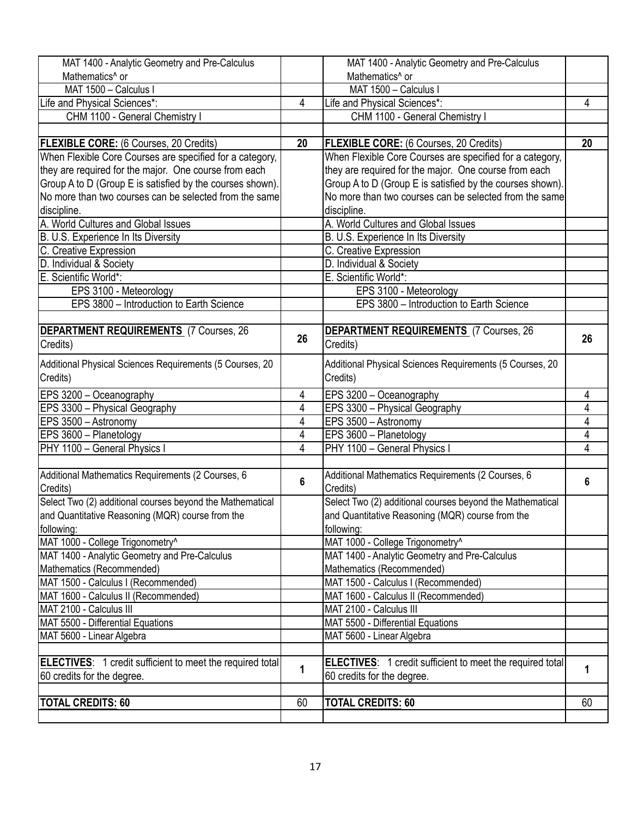| MAT 1400 - Analytic Geometry and Pre-Calculus                    |                | MAT 1400 - Analytic Geometry and Pre-Calculus                    |    |
|------------------------------------------------------------------|----------------|------------------------------------------------------------------|----|
| Mathematics <sup>^</sup> or                                      |                | Mathematics <sup>^</sup> or                                      |    |
| MAT 1500 - Calculus I                                            |                | MAT 1500 - Calculus I                                            |    |
| Life and Physical Sciences*:                                     | $\overline{4}$ | Life and Physical Sciences*:                                     | 4  |
| CHM 1100 - General Chemistry I                                   |                | CHM 1100 - General Chemistry I                                   |    |
|                                                                  |                |                                                                  |    |
| <b>FLEXIBLE CORE:</b> (6 Courses, 20 Credits)                    | 20             | <b>FLEXIBLE CORE:</b> (6 Courses, 20 Credits)                    | 20 |
| When Flexible Core Courses are specified for a category,         |                | When Flexible Core Courses are specified for a category,         |    |
| they are required for the major. One course from each            |                | they are required for the major. One course from each            |    |
| Group A to D (Group E is satisfied by the courses shown).        |                | Group A to D (Group E is satisfied by the courses shown).        |    |
| No more than two courses can be selected from the same           |                | No more than two courses can be selected from the same           |    |
| discipline.                                                      |                | discipline.                                                      |    |
| A. World Cultures and Global Issues                              |                | A. World Cultures and Global Issues                              |    |
| B. U.S. Experience In Its Diversity                              |                | B. U.S. Experience In Its Diversity                              |    |
| C. Creative Expression                                           |                | C. Creative Expression                                           |    |
| D. Individual & Society                                          |                | D. Individual & Society                                          |    |
| E. Scientific World*:                                            |                | E. Scientific World*:                                            |    |
| EPS 3100 - Meteorology                                           |                | EPS 3100 - Meteorology                                           |    |
| EPS 3800 - Introduction to Earth Science                         |                | EPS 3800 - Introduction to Earth Science                         |    |
|                                                                  |                |                                                                  |    |
| DEPARTMENT REQUIREMENTS (7 Courses, 26                           |                | <b>DEPARTMENT REQUIREMENTS</b> (7 Courses, 26                    |    |
| Credits)                                                         | 26             | Credits)                                                         | 26 |
|                                                                  |                |                                                                  |    |
| Additional Physical Sciences Requirements (5 Courses, 20         |                | Additional Physical Sciences Requirements (5 Courses, 20         |    |
| Credits)                                                         |                | Credits)                                                         |    |
| EPS 3200 - Oceanography                                          | 4              | EPS 3200 - Oceanography                                          | 4  |
| EPS 3300 - Physical Geography                                    | 4              | EPS 3300 - Physical Geography                                    | 4  |
| EPS 3500 - Astronomy                                             | 4              | EPS 3500 - Astronomy                                             | 4  |
| EPS 3600 - Planetology                                           | 4              | EPS 3600 - Planetology                                           | 4  |
| PHY 1100 - General Physics I                                     | 4              | PHY 1100 - General Physics I                                     | 4  |
|                                                                  |                |                                                                  |    |
| Additional Mathematics Requirements (2 Courses, 6                | $6\phantom{1}$ | Additional Mathematics Requirements (2 Courses, 6                | 6  |
| Credits)                                                         |                | Credits)                                                         |    |
| Select Two (2) additional courses beyond the Mathematical        |                | Select Two (2) additional courses beyond the Mathematical        |    |
| and Quantitative Reasoning (MQR) course from the                 |                | and Quantitative Reasoning (MQR) course from the                 |    |
| following:                                                       |                | following:                                                       |    |
| MAT 1000 - College Trigonometry^                                 |                | MAT 1000 - College Trigonometry^                                 |    |
| MAT 1400 - Analytic Geometry and Pre-Calculus                    |                | MAT 1400 - Analytic Geometry and Pre-Calculus                    |    |
| Mathematics (Recommended)                                        |                | Mathematics (Recommended)                                        |    |
| MAT 1500 - Calculus I (Recommended)                              |                | MAT 1500 - Calculus I (Recommended)                              |    |
| MAT 1600 - Calculus II (Recommended)                             |                | MAT 1600 - Calculus II (Recommended)                             |    |
| MAT 2100 - Calculus III                                          |                | MAT 2100 - Calculus III                                          |    |
| MAT 5500 - Differential Equations                                |                | MAT 5500 - Differential Equations                                |    |
| MAT 5600 - Linear Algebra                                        |                | MAT 5600 - Linear Algebra                                        |    |
|                                                                  |                |                                                                  |    |
| <b>ELECTIVES:</b> 1 credit sufficient to meet the required total | 1              | <b>ELECTIVES:</b> 1 credit sufficient to meet the required total | 1  |
| 60 credits for the degree.                                       |                | 60 credits for the degree.                                       |    |
|                                                                  |                |                                                                  |    |
| <b>TOTAL CREDITS: 60</b>                                         | 60             | <b>TOTAL CREDITS: 60</b>                                         | 60 |
|                                                                  |                |                                                                  |    |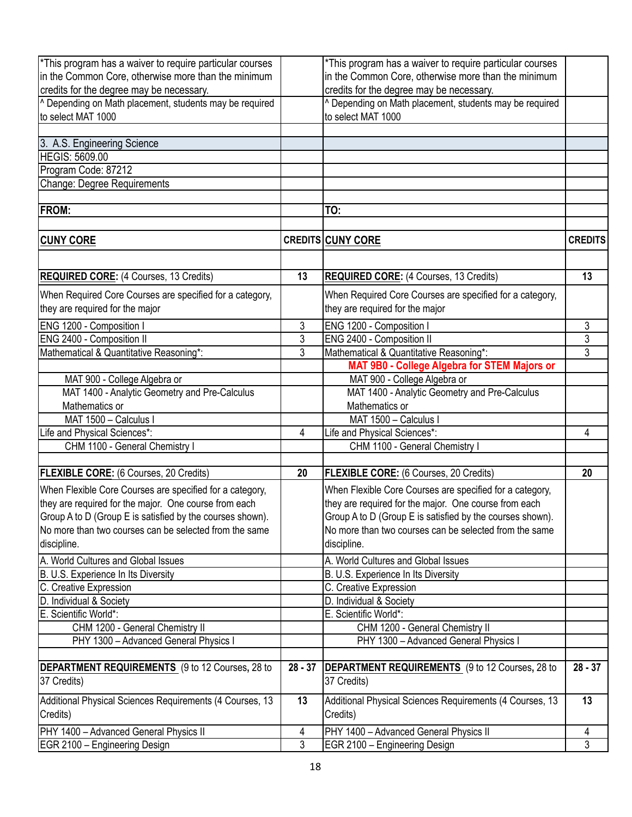| <sup>*</sup> This program has a waiver to require particular courses |           | *This program has a waiver to require particular courses  |                |
|----------------------------------------------------------------------|-----------|-----------------------------------------------------------|----------------|
| in the Common Core, otherwise more than the minimum                  |           | in the Common Core, otherwise more than the minimum       |                |
| credits for the degree may be necessary.                             |           | credits for the degree may be necessary.                  |                |
| <sup>^</sup> Depending on Math placement, students may be required   |           | ^ Depending on Math placement, students may be required   |                |
| to select MAT 1000                                                   |           | to select MAT 1000                                        |                |
|                                                                      |           |                                                           |                |
| 3. A.S. Engineering Science                                          |           |                                                           |                |
| <b>HEGIS: 5609.00</b>                                                |           |                                                           |                |
| Program Code: 87212                                                  |           |                                                           |                |
| Change: Degree Requirements                                          |           |                                                           |                |
|                                                                      |           |                                                           |                |
| <b>FROM:</b>                                                         |           | TO:                                                       |                |
|                                                                      |           |                                                           |                |
| <b>CUNY CORE</b>                                                     |           | <b>CREDITS CUNY CORE</b>                                  | <b>CREDITS</b> |
|                                                                      |           |                                                           |                |
|                                                                      |           |                                                           |                |
| <b>REQUIRED CORE:</b> (4 Courses, 13 Credits)                        | 13        | <b>REQUIRED CORE:</b> (4 Courses, 13 Credits)             | 13             |
| When Required Core Courses are specified for a category,             |           | When Required Core Courses are specified for a category,  |                |
| they are required for the major                                      |           | they are required for the major                           |                |
| ENG 1200 - Composition I                                             | 3         | ENG 1200 - Composition I                                  | 3              |
| ENG 2400 - Composition II                                            | 3         | ENG 2400 - Composition II                                 | 3              |
| Mathematical & Quantitative Reasoning*:                              | 3         | Mathematical & Quantitative Reasoning*:                   | $\overline{3}$ |
|                                                                      |           | MAT 9B0 - College Algebra for STEM Majors or              |                |
| MAT 900 - College Algebra or                                         |           | MAT 900 - College Algebra or                              |                |
| MAT 1400 - Analytic Geometry and Pre-Calculus                        |           | MAT 1400 - Analytic Geometry and Pre-Calculus             |                |
| Mathematics or                                                       |           | Mathematics or                                            |                |
| MAT 1500 - Calculus I                                                |           | MAT 1500 - Calculus I                                     |                |
|                                                                      | 4         | Life and Physical Sciences*:                              | 4              |
| Life and Physical Sciences*:<br>CHM 1100 - General Chemistry I       |           | CHM 1100 - General Chemistry I                            |                |
|                                                                      |           |                                                           |                |
| <b>FLEXIBLE CORE:</b> (6 Courses, 20 Credits)                        | 20        | FLEXIBLE CORE: (6 Courses, 20 Credits)                    | 20             |
| When Flexible Core Courses are specified for a category,             |           | When Flexible Core Courses are specified for a category,  |                |
| they are required for the major. One course from each                |           | they are required for the major. One course from each     |                |
| Group A to D (Group E is satisfied by the courses shown).            |           | Group A to D (Group E is satisfied by the courses shown). |                |
| No more than two courses can be selected from the same               |           | No more than two courses can be selected from the same    |                |
| discipline.                                                          |           | discipline.                                               |                |
|                                                                      |           |                                                           |                |
| A. World Cultures and Global Issues                                  |           | A. World Cultures and Global Issues                       |                |
| B. U.S. Experience In Its Diversity                                  |           | B. U.S. Experience In Its Diversity                       |                |
| C. Creative Expression                                               |           | C. Creative Expression                                    |                |
| D. Individual & Society                                              |           | D. Individual & Society                                   |                |
| E. Scientific World*:                                                |           | E. Scientific World*:                                     |                |
| CHM 1200 - General Chemistry II                                      |           | CHM 1200 - General Chemistry II                           |                |
| PHY 1300 - Advanced General Physics I                                |           | PHY 1300 - Advanced General Physics I                     |                |
|                                                                      |           |                                                           |                |
| DEPARTMENT REQUIREMENTS (9 to 12 Courses, 28 to                      | $28 - 37$ | <b>DEPARTMENT REQUIREMENTS</b> (9 to 12 Courses, 28 to    | $28 - 37$      |
| 37 Credits)                                                          |           | 37 Credits)                                               |                |
| Additional Physical Sciences Requirements (4 Courses, 13             | 13        | Additional Physical Sciences Requirements (4 Courses, 13  | 13             |
| Credits)                                                             |           | Credits)                                                  |                |
| PHY 1400 - Advanced General Physics II                               | 4         | PHY 1400 - Advanced General Physics II                    | 4              |
| EGR 2100 - Engineering Design                                        | 3         | EGR 2100 - Engineering Design                             | 3              |
|                                                                      |           |                                                           |                |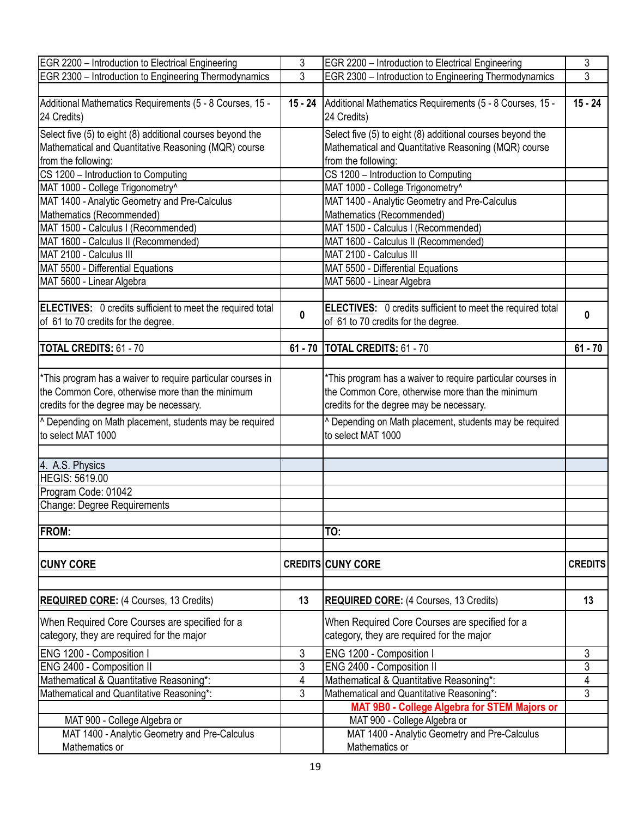| EGR 2200 - Introduction to Electrical Engineering                  | $\mathfrak{Z}$ | EGR 2200 - Introduction to Electrical Engineering                | 3              |
|--------------------------------------------------------------------|----------------|------------------------------------------------------------------|----------------|
| EGR 2300 - Introduction to Engineering Thermodynamics              | $\overline{3}$ | EGR 2300 - Introduction to Engineering Thermodynamics            | $\overline{3}$ |
|                                                                    |                |                                                                  |                |
| Additional Mathematics Requirements (5 - 8 Courses, 15 -           |                | 15 - 24 Additional Mathematics Requirements (5 - 8 Courses, 15 - | $15 - 24$      |
| 24 Credits)                                                        |                | 24 Credits)                                                      |                |
|                                                                    |                |                                                                  |                |
| Select five (5) to eight (8) additional courses beyond the         |                | Select five (5) to eight (8) additional courses beyond the       |                |
| Mathematical and Quantitative Reasoning (MQR) course               |                | Mathematical and Quantitative Reasoning (MQR) course             |                |
| from the following:                                                |                | from the following:                                              |                |
|                                                                    |                |                                                                  |                |
| CS 1200 - Introduction to Computing                                |                | CS 1200 - Introduction to Computing                              |                |
| MAT 1000 - College Trigonometry^                                   |                | MAT 1000 - College Trigonometry^                                 |                |
| MAT 1400 - Analytic Geometry and Pre-Calculus                      |                | MAT 1400 - Analytic Geometry and Pre-Calculus                    |                |
| Mathematics (Recommended)                                          |                | Mathematics (Recommended)                                        |                |
| MAT 1500 - Calculus I (Recommended)                                |                | MAT 1500 - Calculus I (Recommended)                              |                |
|                                                                    |                |                                                                  |                |
| MAT 1600 - Calculus II (Recommended)                               |                | MAT 1600 - Calculus II (Recommended)                             |                |
| MAT 2100 - Calculus III                                            |                | MAT 2100 - Calculus III                                          |                |
| MAT 5500 - Differential Equations                                  |                | MAT 5500 - Differential Equations                                |                |
| MAT 5600 - Linear Algebra                                          |                | MAT 5600 - Linear Algebra                                        |                |
|                                                                    |                |                                                                  |                |
| ELECTIVES: 0 credits sufficient to meet the required total         |                | ELECTIVES: 0 credits sufficient to meet the required total       |                |
|                                                                    | $\mathbf{0}$   |                                                                  | 0              |
| of 61 to 70 credits for the degree.                                |                | of 61 to 70 credits for the degree.                              |                |
|                                                                    |                |                                                                  |                |
| <b>TOTAL CREDITS: 61 - 70</b>                                      |                | 61 - 70   TOTAL CREDITS: 61 - 70                                 | $61 - 70$      |
|                                                                    |                |                                                                  |                |
|                                                                    |                |                                                                  |                |
| *This program has a waiver to require particular courses in        |                | *This program has a waiver to require particular courses in      |                |
| the Common Core, otherwise more than the minimum                   |                | the Common Core, otherwise more than the minimum                 |                |
| credits for the degree may be necessary.                           |                | credits for the degree may be necessary.                         |                |
| <sup>^</sup> Depending on Math placement, students may be required |                | ^ Depending on Math placement, students may be required          |                |
|                                                                    |                |                                                                  |                |
| to select MAT 1000                                                 |                | to select MAT 1000                                               |                |
|                                                                    |                |                                                                  |                |
| 4. A.S. Physics                                                    |                |                                                                  |                |
| <b>HEGIS: 5619.00</b>                                              |                |                                                                  |                |
| Program Code: 01042                                                |                |                                                                  |                |
|                                                                    |                |                                                                  |                |
| Change: Degree Requirements                                        |                |                                                                  |                |
|                                                                    |                |                                                                  |                |
| FROM:                                                              |                | TO:                                                              |                |
|                                                                    |                |                                                                  |                |
|                                                                    |                |                                                                  |                |
| <b>CUNY CORE</b>                                                   |                | <b>CREDITS CUNY CORE</b>                                         | <b>CREDITS</b> |
|                                                                    |                |                                                                  |                |
|                                                                    |                |                                                                  |                |
| <b>REQUIRED CORE:</b> (4 Courses, 13 Credits)                      | 13             | <b>REQUIRED CORE: (4 Courses, 13 Credits)</b>                    | 13             |
|                                                                    |                |                                                                  |                |
| When Required Core Courses are specified for a                     |                | When Required Core Courses are specified for a                   |                |
| category, they are required for the major                          |                | category, they are required for the major                        |                |
|                                                                    |                |                                                                  |                |
| ENG 1200 - Composition I                                           | 3              | ENG 1200 - Composition I                                         | 3              |
| ENG 2400 - Composition II                                          | 3              | ENG 2400 - Composition II                                        | 3              |
| Mathematical & Quantitative Reasoning*:                            | 4              | Mathematical & Quantitative Reasoning*:                          | $\overline{4}$ |
| Mathematical and Quantitative Reasoning*:                          | $\mathfrak{Z}$ | Mathematical and Quantitative Reasoning*:                        | $\overline{3}$ |
|                                                                    |                | MAT 9B0 - College Algebra for STEM Majors or                     |                |
|                                                                    |                |                                                                  |                |
| MAT 900 - College Algebra or                                       |                | MAT 900 - College Algebra or                                     |                |
| MAT 1400 - Analytic Geometry and Pre-Calculus                      |                | MAT 1400 - Analytic Geometry and Pre-Calculus                    |                |
| Mathematics or                                                     |                | Mathematics or                                                   |                |
|                                                                    |                |                                                                  |                |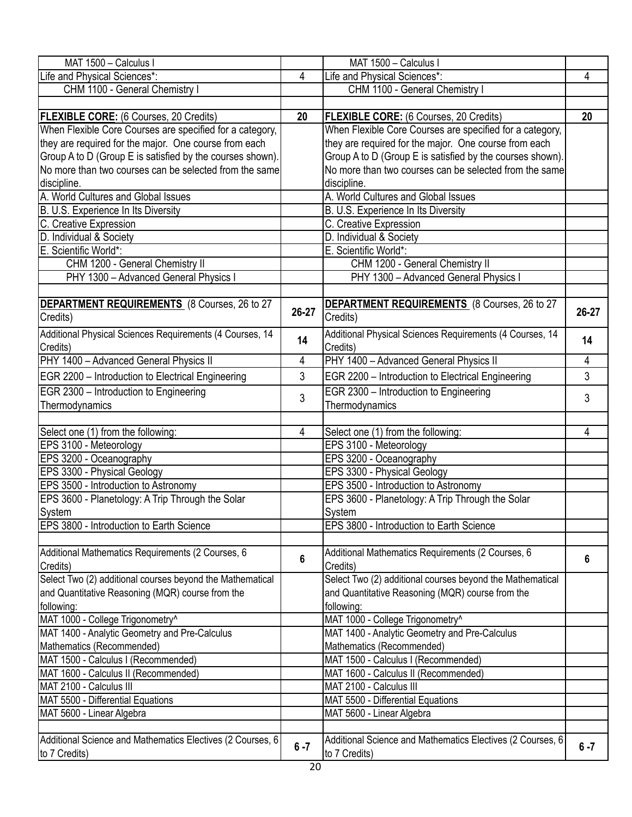| MAT 1500 - Calculus I                                      |                | MAT 1500 - Calculus I                                           |         |
|------------------------------------------------------------|----------------|-----------------------------------------------------------------|---------|
|                                                            | $\overline{4}$ |                                                                 | 4       |
| Life and Physical Sciences*:                               |                | Life and Physical Sciences*:                                    |         |
| CHM 1100 - General Chemistry I                             |                | CHM 1100 - General Chemistry I                                  |         |
|                                                            |                |                                                                 |         |
| <b>FLEXIBLE CORE:</b> (6 Courses, 20 Credits)              | 20             | FLEXIBLE CORE: (6 Courses, 20 Credits)                          | 20      |
| When Flexible Core Courses are specified for a category,   |                | When Flexible Core Courses are specified for a category,        |         |
| they are required for the major. One course from each      |                | they are required for the major. One course from each           |         |
| Group A to D (Group E is satisfied by the courses shown).  |                | Group A to D (Group E is satisfied by the courses shown).       |         |
| No more than two courses can be selected from the same     |                | No more than two courses can be selected from the same          |         |
| discipline.                                                |                | discipline.                                                     |         |
| A. World Cultures and Global Issues                        |                | A. World Cultures and Global Issues                             |         |
| B. U.S. Experience In Its Diversity                        |                | B. U.S. Experience In Its Diversity                             |         |
| C. Creative Expression                                     |                | C. Creative Expression                                          |         |
| D. Individual & Society                                    |                | D. Individual & Society                                         |         |
| E. Scientific World*:                                      |                | E. Scientific World*:                                           |         |
| CHM 1200 - General Chemistry II                            |                | CHM 1200 - General Chemistry II                                 |         |
| PHY 1300 - Advanced General Physics I                      |                | PHY 1300 - Advanced General Physics I                           |         |
|                                                            |                |                                                                 |         |
| DEPARTMENT REQUIREMENTS (8 Courses, 26 to 27<br>Credits)   | 26-27          | <b>DEPARTMENT REQUIREMENTS</b> (8 Courses, 26 to 27<br>Credits) | 26-27   |
| Additional Physical Sciences Requirements (4 Courses, 14   |                | Additional Physical Sciences Requirements (4 Courses, 14        |         |
| Credits)                                                   | 14             | Credits)                                                        | 14      |
| PHY 1400 - Advanced General Physics II                     | 4              | PHY 1400 - Advanced General Physics II                          | 4       |
| EGR 2200 - Introduction to Electrical Engineering          | 3              | EGR 2200 - Introduction to Electrical Engineering               | 3       |
|                                                            |                |                                                                 |         |
| EGR 2300 - Introduction to Engineering                     | 3              | EGR 2300 - Introduction to Engineering                          | 3       |
| Thermodynamics                                             |                | Thermodynamics                                                  |         |
|                                                            |                |                                                                 |         |
| Select one (1) from the following:                         | 4              | Select one (1) from the following:                              | 4       |
| EPS 3100 - Meteorology                                     |                | EPS 3100 - Meteorology                                          |         |
| EPS 3200 - Oceanography                                    |                | EPS 3200 - Oceanography                                         |         |
| EPS 3300 - Physical Geology                                |                | EPS 3300 - Physical Geology                                     |         |
| <b>EPS 3500 - Introduction to Astronomy</b>                |                | EPS 3500 - Introduction to Astronomy                            |         |
| EPS 3600 - Planetology: A Trip Through the Solar           |                | EPS 3600 - Planetology: A Trip Through the Solar                |         |
| System                                                     |                | System                                                          |         |
| EPS 3800 - Introduction to Earth Science                   |                | EPS 3800 - Introduction to Earth Science                        |         |
|                                                            |                |                                                                 |         |
| Additional Mathematics Requirements (2 Courses, 6          | 6              | Additional Mathematics Requirements (2 Courses, 6               | 6       |
| Credits)                                                   |                | Credits)                                                        |         |
| Select Two (2) additional courses beyond the Mathematical  |                | Select Two (2) additional courses beyond the Mathematical       |         |
| and Quantitative Reasoning (MQR) course from the           |                | and Quantitative Reasoning (MQR) course from the                |         |
| following:                                                 |                | following:                                                      |         |
| MAT 1000 - College Trigonometry^                           |                | MAT 1000 - College Trigonometry^                                |         |
| MAT 1400 - Analytic Geometry and Pre-Calculus              |                | MAT 1400 - Analytic Geometry and Pre-Calculus                   |         |
| Mathematics (Recommended)                                  |                | Mathematics (Recommended)                                       |         |
| MAT 1500 - Calculus I (Recommended)                        |                | MAT 1500 - Calculus I (Recommended)                             |         |
| MAT 1600 - Calculus II (Recommended)                       |                | MAT 1600 - Calculus II (Recommended)                            |         |
| MAT 2100 - Calculus III                                    |                | MAT 2100 - Calculus III                                         |         |
| MAT 5500 - Differential Equations                          |                | MAT 5500 - Differential Equations                               |         |
| MAT 5600 - Linear Algebra                                  |                | MAT 5600 - Linear Algebra                                       |         |
|                                                            |                |                                                                 |         |
| Additional Science and Mathematics Electives (2 Courses, 6 |                | Additional Science and Mathematics Electives (2 Courses, 6      |         |
| to 7 Credits)                                              | $6 - 7$        | to 7 Credits)                                                   | $6 - 7$ |
|                                                            |                |                                                                 |         |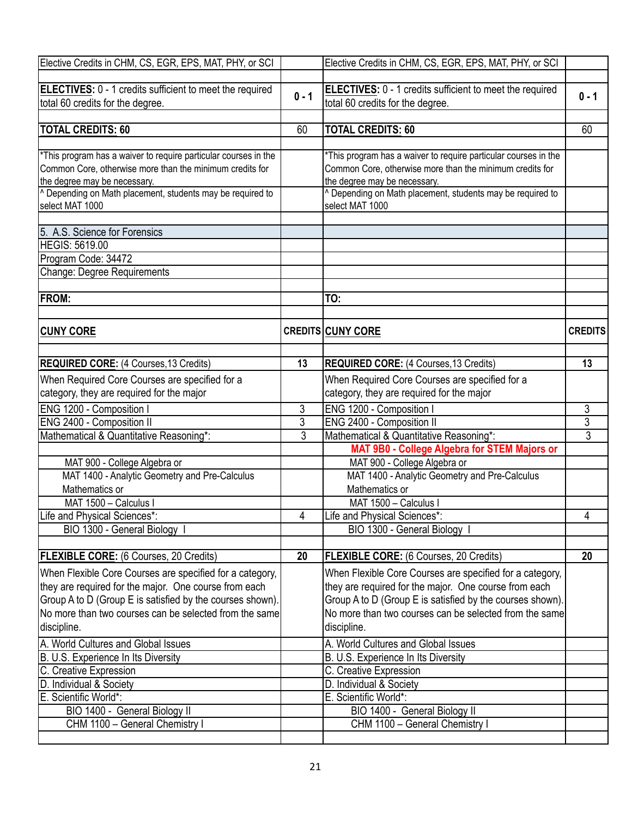| Elective Credits in CHM, CS, EGR, EPS, MAT, PHY, or SCI               |                | Elective Credits in CHM, CS, EGR, EPS, MAT, PHY, or SCI         |                |
|-----------------------------------------------------------------------|----------------|-----------------------------------------------------------------|----------------|
|                                                                       |                |                                                                 |                |
| ELECTIVES: 0 - 1 credits sufficient to meet the required              |                | <b>ELECTIVES:</b> 0 - 1 credits sufficient to meet the required |                |
| total 60 credits for the degree.                                      | $0 - 1$        | total 60 credits for the degree.                                | $0 - 1$        |
|                                                                       |                |                                                                 |                |
| <b>TOTAL CREDITS: 60</b>                                              | 60             | <b>TOTAL CREDITS: 60</b>                                        | 60             |
|                                                                       |                |                                                                 |                |
| *This program has a waiver to require particular courses in the       |                | *This program has a waiver to require particular courses in the |                |
| Common Core, otherwise more than the minimum credits for              |                | Common Core, otherwise more than the minimum credits for        |                |
| the degree may be necessary.                                          |                | the degree may be necessary.                                    |                |
| <sup>^</sup> Depending on Math placement, students may be required to |                | ^ Depending on Math placement, students may be required to      |                |
| select MAT 1000                                                       |                | select MAT 1000                                                 |                |
|                                                                       |                |                                                                 |                |
| 5. A.S. Science for Forensics                                         |                |                                                                 |                |
| <b>HEGIS: 5619.00</b>                                                 |                |                                                                 |                |
| Program Code: 34472                                                   |                |                                                                 |                |
| Change: Degree Requirements                                           |                |                                                                 |                |
|                                                                       |                |                                                                 |                |
| <b>FROM:</b>                                                          |                | TO:                                                             |                |
|                                                                       |                |                                                                 |                |
| <b>CUNY CORE</b>                                                      |                | CREDITS CUNY CORE                                               | <b>CREDITS</b> |
|                                                                       |                |                                                                 |                |
| <b>REQUIRED CORE:</b> (4 Courses, 13 Credits)                         | 13             | <b>REQUIRED CORE:</b> (4 Courses, 13 Credits)                   | 13             |
|                                                                       |                |                                                                 |                |
| When Required Core Courses are specified for a                        |                | When Required Core Courses are specified for a                  |                |
| category, they are required for the major                             |                | category, they are required for the major                       |                |
| ENG 1200 - Composition I                                              | 3              | ENG 1200 - Composition I                                        | 3              |
| <b>ENG 2400 - Composition II</b>                                      | 3              | ENG 2400 - Composition II                                       | $\overline{3}$ |
| Mathematical & Quantitative Reasoning*:                               | $\overline{3}$ | Mathematical & Quantitative Reasoning*:                         | $\overline{3}$ |
|                                                                       |                | MAT 9B0 - College Algebra for STEM Majors or                    |                |
| MAT 900 - College Algebra or                                          |                | MAT 900 - College Algebra or                                    |                |
| MAT 1400 - Analytic Geometry and Pre-Calculus                         |                | MAT 1400 - Analytic Geometry and Pre-Calculus                   |                |
| Mathematics or                                                        |                | Mathematics or                                                  |                |
| MAT 1500 - Calculus I                                                 |                | MAT 1500 - Calculus I                                           |                |
| Life and Physical Sciences*:                                          | 4              | Life and Physical Sciences*:                                    | 4              |
| BIO 1300 - General Biology I                                          |                | BIO 1300 - General Biology I                                    |                |
|                                                                       |                |                                                                 |                |
| <b>FLEXIBLE CORE:</b> (6 Courses, 20 Credits)                         | 20             | <b>FLEXIBLE CORE:</b> (6 Courses, 20 Credits)                   | 20             |
| When Flexible Core Courses are specified for a category,              |                | When Flexible Core Courses are specified for a category,        |                |
| they are required for the major. One course from each                 |                | they are required for the major. One course from each           |                |
| Group A to D (Group E is satisfied by the courses shown).             |                | Group A to D (Group E is satisfied by the courses shown).       |                |
| No more than two courses can be selected from the same                |                | No more than two courses can be selected from the same          |                |
| discipline.                                                           |                | discipline.                                                     |                |
| A. World Cultures and Global Issues                                   |                | A. World Cultures and Global Issues                             |                |
| B. U.S. Experience In Its Diversity                                   |                | B. U.S. Experience In Its Diversity                             |                |
| C. Creative Expression                                                |                | C. Creative Expression                                          |                |
| D. Individual & Society                                               |                | D. Individual & Society                                         |                |
| E. Scientific World*:                                                 |                | E. Scientific World*:                                           |                |
| BIO 1400 - General Biology II                                         |                | BIO 1400 - General Biology II                                   |                |
| CHM 1100 - General Chemistry I                                        |                | CHM 1100 - General Chemistry I                                  |                |
|                                                                       |                |                                                                 |                |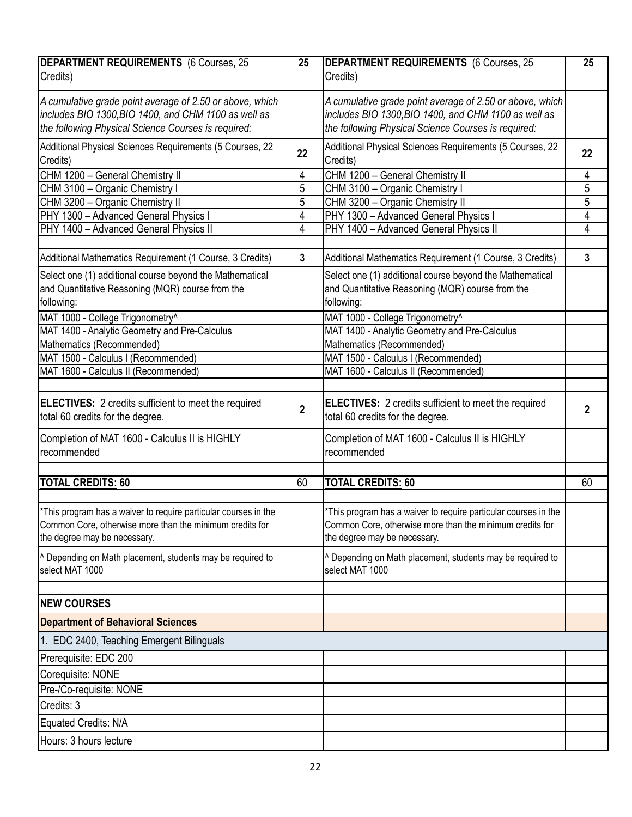| DEPARTMENT REQUIREMENTS (6 Courses, 25<br>Credits)                                                                                                                      | 25             | <b>DEPARTMENT REQUIREMENTS</b> (6 Courses, 25<br>Credits)                                                                                                               | 25             |
|-------------------------------------------------------------------------------------------------------------------------------------------------------------------------|----------------|-------------------------------------------------------------------------------------------------------------------------------------------------------------------------|----------------|
| A cumulative grade point average of 2.50 or above, which<br>includes BIO 1300, BIO 1400, and CHM 1100 as well as<br>the following Physical Science Courses is required: |                | A cumulative grade point average of 2.50 or above, which<br>includes BIO 1300, BIO 1400, and CHM 1100 as well as<br>the following Physical Science Courses is required: |                |
| Additional Physical Sciences Requirements (5 Courses, 22<br>Credits)                                                                                                    | 22             | Additional Physical Sciences Requirements (5 Courses, 22<br>Credits)                                                                                                    | 22             |
| CHM 1200 - General Chemistry II                                                                                                                                         | 4              | CHM 1200 - General Chemistry II                                                                                                                                         | 4              |
| CHM 3100 - Organic Chemistry I                                                                                                                                          | 5              | CHM 3100 - Organic Chemistry I                                                                                                                                          | $\overline{5}$ |
| CHM 3200 - Organic Chemistry II                                                                                                                                         | 5              | CHM 3200 - Organic Chemistry II                                                                                                                                         | $\overline{5}$ |
| PHY 1300 - Advanced General Physics I                                                                                                                                   | 4              | PHY 1300 - Advanced General Physics I                                                                                                                                   | $\overline{4}$ |
| PHY 1400 - Advanced General Physics II                                                                                                                                  | 4              | PHY 1400 - Advanced General Physics II                                                                                                                                  | $\overline{4}$ |
| Additional Mathematics Requirement (1 Course, 3 Credits)                                                                                                                | $\mathbf{3}$   | Additional Mathematics Requirement (1 Course, 3 Credits)                                                                                                                | $\mathbf{3}$   |
| Select one (1) additional course beyond the Mathematical<br>and Quantitative Reasoning (MQR) course from the<br>following:                                              |                | Select one (1) additional course beyond the Mathematical<br>and Quantitative Reasoning (MQR) course from the<br>following:                                              |                |
| MAT 1000 - College Trigonometry^                                                                                                                                        |                | MAT 1000 - College Trigonometry^                                                                                                                                        |                |
| MAT 1400 - Analytic Geometry and Pre-Calculus                                                                                                                           |                | MAT 1400 - Analytic Geometry and Pre-Calculus                                                                                                                           |                |
| Mathematics (Recommended)                                                                                                                                               |                | Mathematics (Recommended)                                                                                                                                               |                |
| MAT 1500 - Calculus I (Recommended)                                                                                                                                     |                | MAT 1500 - Calculus I (Recommended)                                                                                                                                     |                |
| MAT 1600 - Calculus II (Recommended)                                                                                                                                    |                | MAT 1600 - Calculus II (Recommended)                                                                                                                                    |                |
|                                                                                                                                                                         |                |                                                                                                                                                                         |                |
| ELECTIVES: 2 credits sufficient to meet the required<br>total 60 credits for the degree.                                                                                | $\overline{2}$ | <b>ELECTIVES:</b> 2 credits sufficient to meet the required<br>total 60 credits for the degree.                                                                         | $\mathbf 2$    |
| Completion of MAT 1600 - Calculus II is HIGHLY<br>recommended                                                                                                           |                | Completion of MAT 1600 - Calculus II is HIGHLY<br>recommended                                                                                                           |                |
| <b>TOTAL CREDITS: 60</b>                                                                                                                                                | 60             | <b>TOTAL CREDITS: 60</b>                                                                                                                                                | 60             |
|                                                                                                                                                                         |                |                                                                                                                                                                         |                |
| $\mid$ *This program has a waiver to require particular courses in the<br>Common Core, otherwise more than the minimum credits for<br>the degree may be necessary.      |                | *This program has a waiver to require particular courses in the<br>Common Core, otherwise more than the minimum credits for<br>the degree may be necessary.             |                |
| ^ Depending on Math placement, students may be required to<br>select MAT 1000                                                                                           |                | ^ Depending on Math placement, students may be required to<br>select MAT 1000                                                                                           |                |
|                                                                                                                                                                         |                |                                                                                                                                                                         |                |
| <b>NEW COURSES</b>                                                                                                                                                      |                |                                                                                                                                                                         |                |
| <b>Department of Behavioral Sciences</b>                                                                                                                                |                |                                                                                                                                                                         |                |
| 1. EDC 2400, Teaching Emergent Bilinguals                                                                                                                               |                |                                                                                                                                                                         |                |
| Prerequisite: EDC 200                                                                                                                                                   |                |                                                                                                                                                                         |                |
| Corequisite: NONE                                                                                                                                                       |                |                                                                                                                                                                         |                |
| Pre-/Co-requisite: NONE                                                                                                                                                 |                |                                                                                                                                                                         |                |
| Credits: 3                                                                                                                                                              |                |                                                                                                                                                                         |                |
| Equated Credits: N/A                                                                                                                                                    |                |                                                                                                                                                                         |                |
| Hours: 3 hours lecture                                                                                                                                                  |                |                                                                                                                                                                         |                |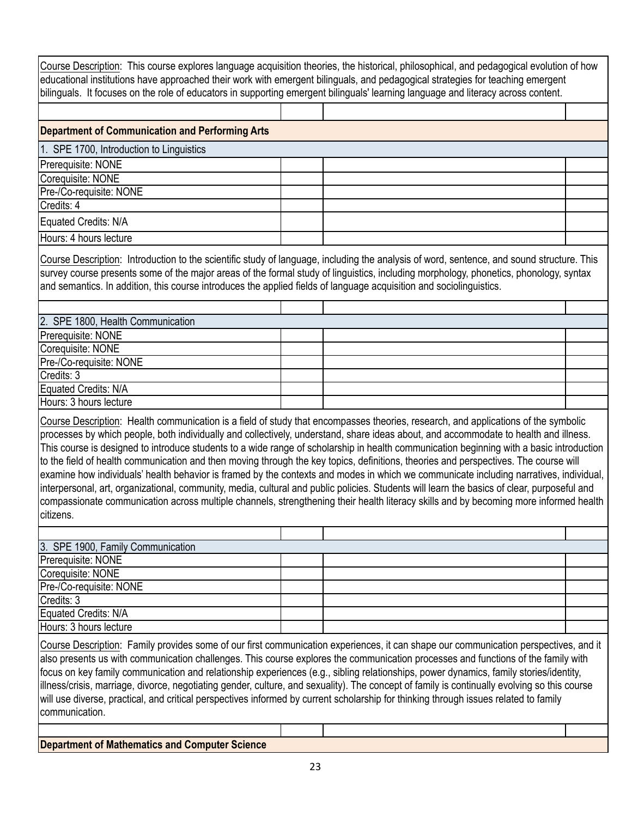Course Description: This course explores language acquisition theories, the historical, philosophical, and pedagogical evolution of how educational institutions have approached their work with emergent bilinguals, and pedagogical strategies for teaching emergent bilinguals. It focuses on the role of educators in supporting emergent bilinguals' learning language and literacy across content.

| Department of Communication and Performing Arts |  |  |
|-------------------------------------------------|--|--|
| 1. SPE 1700, Introduction to Linguistics        |  |  |
| Prerequisite: NONE                              |  |  |
| Corequisite: NONE                               |  |  |
| Pre-/Co-requisite: NONE                         |  |  |
| Credits: 4                                      |  |  |
| Equated Credits: N/A                            |  |  |
| Hours: 4 hours lecture                          |  |  |

Course Description: Introduction to the scientific study of language, including the analysis of word, sentence, and sound structure. This survey course presents some of the major areas of the formal study of linguistics, including morphology, phonetics, phonology, syntax and semantics. In addition, this course introduces the applied fields of language acquisition and sociolinguistics.

| 2. SPE 1800, Health Communication |  |  |  |  |
|-----------------------------------|--|--|--|--|
| Prerequisite: NONE                |  |  |  |  |
| Corequisite: NONE                 |  |  |  |  |
| Pre-/Co-requisite: NONE           |  |  |  |  |
| Credits: 3                        |  |  |  |  |
| Equated Credits: N/A              |  |  |  |  |
| Hours: 3 hours lecture            |  |  |  |  |

Course Description: Health communication is a field of study that encompasses theories, research, and applications of the symbolic processes by which people, both individually and collectively, understand, share ideas about, and accommodate to health and illness. This course is designed to introduce students to a wide range of scholarship in health communication beginning with a basic introduction to the field of health communication and then moving through the key topics, definitions, theories and perspectives. The course will examine how individuals' health behavior is framed by the contexts and modes in which we communicate including narratives, individual, interpersonal, art, organizational, community, media, cultural and public policies. Students will learn the basics of clear, purposeful and compassionate communication across multiple channels, strengthening their health literacy skills and by becoming more informed health citizens.

| 3. SPE 1900, Family Communication |  |  |  |
|-----------------------------------|--|--|--|
| Prerequisite: NONE                |  |  |  |
| Corequisite: NONE                 |  |  |  |
| Pre-/Co-requisite: NONE           |  |  |  |
| Credits: 3                        |  |  |  |
| Equated Credits: N/A              |  |  |  |
| Hours: 3 hours lecture            |  |  |  |

Course Description: Family provides some of our first communication experiences, it can shape our communication perspectives, and it also presents us with communication challenges. This course explores the communication processes and functions of the family with focus on key family communication and relationship experiences (e.g., sibling relationships, power dynamics, family stories/identity, illness/crisis, marriage, divorce, negotiating gender, culture, and sexuality). The concept of family is continually evolving so this course will use diverse, practical, and critical perspectives informed by current scholarship for thinking through issues related to family communication.

**Department of Mathematics and Computer Science**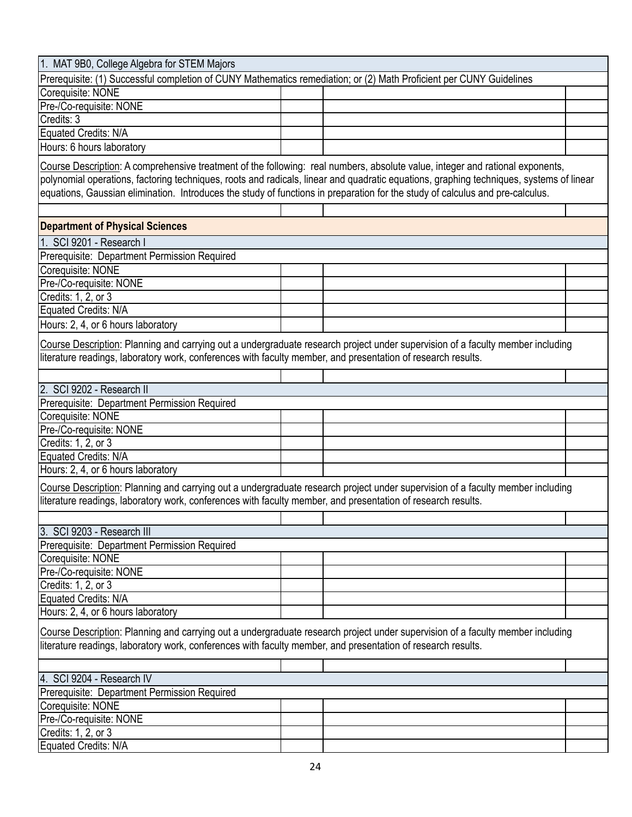| 1. MAT 9B0, College Algebra for STEM Majors                                                                                    |  |                                                                                                                                         |  |  |
|--------------------------------------------------------------------------------------------------------------------------------|--|-----------------------------------------------------------------------------------------------------------------------------------------|--|--|
| Prerequisite: (1) Successful completion of CUNY Mathematics remediation; or (2) Math Proficient per CUNY Guidelines            |  |                                                                                                                                         |  |  |
| Corequisite: NONE                                                                                                              |  |                                                                                                                                         |  |  |
| Pre-/Co-requisite: NONE                                                                                                        |  |                                                                                                                                         |  |  |
| Credits: 3                                                                                                                     |  |                                                                                                                                         |  |  |
| Equated Credits: N/A                                                                                                           |  |                                                                                                                                         |  |  |
| Hours: 6 hours laboratory                                                                                                      |  |                                                                                                                                         |  |  |
|                                                                                                                                |  |                                                                                                                                         |  |  |
| Course Description: A comprehensive treatment of the following: real numbers, absolute value, integer and rational exponents,  |  |                                                                                                                                         |  |  |
|                                                                                                                                |  | polynomial operations, factoring techniques, roots and radicals, linear and quadratic equations, graphing techniques, systems of linear |  |  |
| equations, Gaussian elimination. Introduces the study of functions in preparation for the study of calculus and pre-calculus.  |  |                                                                                                                                         |  |  |
|                                                                                                                                |  |                                                                                                                                         |  |  |
| <b>Department of Physical Sciences</b>                                                                                         |  |                                                                                                                                         |  |  |
|                                                                                                                                |  |                                                                                                                                         |  |  |
| 1. SCI 9201 - Research I                                                                                                       |  |                                                                                                                                         |  |  |
| Prerequisite: Department Permission Required                                                                                   |  |                                                                                                                                         |  |  |
| Corequisite: NONE                                                                                                              |  |                                                                                                                                         |  |  |
| Pre-/Co-requisite: NONE                                                                                                        |  |                                                                                                                                         |  |  |
| Credits: 1, 2, or 3                                                                                                            |  |                                                                                                                                         |  |  |
| Equated Credits: N/A                                                                                                           |  |                                                                                                                                         |  |  |
| Hours: 2, 4, or 6 hours laboratory                                                                                             |  |                                                                                                                                         |  |  |
|                                                                                                                                |  |                                                                                                                                         |  |  |
|                                                                                                                                |  | Course Description: Planning and carrying out a undergraduate research project under supervision of a faculty member including          |  |  |
| literature readings, laboratory work, conferences with faculty member, and presentation of research results.                   |  |                                                                                                                                         |  |  |
|                                                                                                                                |  |                                                                                                                                         |  |  |
| 2. SCI 9202 - Research II                                                                                                      |  |                                                                                                                                         |  |  |
| Prerequisite: Department Permission Required                                                                                   |  |                                                                                                                                         |  |  |
| Corequisite: NONE                                                                                                              |  |                                                                                                                                         |  |  |
| Pre-/Co-requisite: NONE                                                                                                        |  |                                                                                                                                         |  |  |
| Credits: 1, 2, or 3                                                                                                            |  |                                                                                                                                         |  |  |
| Equated Credits: N/A                                                                                                           |  |                                                                                                                                         |  |  |
| Hours: 2, 4, or 6 hours laboratory                                                                                             |  |                                                                                                                                         |  |  |
|                                                                                                                                |  |                                                                                                                                         |  |  |
|                                                                                                                                |  | Course Description: Planning and carrying out a undergraduate research project under supervision of a faculty member including          |  |  |
| literature readings, laboratory work, conferences with faculty member, and presentation of research results.                   |  |                                                                                                                                         |  |  |
|                                                                                                                                |  |                                                                                                                                         |  |  |
| 3. SCI 9203 - Research III                                                                                                     |  |                                                                                                                                         |  |  |
| Prerequisite: Department Permission Required                                                                                   |  |                                                                                                                                         |  |  |
| Corequisite: NONE                                                                                                              |  |                                                                                                                                         |  |  |
| Pre-/Co-requisite: NONE                                                                                                        |  |                                                                                                                                         |  |  |
| Credits: 1, 2, or 3                                                                                                            |  |                                                                                                                                         |  |  |
| Equated Credits: N/A                                                                                                           |  |                                                                                                                                         |  |  |
| Hours: 2, 4, or 6 hours laboratory                                                                                             |  |                                                                                                                                         |  |  |
|                                                                                                                                |  |                                                                                                                                         |  |  |
| Course Description: Planning and carrying out a undergraduate research project under supervision of a faculty member including |  |                                                                                                                                         |  |  |
| literature readings, laboratory work, conferences with faculty member, and presentation of research results.                   |  |                                                                                                                                         |  |  |
|                                                                                                                                |  |                                                                                                                                         |  |  |
| 4. SCI 9204 - Research IV                                                                                                      |  |                                                                                                                                         |  |  |
|                                                                                                                                |  |                                                                                                                                         |  |  |
| Prerequisite: Department Permission Required<br>Corequisite: NONE                                                              |  |                                                                                                                                         |  |  |
|                                                                                                                                |  |                                                                                                                                         |  |  |
| Pre-/Co-requisite: NONE                                                                                                        |  |                                                                                                                                         |  |  |
| Credits: 1, 2, or 3                                                                                                            |  |                                                                                                                                         |  |  |
| Equated Credits: N/A                                                                                                           |  |                                                                                                                                         |  |  |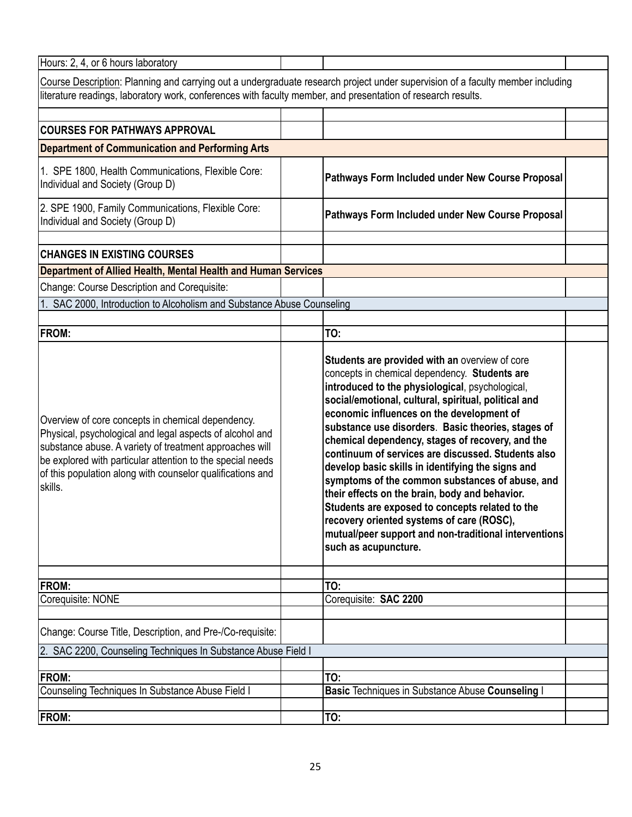| Hours: 2, 4, or 6 hours laboratory                                                                                                                                                                                                                                                                              |                                                                                                                                                                                                                                                                                                                                                                                                                                                                                                                                                                                                                                                                                                                                                                    |  |
|-----------------------------------------------------------------------------------------------------------------------------------------------------------------------------------------------------------------------------------------------------------------------------------------------------------------|--------------------------------------------------------------------------------------------------------------------------------------------------------------------------------------------------------------------------------------------------------------------------------------------------------------------------------------------------------------------------------------------------------------------------------------------------------------------------------------------------------------------------------------------------------------------------------------------------------------------------------------------------------------------------------------------------------------------------------------------------------------------|--|
| literature readings, laboratory work, conferences with faculty member, and presentation of research results.                                                                                                                                                                                                    | Course Description: Planning and carrying out a undergraduate research project under supervision of a faculty member including                                                                                                                                                                                                                                                                                                                                                                                                                                                                                                                                                                                                                                     |  |
| <b>COURSES FOR PATHWAYS APPROVAL</b>                                                                                                                                                                                                                                                                            |                                                                                                                                                                                                                                                                                                                                                                                                                                                                                                                                                                                                                                                                                                                                                                    |  |
| <b>Department of Communication and Performing Arts</b>                                                                                                                                                                                                                                                          |                                                                                                                                                                                                                                                                                                                                                                                                                                                                                                                                                                                                                                                                                                                                                                    |  |
|                                                                                                                                                                                                                                                                                                                 |                                                                                                                                                                                                                                                                                                                                                                                                                                                                                                                                                                                                                                                                                                                                                                    |  |
| 1. SPE 1800, Health Communications, Flexible Core:<br>Individual and Society (Group D)                                                                                                                                                                                                                          | Pathways Form Included under New Course Proposal                                                                                                                                                                                                                                                                                                                                                                                                                                                                                                                                                                                                                                                                                                                   |  |
| 2. SPE 1900, Family Communications, Flexible Core:<br>Individual and Society (Group D)                                                                                                                                                                                                                          | Pathways Form Included under New Course Proposal                                                                                                                                                                                                                                                                                                                                                                                                                                                                                                                                                                                                                                                                                                                   |  |
| <b>CHANGES IN EXISTING COURSES</b>                                                                                                                                                                                                                                                                              |                                                                                                                                                                                                                                                                                                                                                                                                                                                                                                                                                                                                                                                                                                                                                                    |  |
| Department of Allied Health, Mental Health and Human Services                                                                                                                                                                                                                                                   |                                                                                                                                                                                                                                                                                                                                                                                                                                                                                                                                                                                                                                                                                                                                                                    |  |
| Change: Course Description and Corequisite:                                                                                                                                                                                                                                                                     |                                                                                                                                                                                                                                                                                                                                                                                                                                                                                                                                                                                                                                                                                                                                                                    |  |
| 1. SAC 2000, Introduction to Alcoholism and Substance Abuse Counseling                                                                                                                                                                                                                                          |                                                                                                                                                                                                                                                                                                                                                                                                                                                                                                                                                                                                                                                                                                                                                                    |  |
|                                                                                                                                                                                                                                                                                                                 |                                                                                                                                                                                                                                                                                                                                                                                                                                                                                                                                                                                                                                                                                                                                                                    |  |
| <b>FROM:</b>                                                                                                                                                                                                                                                                                                    | TO:                                                                                                                                                                                                                                                                                                                                                                                                                                                                                                                                                                                                                                                                                                                                                                |  |
| Overview of core concepts in chemical dependency.<br>Physical, psychological and legal aspects of alcohol and<br>substance abuse. A variety of treatment approaches will<br>be explored with particular attention to the special needs<br>of this population along with counselor qualifications and<br>skills. | Students are provided with an overview of core<br>concepts in chemical dependency. Students are<br>introduced to the physiological, psychological,<br>social/emotional, cultural, spiritual, political and<br>economic influences on the development of<br>substance use disorders. Basic theories, stages of<br>chemical dependency, stages of recovery, and the<br>continuum of services are discussed. Students also<br>develop basic skills in identifying the signs and<br>symptoms of the common substances of abuse, and<br>their effects on the brain, body and behavior.<br>Students are exposed to concepts related to the<br>recovery oriented systems of care (ROSC),<br>mutual/peer support and non-traditional interventions<br>such as acupuncture. |  |
| <b>FROM:</b>                                                                                                                                                                                                                                                                                                    | TO:                                                                                                                                                                                                                                                                                                                                                                                                                                                                                                                                                                                                                                                                                                                                                                |  |
| Corequisite: NONE                                                                                                                                                                                                                                                                                               | Corequisite: SAC 2200                                                                                                                                                                                                                                                                                                                                                                                                                                                                                                                                                                                                                                                                                                                                              |  |
| Change: Course Title, Description, and Pre-/Co-requisite:                                                                                                                                                                                                                                                       |                                                                                                                                                                                                                                                                                                                                                                                                                                                                                                                                                                                                                                                                                                                                                                    |  |
| 2. SAC 2200, Counseling Techniques In Substance Abuse Field I                                                                                                                                                                                                                                                   |                                                                                                                                                                                                                                                                                                                                                                                                                                                                                                                                                                                                                                                                                                                                                                    |  |
| FROM:                                                                                                                                                                                                                                                                                                           | TO:                                                                                                                                                                                                                                                                                                                                                                                                                                                                                                                                                                                                                                                                                                                                                                |  |
| Counseling Techniques In Substance Abuse Field I                                                                                                                                                                                                                                                                | Basic Techniques in Substance Abuse Counseling I                                                                                                                                                                                                                                                                                                                                                                                                                                                                                                                                                                                                                                                                                                                   |  |
| <b>FROM:</b>                                                                                                                                                                                                                                                                                                    | TO:                                                                                                                                                                                                                                                                                                                                                                                                                                                                                                                                                                                                                                                                                                                                                                |  |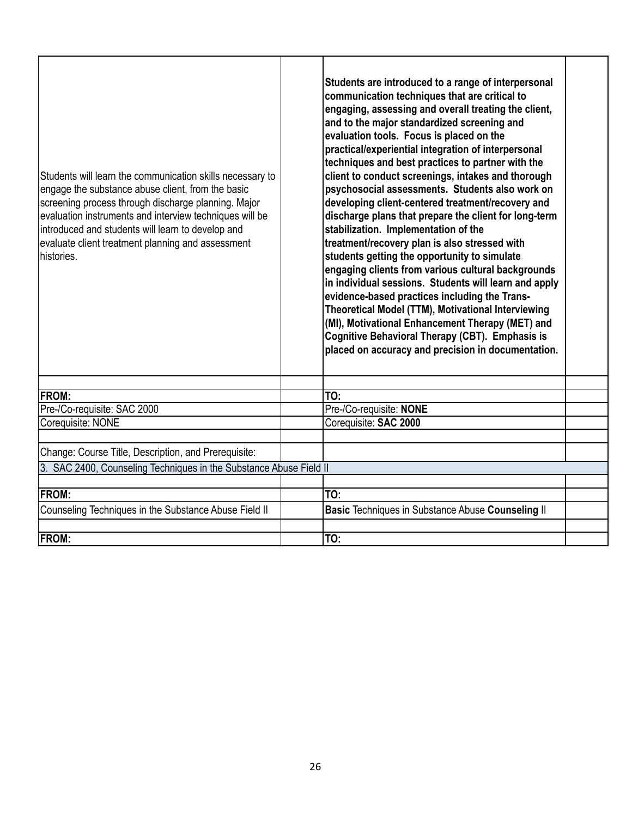| Students will learn the communication skills necessary to<br>engage the substance abuse client, from the basic<br>screening process through discharge planning. Major<br>evaluation instruments and interview techniques will be<br>introduced and students will learn to develop and<br>evaluate client treatment planning and assessment<br>Ihistories. | Students are introduced to a range of interpersonal<br>communication techniques that are critical to<br>engaging, assessing and overall treating the client,<br>and to the major standardized screening and<br>evaluation tools. Focus is placed on the<br>practical/experiential integration of interpersonal<br>techniques and best practices to partner with the<br>client to conduct screenings, intakes and thorough<br>psychosocial assessments. Students also work on<br>developing client-centered treatment/recovery and<br>discharge plans that prepare the client for long-term<br>stabilization. Implementation of the<br>treatment/recovery plan is also stressed with<br>students getting the opportunity to simulate<br>engaging clients from various cultural backgrounds<br>in individual sessions. Students will learn and apply<br>evidence-based practices including the Trans-<br>Theoretical Model (TTM), Motivational Interviewing<br>(MI), Motivational Enhancement Therapy (MET) and<br>Cognitive Behavioral Therapy (CBT). Emphasis is<br>placed on accuracy and precision in documentation. |  |
|-----------------------------------------------------------------------------------------------------------------------------------------------------------------------------------------------------------------------------------------------------------------------------------------------------------------------------------------------------------|------------------------------------------------------------------------------------------------------------------------------------------------------------------------------------------------------------------------------------------------------------------------------------------------------------------------------------------------------------------------------------------------------------------------------------------------------------------------------------------------------------------------------------------------------------------------------------------------------------------------------------------------------------------------------------------------------------------------------------------------------------------------------------------------------------------------------------------------------------------------------------------------------------------------------------------------------------------------------------------------------------------------------------------------------------------------------------------------------------------------|--|
| <b>FROM:</b>                                                                                                                                                                                                                                                                                                                                              | TO:                                                                                                                                                                                                                                                                                                                                                                                                                                                                                                                                                                                                                                                                                                                                                                                                                                                                                                                                                                                                                                                                                                                    |  |
| Pre-/Co-requisite: SAC 2000                                                                                                                                                                                                                                                                                                                               | Pre-/Co-requisite: NONE                                                                                                                                                                                                                                                                                                                                                                                                                                                                                                                                                                                                                                                                                                                                                                                                                                                                                                                                                                                                                                                                                                |  |
| Corequisite: NONE                                                                                                                                                                                                                                                                                                                                         | Corequisite: SAC 2000                                                                                                                                                                                                                                                                                                                                                                                                                                                                                                                                                                                                                                                                                                                                                                                                                                                                                                                                                                                                                                                                                                  |  |
| Change: Course Title, Description, and Prerequisite:                                                                                                                                                                                                                                                                                                      |                                                                                                                                                                                                                                                                                                                                                                                                                                                                                                                                                                                                                                                                                                                                                                                                                                                                                                                                                                                                                                                                                                                        |  |
| 3. SAC 2400, Counseling Techniques in the Substance Abuse Field II                                                                                                                                                                                                                                                                                        |                                                                                                                                                                                                                                                                                                                                                                                                                                                                                                                                                                                                                                                                                                                                                                                                                                                                                                                                                                                                                                                                                                                        |  |
| <b>FROM:</b>                                                                                                                                                                                                                                                                                                                                              | TO:                                                                                                                                                                                                                                                                                                                                                                                                                                                                                                                                                                                                                                                                                                                                                                                                                                                                                                                                                                                                                                                                                                                    |  |
| Counseling Techniques in the Substance Abuse Field II                                                                                                                                                                                                                                                                                                     | Basic Techniques in Substance Abuse Counseling II                                                                                                                                                                                                                                                                                                                                                                                                                                                                                                                                                                                                                                                                                                                                                                                                                                                                                                                                                                                                                                                                      |  |
| <b>FROM:</b>                                                                                                                                                                                                                                                                                                                                              | TO:                                                                                                                                                                                                                                                                                                                                                                                                                                                                                                                                                                                                                                                                                                                                                                                                                                                                                                                                                                                                                                                                                                                    |  |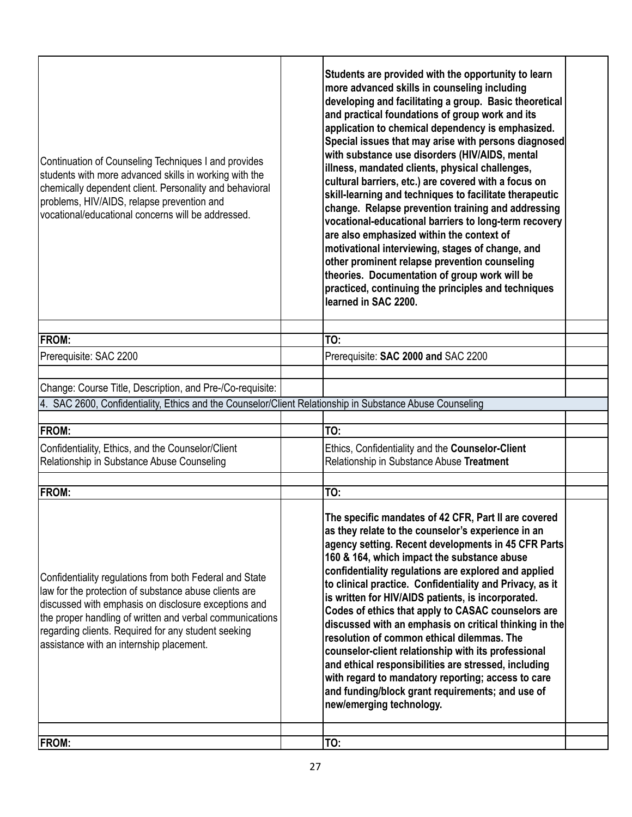| Continuation of Counseling Techniques I and provides<br>students with more advanced skills in working with the<br>chemically dependent client. Personality and behavioral<br>problems, HIV/AIDS, relapse prevention and<br>vocational/educational concerns will be addressed.                                                           | Students are provided with the opportunity to learn<br>more advanced skills in counseling including<br>developing and facilitating a group. Basic theoretical<br>and practical foundations of group work and its<br>application to chemical dependency is emphasized.<br>Special issues that may arise with persons diagnosed<br>with substance use disorders (HIV/AIDS, mental<br>illness, mandated clients, physical challenges,<br>cultural barriers, etc.) are covered with a focus on<br>skill-learning and techniques to facilitate therapeutic<br>change. Relapse prevention training and addressing<br>vocational-educational barriers to long-term recovery<br>are also emphasized within the context of<br>motivational interviewing, stages of change, and<br>other prominent relapse prevention counseling<br>theories. Documentation of group work will be<br>practiced, continuing the principles and techniques<br>learned in SAC 2200. |  |
|-----------------------------------------------------------------------------------------------------------------------------------------------------------------------------------------------------------------------------------------------------------------------------------------------------------------------------------------|--------------------------------------------------------------------------------------------------------------------------------------------------------------------------------------------------------------------------------------------------------------------------------------------------------------------------------------------------------------------------------------------------------------------------------------------------------------------------------------------------------------------------------------------------------------------------------------------------------------------------------------------------------------------------------------------------------------------------------------------------------------------------------------------------------------------------------------------------------------------------------------------------------------------------------------------------------|--|
| <b>FROM:</b>                                                                                                                                                                                                                                                                                                                            | TO:                                                                                                                                                                                                                                                                                                                                                                                                                                                                                                                                                                                                                                                                                                                                                                                                                                                                                                                                                    |  |
| Prerequisite: SAC 2200                                                                                                                                                                                                                                                                                                                  | Prerequisite: SAC 2000 and SAC 2200                                                                                                                                                                                                                                                                                                                                                                                                                                                                                                                                                                                                                                                                                                                                                                                                                                                                                                                    |  |
|                                                                                                                                                                                                                                                                                                                                         |                                                                                                                                                                                                                                                                                                                                                                                                                                                                                                                                                                                                                                                                                                                                                                                                                                                                                                                                                        |  |
| Change: Course Title, Description, and Pre-/Co-requisite:                                                                                                                                                                                                                                                                               |                                                                                                                                                                                                                                                                                                                                                                                                                                                                                                                                                                                                                                                                                                                                                                                                                                                                                                                                                        |  |
| 4. SAC 2600, Confidentiality, Ethics and the Counselor/Client Relationship in Substance Abuse Counseling                                                                                                                                                                                                                                |                                                                                                                                                                                                                                                                                                                                                                                                                                                                                                                                                                                                                                                                                                                                                                                                                                                                                                                                                        |  |
| <b>FROM:</b>                                                                                                                                                                                                                                                                                                                            | TO:                                                                                                                                                                                                                                                                                                                                                                                                                                                                                                                                                                                                                                                                                                                                                                                                                                                                                                                                                    |  |
| Confidentiality, Ethics, and the Counselor/Client                                                                                                                                                                                                                                                                                       | Ethics, Confidentiality and the Counselor-Client                                                                                                                                                                                                                                                                                                                                                                                                                                                                                                                                                                                                                                                                                                                                                                                                                                                                                                       |  |
| Relationship in Substance Abuse Counseling                                                                                                                                                                                                                                                                                              | Relationship in Substance Abuse Treatment                                                                                                                                                                                                                                                                                                                                                                                                                                                                                                                                                                                                                                                                                                                                                                                                                                                                                                              |  |
|                                                                                                                                                                                                                                                                                                                                         |                                                                                                                                                                                                                                                                                                                                                                                                                                                                                                                                                                                                                                                                                                                                                                                                                                                                                                                                                        |  |
| <b>FROM:</b>                                                                                                                                                                                                                                                                                                                            | TO:                                                                                                                                                                                                                                                                                                                                                                                                                                                                                                                                                                                                                                                                                                                                                                                                                                                                                                                                                    |  |
| Confidentiality regulations from both Federal and State<br>law for the protection of substance abuse clients are<br>discussed with emphasis on disclosure exceptions and<br>the proper handling of written and verbal communications<br>regarding clients. Required for any student seeking<br>assistance with an internship placement. | The specific mandates of 42 CFR, Part II are covered<br>as they relate to the counselor's experience in an<br>agency setting. Recent developments in 45 CFR Parts<br>160 & 164, which impact the substance abuse<br>confidentiality regulations are explored and applied<br>to clinical practice. Confidentiality and Privacy, as it<br>is written for HIV/AIDS patients, is incorporated.<br>Codes of ethics that apply to CASAC counselors are<br>discussed with an emphasis on critical thinking in the<br>resolution of common ethical dilemmas. The<br>counselor-client relationship with its professional<br>and ethical responsibilities are stressed, including<br>with regard to mandatory reporting; access to care<br>and funding/block grant requirements; and use of<br>new/emerging technology.                                                                                                                                          |  |
| <b>FROM:</b>                                                                                                                                                                                                                                                                                                                            | TO:                                                                                                                                                                                                                                                                                                                                                                                                                                                                                                                                                                                                                                                                                                                                                                                                                                                                                                                                                    |  |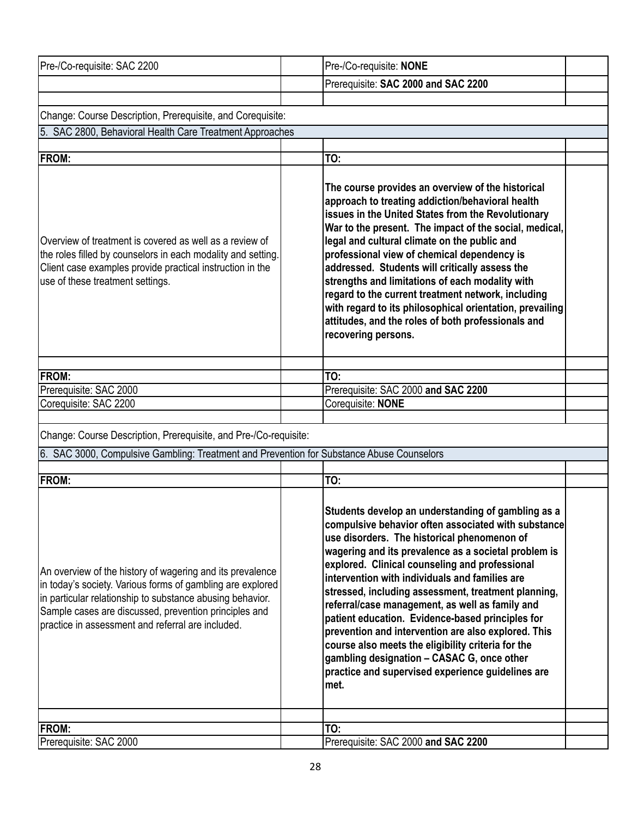| Pre-/Co-requisite: SAC 2200                                                                                                                                                                                                                                                                        | Pre-/Co-requisite: NONE                                                                                                                                                                                                                                                                                                                                                                                                                                                                                                                                                                                                                                                                                    |  |
|----------------------------------------------------------------------------------------------------------------------------------------------------------------------------------------------------------------------------------------------------------------------------------------------------|------------------------------------------------------------------------------------------------------------------------------------------------------------------------------------------------------------------------------------------------------------------------------------------------------------------------------------------------------------------------------------------------------------------------------------------------------------------------------------------------------------------------------------------------------------------------------------------------------------------------------------------------------------------------------------------------------------|--|
|                                                                                                                                                                                                                                                                                                    | Prerequisite: SAC 2000 and SAC 2200                                                                                                                                                                                                                                                                                                                                                                                                                                                                                                                                                                                                                                                                        |  |
|                                                                                                                                                                                                                                                                                                    |                                                                                                                                                                                                                                                                                                                                                                                                                                                                                                                                                                                                                                                                                                            |  |
| Change: Course Description, Prerequisite, and Corequisite:                                                                                                                                                                                                                                         |                                                                                                                                                                                                                                                                                                                                                                                                                                                                                                                                                                                                                                                                                                            |  |
| 5. SAC 2800, Behavioral Health Care Treatment Approaches                                                                                                                                                                                                                                           |                                                                                                                                                                                                                                                                                                                                                                                                                                                                                                                                                                                                                                                                                                            |  |
| <b>FROM:</b>                                                                                                                                                                                                                                                                                       | TO:                                                                                                                                                                                                                                                                                                                                                                                                                                                                                                                                                                                                                                                                                                        |  |
|                                                                                                                                                                                                                                                                                                    |                                                                                                                                                                                                                                                                                                                                                                                                                                                                                                                                                                                                                                                                                                            |  |
| Overview of treatment is covered as well as a review of<br>the roles filled by counselors in each modality and setting.<br>Client case examples provide practical instruction in the<br>use of these treatment settings.                                                                           | The course provides an overview of the historical<br>approach to treating addiction/behavioral health<br>issues in the United States from the Revolutionary<br>War to the present. The impact of the social, medical,<br>legal and cultural climate on the public and<br>professional view of chemical dependency is<br>addressed. Students will critically assess the<br>strengths and limitations of each modality with<br>regard to the current treatment network, including<br>with regard to its philosophical orientation, prevailing<br>attitudes, and the roles of both professionals and<br>recovering persons.                                                                                   |  |
| FROM:                                                                                                                                                                                                                                                                                              | TO:                                                                                                                                                                                                                                                                                                                                                                                                                                                                                                                                                                                                                                                                                                        |  |
| Prerequisite: SAC 2000                                                                                                                                                                                                                                                                             | Prerequisite: SAC 2000 and SAC 2200                                                                                                                                                                                                                                                                                                                                                                                                                                                                                                                                                                                                                                                                        |  |
| Corequisite: SAC 2200                                                                                                                                                                                                                                                                              | Corequisite: NONE                                                                                                                                                                                                                                                                                                                                                                                                                                                                                                                                                                                                                                                                                          |  |
|                                                                                                                                                                                                                                                                                                    |                                                                                                                                                                                                                                                                                                                                                                                                                                                                                                                                                                                                                                                                                                            |  |
| Change: Course Description, Prerequisite, and Pre-/Co-requisite:                                                                                                                                                                                                                                   |                                                                                                                                                                                                                                                                                                                                                                                                                                                                                                                                                                                                                                                                                                            |  |
| 6. SAC 3000, Compulsive Gambling: Treatment and Prevention for Substance Abuse Counselors                                                                                                                                                                                                          |                                                                                                                                                                                                                                                                                                                                                                                                                                                                                                                                                                                                                                                                                                            |  |
| <b>FROM:</b>                                                                                                                                                                                                                                                                                       | TO:                                                                                                                                                                                                                                                                                                                                                                                                                                                                                                                                                                                                                                                                                                        |  |
| An overview of the history of wagering and its prevalence<br>in today's society. Various forms of gambling are explored<br>in particular relationship to substance abusing behavior.<br>Sample cases are discussed, prevention principles and<br>practice in assessment and referral are included. | Students develop an understanding of gambling as a<br>compulsive behavior often associated with substance<br>use disorders. The historical phenomenon of<br>wagering and its prevalence as a societal problem is<br>explored. Clinical counseling and professional<br>intervention with individuals and families are<br>stressed, including assessment, treatment planning,<br>referral/case management, as well as family and<br>patient education. Evidence-based principles for<br>prevention and intervention are also explored. This<br>course also meets the eligibility criteria for the<br>gambling designation - CASAC G, once other<br>practice and supervised experience guidelines are<br>met. |  |
| FROM:                                                                                                                                                                                                                                                                                              | TO:                                                                                                                                                                                                                                                                                                                                                                                                                                                                                                                                                                                                                                                                                                        |  |
| Prerequisite: SAC 2000                                                                                                                                                                                                                                                                             | Prerequisite: SAC 2000 and SAC 2200                                                                                                                                                                                                                                                                                                                                                                                                                                                                                                                                                                                                                                                                        |  |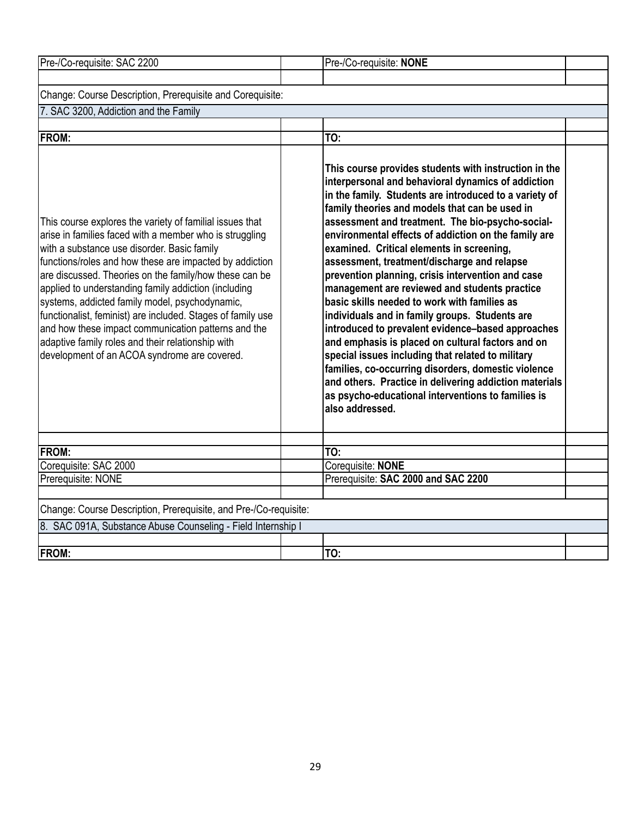| Pre-/Co-requisite: SAC 2200                                                                                                                                                                                                                                                                                                                                                                                                                                                                                                                                                                                                  | Pre-/Co-requisite: NONE                                                                                                                                                                                                                                                                                                                                                                                                                                                                                                                                                                                                                                                                                                                                                                                                                                                                                                                                                                          |  |
|------------------------------------------------------------------------------------------------------------------------------------------------------------------------------------------------------------------------------------------------------------------------------------------------------------------------------------------------------------------------------------------------------------------------------------------------------------------------------------------------------------------------------------------------------------------------------------------------------------------------------|--------------------------------------------------------------------------------------------------------------------------------------------------------------------------------------------------------------------------------------------------------------------------------------------------------------------------------------------------------------------------------------------------------------------------------------------------------------------------------------------------------------------------------------------------------------------------------------------------------------------------------------------------------------------------------------------------------------------------------------------------------------------------------------------------------------------------------------------------------------------------------------------------------------------------------------------------------------------------------------------------|--|
|                                                                                                                                                                                                                                                                                                                                                                                                                                                                                                                                                                                                                              |                                                                                                                                                                                                                                                                                                                                                                                                                                                                                                                                                                                                                                                                                                                                                                                                                                                                                                                                                                                                  |  |
| Change: Course Description, Prerequisite and Corequisite:                                                                                                                                                                                                                                                                                                                                                                                                                                                                                                                                                                    |                                                                                                                                                                                                                                                                                                                                                                                                                                                                                                                                                                                                                                                                                                                                                                                                                                                                                                                                                                                                  |  |
| 7. SAC 3200, Addiction and the Family                                                                                                                                                                                                                                                                                                                                                                                                                                                                                                                                                                                        |                                                                                                                                                                                                                                                                                                                                                                                                                                                                                                                                                                                                                                                                                                                                                                                                                                                                                                                                                                                                  |  |
|                                                                                                                                                                                                                                                                                                                                                                                                                                                                                                                                                                                                                              |                                                                                                                                                                                                                                                                                                                                                                                                                                                                                                                                                                                                                                                                                                                                                                                                                                                                                                                                                                                                  |  |
| <b>FROM:</b>                                                                                                                                                                                                                                                                                                                                                                                                                                                                                                                                                                                                                 | TO:                                                                                                                                                                                                                                                                                                                                                                                                                                                                                                                                                                                                                                                                                                                                                                                                                                                                                                                                                                                              |  |
| This course explores the variety of familial issues that<br>arise in families faced with a member who is struggling<br>with a substance use disorder. Basic family<br>functions/roles and how these are impacted by addiction<br>are discussed. Theories on the family/how these can be<br>applied to understanding family addiction (including<br>systems, addicted family model, psychodynamic,<br>functionalist, feminist) are included. Stages of family use<br>and how these impact communication patterns and the<br>adaptive family roles and their relationship with<br>development of an ACOA syndrome are covered. | This course provides students with instruction in the<br>interpersonal and behavioral dynamics of addiction<br>in the family. Students are introduced to a variety of<br>family theories and models that can be used in<br>assessment and treatment. The bio-psycho-social-<br>environmental effects of addiction on the family are<br>examined. Critical elements in screening,<br>assessment, treatment/discharge and relapse<br>prevention planning, crisis intervention and case<br>management are reviewed and students practice<br>basic skills needed to work with families as<br>individuals and in family groups. Students are<br>introduced to prevalent evidence-based approaches<br>and emphasis is placed on cultural factors and on<br>special issues including that related to military<br>families, co-occurring disorders, domestic violence<br>and others. Practice in delivering addiction materials<br>as psycho-educational interventions to families is<br>also addressed. |  |
| <b>FROM:</b>                                                                                                                                                                                                                                                                                                                                                                                                                                                                                                                                                                                                                 | TO:                                                                                                                                                                                                                                                                                                                                                                                                                                                                                                                                                                                                                                                                                                                                                                                                                                                                                                                                                                                              |  |
| Corequisite: SAC 2000                                                                                                                                                                                                                                                                                                                                                                                                                                                                                                                                                                                                        | Corequisite: NONE                                                                                                                                                                                                                                                                                                                                                                                                                                                                                                                                                                                                                                                                                                                                                                                                                                                                                                                                                                                |  |
| Prerequisite: NONE                                                                                                                                                                                                                                                                                                                                                                                                                                                                                                                                                                                                           | Prerequisite: SAC 2000 and SAC 2200                                                                                                                                                                                                                                                                                                                                                                                                                                                                                                                                                                                                                                                                                                                                                                                                                                                                                                                                                              |  |
|                                                                                                                                                                                                                                                                                                                                                                                                                                                                                                                                                                                                                              |                                                                                                                                                                                                                                                                                                                                                                                                                                                                                                                                                                                                                                                                                                                                                                                                                                                                                                                                                                                                  |  |
| Change: Course Description, Prerequisite, and Pre-/Co-requisite:                                                                                                                                                                                                                                                                                                                                                                                                                                                                                                                                                             |                                                                                                                                                                                                                                                                                                                                                                                                                                                                                                                                                                                                                                                                                                                                                                                                                                                                                                                                                                                                  |  |
| 8. SAC 091A, Substance Abuse Counseling - Field Internship I                                                                                                                                                                                                                                                                                                                                                                                                                                                                                                                                                                 |                                                                                                                                                                                                                                                                                                                                                                                                                                                                                                                                                                                                                                                                                                                                                                                                                                                                                                                                                                                                  |  |
|                                                                                                                                                                                                                                                                                                                                                                                                                                                                                                                                                                                                                              |                                                                                                                                                                                                                                                                                                                                                                                                                                                                                                                                                                                                                                                                                                                                                                                                                                                                                                                                                                                                  |  |
| <b>FROM:</b>                                                                                                                                                                                                                                                                                                                                                                                                                                                                                                                                                                                                                 | TO:                                                                                                                                                                                                                                                                                                                                                                                                                                                                                                                                                                                                                                                                                                                                                                                                                                                                                                                                                                                              |  |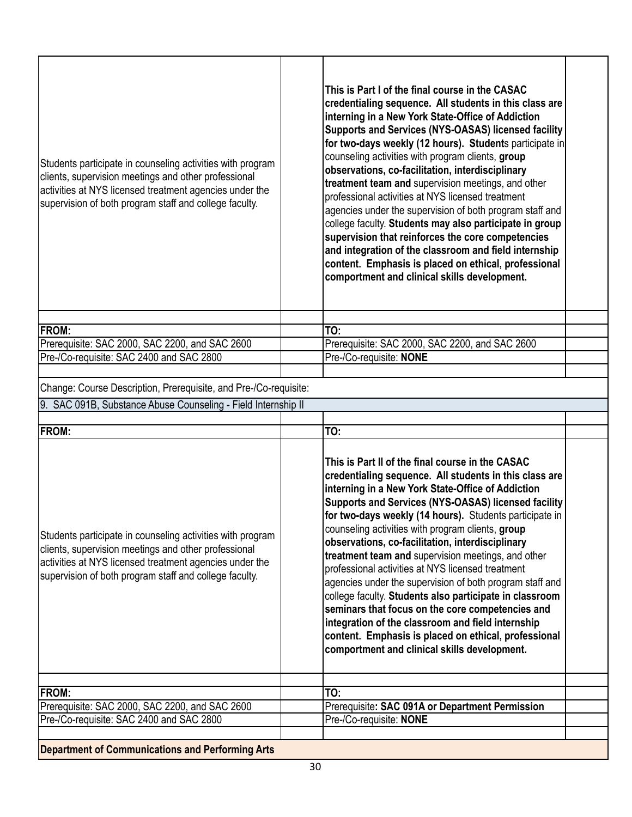| Students participate in counseling activities with program<br>clients, supervision meetings and other professional<br>activities at NYS licensed treatment agencies under the<br>supervision of both program staff and college faculty. | This is Part I of the final course in the CASAC<br>credentialing sequence. All students in this class are<br>interning in a New York State-Office of Addiction<br>Supports and Services (NYS-OASAS) licensed facility<br>for two-days weekly (12 hours). Students participate in<br>counseling activities with program clients, group<br>observations, co-facilitation, interdisciplinary<br>treatment team and supervision meetings, and other<br>professional activities at NYS licensed treatment<br>agencies under the supervision of both program staff and<br>college faculty. Students may also participate in group<br>supervision that reinforces the core competencies<br>and integration of the classroom and field internship<br>content. Emphasis is placed on ethical, professional<br>comportment and clinical skills development. |  |
|-----------------------------------------------------------------------------------------------------------------------------------------------------------------------------------------------------------------------------------------|---------------------------------------------------------------------------------------------------------------------------------------------------------------------------------------------------------------------------------------------------------------------------------------------------------------------------------------------------------------------------------------------------------------------------------------------------------------------------------------------------------------------------------------------------------------------------------------------------------------------------------------------------------------------------------------------------------------------------------------------------------------------------------------------------------------------------------------------------|--|
|                                                                                                                                                                                                                                         |                                                                                                                                                                                                                                                                                                                                                                                                                                                                                                                                                                                                                                                                                                                                                                                                                                                   |  |
| <b>FROM:</b>                                                                                                                                                                                                                            | TO:                                                                                                                                                                                                                                                                                                                                                                                                                                                                                                                                                                                                                                                                                                                                                                                                                                               |  |
| Prerequisite: SAC 2000, SAC 2200, and SAC 2600                                                                                                                                                                                          | Prerequisite: SAC 2000, SAC 2200, and SAC 2600                                                                                                                                                                                                                                                                                                                                                                                                                                                                                                                                                                                                                                                                                                                                                                                                    |  |
| Pre-/Co-requisite: SAC 2400 and SAC 2800                                                                                                                                                                                                | Pre-/Co-requisite: NONE                                                                                                                                                                                                                                                                                                                                                                                                                                                                                                                                                                                                                                                                                                                                                                                                                           |  |
|                                                                                                                                                                                                                                         |                                                                                                                                                                                                                                                                                                                                                                                                                                                                                                                                                                                                                                                                                                                                                                                                                                                   |  |
| Change: Course Description, Prerequisite, and Pre-/Co-requisite:                                                                                                                                                                        |                                                                                                                                                                                                                                                                                                                                                                                                                                                                                                                                                                                                                                                                                                                                                                                                                                                   |  |
| 9. SAC 091B, Substance Abuse Counseling - Field Internship II                                                                                                                                                                           |                                                                                                                                                                                                                                                                                                                                                                                                                                                                                                                                                                                                                                                                                                                                                                                                                                                   |  |
|                                                                                                                                                                                                                                         |                                                                                                                                                                                                                                                                                                                                                                                                                                                                                                                                                                                                                                                                                                                                                                                                                                                   |  |
| <b>FROM:</b>                                                                                                                                                                                                                            | TO:                                                                                                                                                                                                                                                                                                                                                                                                                                                                                                                                                                                                                                                                                                                                                                                                                                               |  |
| Students participate in counseling activities with program<br>clients, supervision meetings and other professional<br>activities at NYS licensed treatment agencies under the<br>supervision of both program staff and college faculty. | This is Part II of the final course in the CASAC<br>credentialing sequence. All students in this class are<br>interning in a New York State-Office of Addiction<br>Supports and Services (NYS-OASAS) licensed facility<br>for two-days weekly (14 hours). Students participate in<br>counseling activities with program clients, group<br>observations, co-facilitation, interdisciplinary<br>treatment team and supervision meetings, and other<br>professional activities at NYS licensed treatment<br>agencies under the supervision of both program staff and<br>college faculty. Students also participate in classroom<br>seminars that focus on the core competencies and<br>integration of the classroom and field internship<br>content. Emphasis is placed on ethical, professional<br>comportment and clinical skills development.     |  |
| <b>FROM:</b>                                                                                                                                                                                                                            | TO:                                                                                                                                                                                                                                                                                                                                                                                                                                                                                                                                                                                                                                                                                                                                                                                                                                               |  |
| Prerequisite: SAC 2000, SAC 2200, and SAC 2600                                                                                                                                                                                          | Prerequisite: SAC 091A or Department Permission                                                                                                                                                                                                                                                                                                                                                                                                                                                                                                                                                                                                                                                                                                                                                                                                   |  |
| Pre-/Co-requisite: SAC 2400 and SAC 2800                                                                                                                                                                                                | Pre-/Co-requisite: NONE                                                                                                                                                                                                                                                                                                                                                                                                                                                                                                                                                                                                                                                                                                                                                                                                                           |  |
|                                                                                                                                                                                                                                         |                                                                                                                                                                                                                                                                                                                                                                                                                                                                                                                                                                                                                                                                                                                                                                                                                                                   |  |
| <b>Department of Communications and Performing Arts</b>                                                                                                                                                                                 |                                                                                                                                                                                                                                                                                                                                                                                                                                                                                                                                                                                                                                                                                                                                                                                                                                                   |  |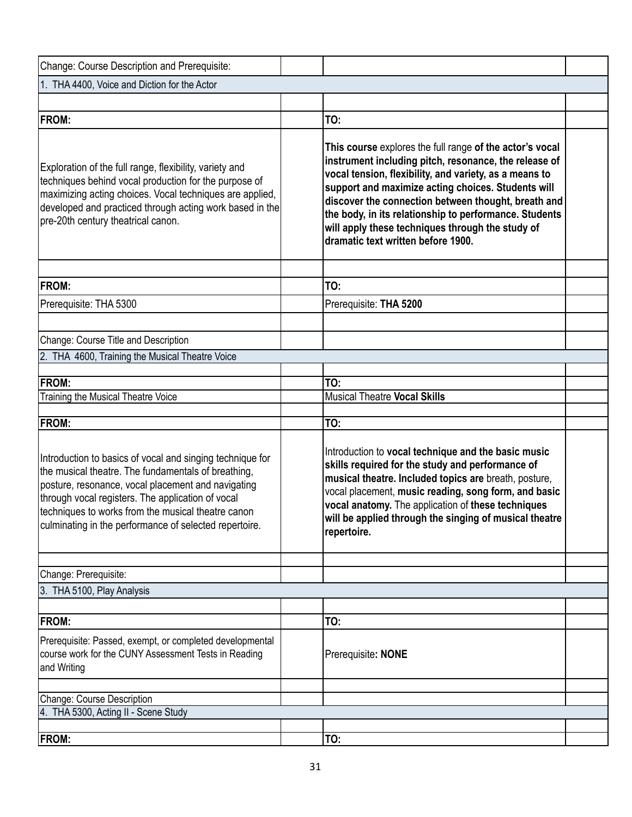| Change: Course Description and Prerequisite:                                                                                                                                                                                                                                                                                                |                                                                                                                                                                                                                                                                                                                                                                                                                                              |  |
|---------------------------------------------------------------------------------------------------------------------------------------------------------------------------------------------------------------------------------------------------------------------------------------------------------------------------------------------|----------------------------------------------------------------------------------------------------------------------------------------------------------------------------------------------------------------------------------------------------------------------------------------------------------------------------------------------------------------------------------------------------------------------------------------------|--|
| 1. THA 4400, Voice and Diction for the Actor                                                                                                                                                                                                                                                                                                |                                                                                                                                                                                                                                                                                                                                                                                                                                              |  |
|                                                                                                                                                                                                                                                                                                                                             |                                                                                                                                                                                                                                                                                                                                                                                                                                              |  |
| <b>FROM:</b>                                                                                                                                                                                                                                                                                                                                | TO:                                                                                                                                                                                                                                                                                                                                                                                                                                          |  |
| Exploration of the full range, flexibility, variety and<br>techniques behind vocal production for the purpose of<br>maximizing acting choices. Vocal techniques are applied,<br>developed and practiced through acting work based in the<br>pre-20th century theatrical canon.                                                              | This course explores the full range of the actor's vocal<br>instrument including pitch, resonance, the release of<br>vocal tension, flexibility, and variety, as a means to<br>support and maximize acting choices. Students will<br>discover the connection between thought, breath and<br>the body, in its relationship to performance. Students<br>will apply these techniques through the study of<br>dramatic text written before 1900. |  |
| <b>FROM:</b>                                                                                                                                                                                                                                                                                                                                | TO:                                                                                                                                                                                                                                                                                                                                                                                                                                          |  |
|                                                                                                                                                                                                                                                                                                                                             |                                                                                                                                                                                                                                                                                                                                                                                                                                              |  |
| Prerequisite: THA 5300                                                                                                                                                                                                                                                                                                                      | Prerequisite: THA 5200                                                                                                                                                                                                                                                                                                                                                                                                                       |  |
|                                                                                                                                                                                                                                                                                                                                             |                                                                                                                                                                                                                                                                                                                                                                                                                                              |  |
| Change: Course Title and Description                                                                                                                                                                                                                                                                                                        |                                                                                                                                                                                                                                                                                                                                                                                                                                              |  |
| 2. THA 4600, Training the Musical Theatre Voice                                                                                                                                                                                                                                                                                             |                                                                                                                                                                                                                                                                                                                                                                                                                                              |  |
|                                                                                                                                                                                                                                                                                                                                             |                                                                                                                                                                                                                                                                                                                                                                                                                                              |  |
| <b>FROM:</b>                                                                                                                                                                                                                                                                                                                                | TO:                                                                                                                                                                                                                                                                                                                                                                                                                                          |  |
| Training the Musical Theatre Voice                                                                                                                                                                                                                                                                                                          | <b>Musical Theatre Vocal Skills</b>                                                                                                                                                                                                                                                                                                                                                                                                          |  |
| <b>FROM:</b>                                                                                                                                                                                                                                                                                                                                | TO:                                                                                                                                                                                                                                                                                                                                                                                                                                          |  |
| Introduction to basics of vocal and singing technique for<br>the musical theatre. The fundamentals of breathing,<br>posture, resonance, vocal placement and navigating<br>through vocal registers. The application of vocal<br>techniques to works from the musical theatre canon<br>culminating in the performance of selected repertoire. | Introduction to vocal technique and the basic music<br>skills required for the study and performance of<br>musical theatre. Included topics are breath, posture,<br>vocal placement, music reading, song form, and basic<br>vocal anatomy. The application of these techniques<br>will be applied through the singing of musical theatre<br>repertoire.                                                                                      |  |
| Change: Prerequisite:                                                                                                                                                                                                                                                                                                                       |                                                                                                                                                                                                                                                                                                                                                                                                                                              |  |
| 3. THA 5100, Play Analysis                                                                                                                                                                                                                                                                                                                  |                                                                                                                                                                                                                                                                                                                                                                                                                                              |  |
|                                                                                                                                                                                                                                                                                                                                             |                                                                                                                                                                                                                                                                                                                                                                                                                                              |  |
| <b>FROM:</b>                                                                                                                                                                                                                                                                                                                                | TO:                                                                                                                                                                                                                                                                                                                                                                                                                                          |  |
| Prerequisite: Passed, exempt, or completed developmental<br>course work for the CUNY Assessment Tests in Reading<br>and Writing                                                                                                                                                                                                             | Prerequisite: NONE                                                                                                                                                                                                                                                                                                                                                                                                                           |  |
|                                                                                                                                                                                                                                                                                                                                             |                                                                                                                                                                                                                                                                                                                                                                                                                                              |  |
| Change: Course Description                                                                                                                                                                                                                                                                                                                  |                                                                                                                                                                                                                                                                                                                                                                                                                                              |  |
| 4. THA 5300, Acting II - Scene Study                                                                                                                                                                                                                                                                                                        |                                                                                                                                                                                                                                                                                                                                                                                                                                              |  |
|                                                                                                                                                                                                                                                                                                                                             |                                                                                                                                                                                                                                                                                                                                                                                                                                              |  |
| <b>FROM:</b>                                                                                                                                                                                                                                                                                                                                | TO:                                                                                                                                                                                                                                                                                                                                                                                                                                          |  |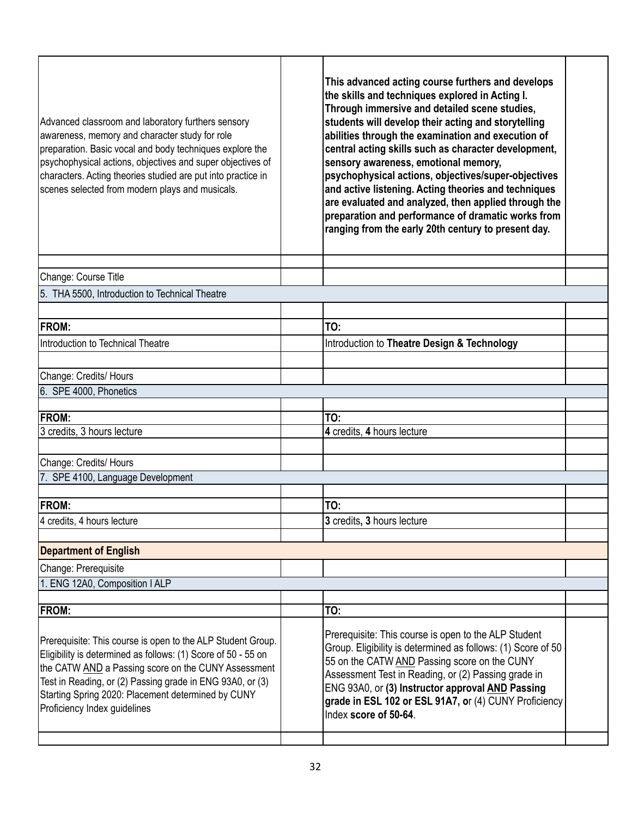| Advanced classroom and laboratory furthers sensory<br>awareness, memory and character study for role<br>preparation. Basic vocal and body techniques explore the<br>psychophysical actions, objectives and super objectives of<br>characters. Acting theories studied are put into practice in<br>scenes selected from modern plays and musicals. | This advanced acting course furthers and develops<br>the skills and techniques explored in Acting I.<br>Through immersive and detailed scene studies,<br>students will develop their acting and storytelling<br>abilities through the examination and execution of<br>central acting skills such as character development,<br>sensory awareness, emotional memory,<br>psychophysical actions, objectives/super-objectives<br>and active listening. Acting theories and techniques<br>are evaluated and analyzed, then applied through the<br>preparation and performance of dramatic works from<br>ranging from the early 20th century to present day. |  |
|---------------------------------------------------------------------------------------------------------------------------------------------------------------------------------------------------------------------------------------------------------------------------------------------------------------------------------------------------|--------------------------------------------------------------------------------------------------------------------------------------------------------------------------------------------------------------------------------------------------------------------------------------------------------------------------------------------------------------------------------------------------------------------------------------------------------------------------------------------------------------------------------------------------------------------------------------------------------------------------------------------------------|--|
| Change: Course Title                                                                                                                                                                                                                                                                                                                              |                                                                                                                                                                                                                                                                                                                                                                                                                                                                                                                                                                                                                                                        |  |
| 5. THA 5500, Introduction to Technical Theatre                                                                                                                                                                                                                                                                                                    |                                                                                                                                                                                                                                                                                                                                                                                                                                                                                                                                                                                                                                                        |  |
|                                                                                                                                                                                                                                                                                                                                                   |                                                                                                                                                                                                                                                                                                                                                                                                                                                                                                                                                                                                                                                        |  |
| <b>FROM:</b>                                                                                                                                                                                                                                                                                                                                      | TO:                                                                                                                                                                                                                                                                                                                                                                                                                                                                                                                                                                                                                                                    |  |
| Introduction to Technical Theatre                                                                                                                                                                                                                                                                                                                 | Introduction to Theatre Design & Technology                                                                                                                                                                                                                                                                                                                                                                                                                                                                                                                                                                                                            |  |
|                                                                                                                                                                                                                                                                                                                                                   |                                                                                                                                                                                                                                                                                                                                                                                                                                                                                                                                                                                                                                                        |  |
| Change: Credits/ Hours                                                                                                                                                                                                                                                                                                                            |                                                                                                                                                                                                                                                                                                                                                                                                                                                                                                                                                                                                                                                        |  |
| 6. SPE 4000, Phonetics                                                                                                                                                                                                                                                                                                                            |                                                                                                                                                                                                                                                                                                                                                                                                                                                                                                                                                                                                                                                        |  |
| FROM:                                                                                                                                                                                                                                                                                                                                             | TO:                                                                                                                                                                                                                                                                                                                                                                                                                                                                                                                                                                                                                                                    |  |
| 3 credits, 3 hours lecture                                                                                                                                                                                                                                                                                                                        | 4 credits, 4 hours lecture                                                                                                                                                                                                                                                                                                                                                                                                                                                                                                                                                                                                                             |  |
|                                                                                                                                                                                                                                                                                                                                                   |                                                                                                                                                                                                                                                                                                                                                                                                                                                                                                                                                                                                                                                        |  |
| Change: Credits/ Hours                                                                                                                                                                                                                                                                                                                            |                                                                                                                                                                                                                                                                                                                                                                                                                                                                                                                                                                                                                                                        |  |
| 7. SPE 4100, Language Development                                                                                                                                                                                                                                                                                                                 |                                                                                                                                                                                                                                                                                                                                                                                                                                                                                                                                                                                                                                                        |  |
|                                                                                                                                                                                                                                                                                                                                                   |                                                                                                                                                                                                                                                                                                                                                                                                                                                                                                                                                                                                                                                        |  |
| <b>FROM:</b>                                                                                                                                                                                                                                                                                                                                      | TO:                                                                                                                                                                                                                                                                                                                                                                                                                                                                                                                                                                                                                                                    |  |
| 4 credits, 4 hours lecture                                                                                                                                                                                                                                                                                                                        | 3 credits, 3 hours lecture                                                                                                                                                                                                                                                                                                                                                                                                                                                                                                                                                                                                                             |  |
| <b>Department of English</b>                                                                                                                                                                                                                                                                                                                      |                                                                                                                                                                                                                                                                                                                                                                                                                                                                                                                                                                                                                                                        |  |
| Change: Prerequisite                                                                                                                                                                                                                                                                                                                              |                                                                                                                                                                                                                                                                                                                                                                                                                                                                                                                                                                                                                                                        |  |
| 1. ENG 12A0, Composition I ALP                                                                                                                                                                                                                                                                                                                    |                                                                                                                                                                                                                                                                                                                                                                                                                                                                                                                                                                                                                                                        |  |
|                                                                                                                                                                                                                                                                                                                                                   |                                                                                                                                                                                                                                                                                                                                                                                                                                                                                                                                                                                                                                                        |  |
| FROM:                                                                                                                                                                                                                                                                                                                                             | TO:                                                                                                                                                                                                                                                                                                                                                                                                                                                                                                                                                                                                                                                    |  |
| Prerequisite: This course is open to the ALP Student Group.<br>Eligibility is determined as follows: (1) Score of 50 - 55 on<br>the CATW AND a Passing score on the CUNY Assessment<br>Test in Reading, or (2) Passing grade in ENG 93A0, or (3)<br>Starting Spring 2020: Placement determined by CUNY<br>Proficiency Index guidelines            | Prerequisite: This course is open to the ALP Student<br>Group. Eligibility is determined as follows: (1) Score of 50<br>55 on the CATW AND Passing score on the CUNY<br>Assessment Test in Reading, or (2) Passing grade in<br>ENG 93A0, or (3) Instructor approval AND Passing<br>grade in ESL 102 or ESL 91A7, or (4) CUNY Proficiency<br>Index score of 50-64.                                                                                                                                                                                                                                                                                      |  |
|                                                                                                                                                                                                                                                                                                                                                   |                                                                                                                                                                                                                                                                                                                                                                                                                                                                                                                                                                                                                                                        |  |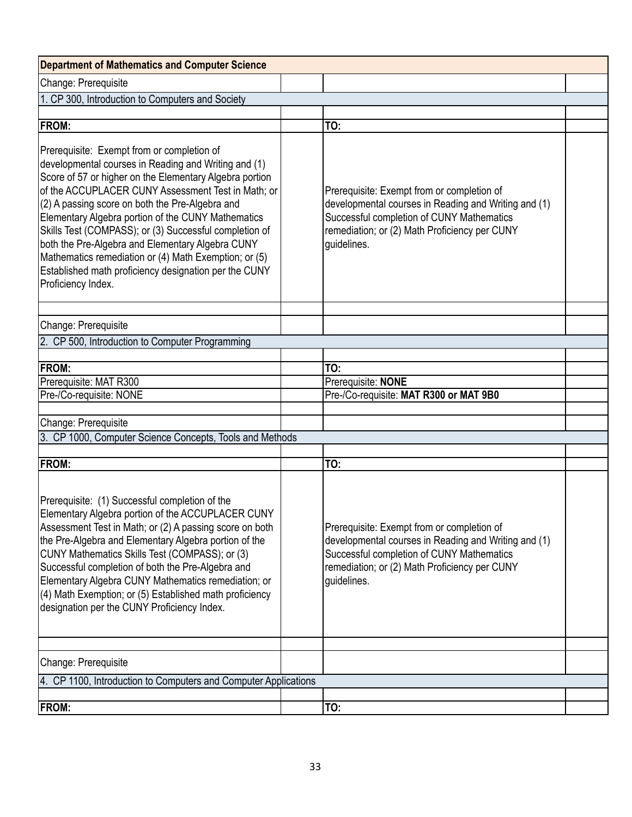| <b>Department of Mathematics and Computer Science</b>                                                                                                                                                                                                                                                                                                                                                                                                                                                                                                                              |                                                                                                                                                                                                                 |  |
|------------------------------------------------------------------------------------------------------------------------------------------------------------------------------------------------------------------------------------------------------------------------------------------------------------------------------------------------------------------------------------------------------------------------------------------------------------------------------------------------------------------------------------------------------------------------------------|-----------------------------------------------------------------------------------------------------------------------------------------------------------------------------------------------------------------|--|
| Change: Prerequisite                                                                                                                                                                                                                                                                                                                                                                                                                                                                                                                                                               |                                                                                                                                                                                                                 |  |
| 1. CP 300, Introduction to Computers and Society                                                                                                                                                                                                                                                                                                                                                                                                                                                                                                                                   |                                                                                                                                                                                                                 |  |
|                                                                                                                                                                                                                                                                                                                                                                                                                                                                                                                                                                                    |                                                                                                                                                                                                                 |  |
| <b>FROM:</b>                                                                                                                                                                                                                                                                                                                                                                                                                                                                                                                                                                       | TO:                                                                                                                                                                                                             |  |
| Prerequisite: Exempt from or completion of<br>developmental courses in Reading and Writing and (1)<br>Score of 57 or higher on the Elementary Algebra portion<br>of the ACCUPLACER CUNY Assessment Test in Math; or<br>(2) A passing score on both the Pre-Algebra and<br>Elementary Algebra portion of the CUNY Mathematics<br>Skills Test (COMPASS); or (3) Successful completion of<br>both the Pre-Algebra and Elementary Algebra CUNY<br>Mathematics remediation or (4) Math Exemption; or (5)<br>Established math proficiency designation per the CUNY<br>Proficiency Index. | Prerequisite: Exempt from or completion of<br>developmental courses in Reading and Writing and (1)<br>Successful completion of CUNY Mathematics<br>remediation; or (2) Math Proficiency per CUNY<br>guidelines. |  |
| Change: Prerequisite                                                                                                                                                                                                                                                                                                                                                                                                                                                                                                                                                               |                                                                                                                                                                                                                 |  |
| 2. CP 500, Introduction to Computer Programming                                                                                                                                                                                                                                                                                                                                                                                                                                                                                                                                    |                                                                                                                                                                                                                 |  |
|                                                                                                                                                                                                                                                                                                                                                                                                                                                                                                                                                                                    |                                                                                                                                                                                                                 |  |
| <b>FROM:</b>                                                                                                                                                                                                                                                                                                                                                                                                                                                                                                                                                                       | TO:                                                                                                                                                                                                             |  |
| Prerequisite: MAT R300                                                                                                                                                                                                                                                                                                                                                                                                                                                                                                                                                             | Prerequisite: NONE                                                                                                                                                                                              |  |
| Pre-/Co-requisite: NONE                                                                                                                                                                                                                                                                                                                                                                                                                                                                                                                                                            | Pre-/Co-requisite: MAT R300 or MAT 9B0                                                                                                                                                                          |  |
|                                                                                                                                                                                                                                                                                                                                                                                                                                                                                                                                                                                    |                                                                                                                                                                                                                 |  |
| Change: Prerequisite                                                                                                                                                                                                                                                                                                                                                                                                                                                                                                                                                               |                                                                                                                                                                                                                 |  |
| 3. CP 1000, Computer Science Concepts, Tools and Methods                                                                                                                                                                                                                                                                                                                                                                                                                                                                                                                           |                                                                                                                                                                                                                 |  |
|                                                                                                                                                                                                                                                                                                                                                                                                                                                                                                                                                                                    |                                                                                                                                                                                                                 |  |
| <b>FROM:</b>                                                                                                                                                                                                                                                                                                                                                                                                                                                                                                                                                                       | TO:                                                                                                                                                                                                             |  |
| Prerequisite: (1) Successful completion of the<br>Elementary Algebra portion of the ACCUPLACER CUNY<br>Assessment Test in Math; or (2) A passing score on both<br>the Pre-Algebra and Elementary Algebra portion of the<br>CUNY Mathematics Skills Test (COMPASS); or (3)<br>Successful completion of both the Pre-Algebra and<br>Elementary Algebra CUNY Mathematics remediation; or<br>(4) Math Exemption; or (5) Established math proficiency<br>designation per the CUNY Proficiency Index.                                                                                    | Prerequisite: Exempt from or completion of<br>developmental courses in Reading and Writing and (1)<br>Successful completion of CUNY Mathematics<br>remediation; or (2) Math Proficiency per CUNY<br>quidelines. |  |
|                                                                                                                                                                                                                                                                                                                                                                                                                                                                                                                                                                                    |                                                                                                                                                                                                                 |  |
| Change: Prerequisite                                                                                                                                                                                                                                                                                                                                                                                                                                                                                                                                                               |                                                                                                                                                                                                                 |  |
| 4. CP 1100, Introduction to Computers and Computer Applications                                                                                                                                                                                                                                                                                                                                                                                                                                                                                                                    |                                                                                                                                                                                                                 |  |
| <b>FROM:</b>                                                                                                                                                                                                                                                                                                                                                                                                                                                                                                                                                                       | TO:                                                                                                                                                                                                             |  |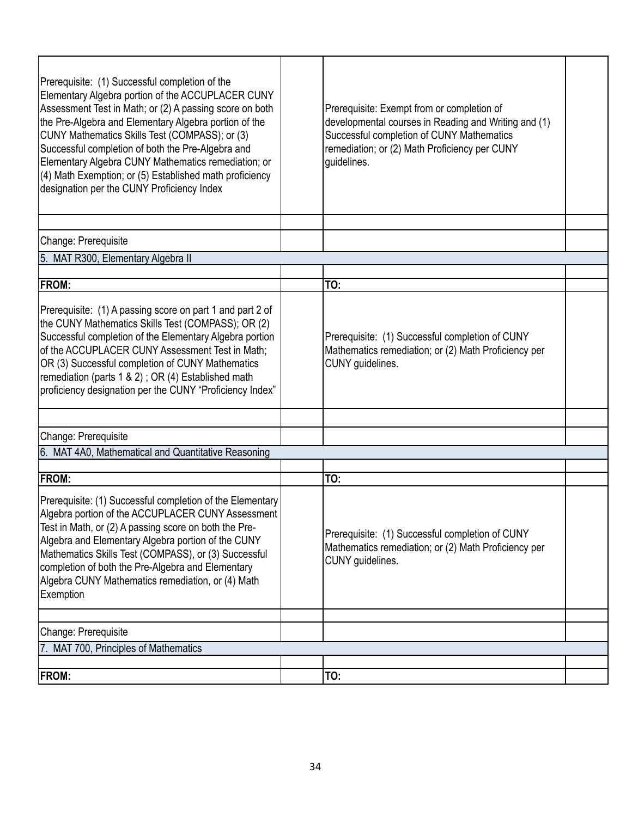| Prerequisite: (1) Successful completion of the<br>Elementary Algebra portion of the ACCUPLACER CUNY<br>Assessment Test in Math; or (2) A passing score on both<br>the Pre-Algebra and Elementary Algebra portion of the<br>CUNY Mathematics Skills Test (COMPASS); or (3)<br>Successful completion of both the Pre-Algebra and<br>Elementary Algebra CUNY Mathematics remediation; or<br>(4) Math Exemption; or (5) Established math proficiency<br>designation per the CUNY Proficiency Index | Prerequisite: Exempt from or completion of<br>developmental courses in Reading and Writing and (1)<br>Successful completion of CUNY Mathematics<br>remediation; or (2) Math Proficiency per CUNY<br>guidelines. |  |
|------------------------------------------------------------------------------------------------------------------------------------------------------------------------------------------------------------------------------------------------------------------------------------------------------------------------------------------------------------------------------------------------------------------------------------------------------------------------------------------------|-----------------------------------------------------------------------------------------------------------------------------------------------------------------------------------------------------------------|--|
| Change: Prerequisite                                                                                                                                                                                                                                                                                                                                                                                                                                                                           |                                                                                                                                                                                                                 |  |
| 5. MAT R300, Elementary Algebra II                                                                                                                                                                                                                                                                                                                                                                                                                                                             |                                                                                                                                                                                                                 |  |
|                                                                                                                                                                                                                                                                                                                                                                                                                                                                                                |                                                                                                                                                                                                                 |  |
| <b>FROM:</b>                                                                                                                                                                                                                                                                                                                                                                                                                                                                                   | TO:                                                                                                                                                                                                             |  |
| Prerequisite: (1) A passing score on part 1 and part 2 of<br>the CUNY Mathematics Skills Test (COMPASS); OR (2)<br>Successful completion of the Elementary Algebra portion<br>of the ACCUPLACER CUNY Assessment Test in Math;<br>OR (3) Successful completion of CUNY Mathematics<br>remediation (parts 1 & 2); OR (4) Established math<br>proficiency designation per the CUNY "Proficiency Index"                                                                                            | Prerequisite: (1) Successful completion of CUNY<br>Mathematics remediation; or (2) Math Proficiency per<br>CUNY guidelines.                                                                                     |  |
| Change: Prerequisite                                                                                                                                                                                                                                                                                                                                                                                                                                                                           |                                                                                                                                                                                                                 |  |
| 6. MAT 4A0, Mathematical and Quantitative Reasoning                                                                                                                                                                                                                                                                                                                                                                                                                                            |                                                                                                                                                                                                                 |  |
|                                                                                                                                                                                                                                                                                                                                                                                                                                                                                                |                                                                                                                                                                                                                 |  |
| <b>FROM:</b>                                                                                                                                                                                                                                                                                                                                                                                                                                                                                   | TO:                                                                                                                                                                                                             |  |
| Prerequisite: (1) Successful completion of the Elementary<br>Algebra portion of the ACCUPLACER CUNY Assessment<br>Test in Math, or (2) A passing score on both the Pre-<br>Algebra and Elementary Algebra portion of the CUNY<br>Mathematics Skills Test (COMPASS), or (3) Successful<br>completion of both the Pre-Algebra and Elementary<br>Algebra CUNY Mathematics remediation, or (4) Math<br><b>Exemption</b>                                                                            | Prerequisite: (1) Successful completion of CUNY<br>Mathematics remediation; or (2) Math Proficiency per<br>CUNY guidelines.                                                                                     |  |
|                                                                                                                                                                                                                                                                                                                                                                                                                                                                                                |                                                                                                                                                                                                                 |  |
| Change: Prerequisite                                                                                                                                                                                                                                                                                                                                                                                                                                                                           |                                                                                                                                                                                                                 |  |
| 7. MAT 700, Principles of Mathematics                                                                                                                                                                                                                                                                                                                                                                                                                                                          |                                                                                                                                                                                                                 |  |
| <b>FROM:</b>                                                                                                                                                                                                                                                                                                                                                                                                                                                                                   | TO:                                                                                                                                                                                                             |  |
|                                                                                                                                                                                                                                                                                                                                                                                                                                                                                                |                                                                                                                                                                                                                 |  |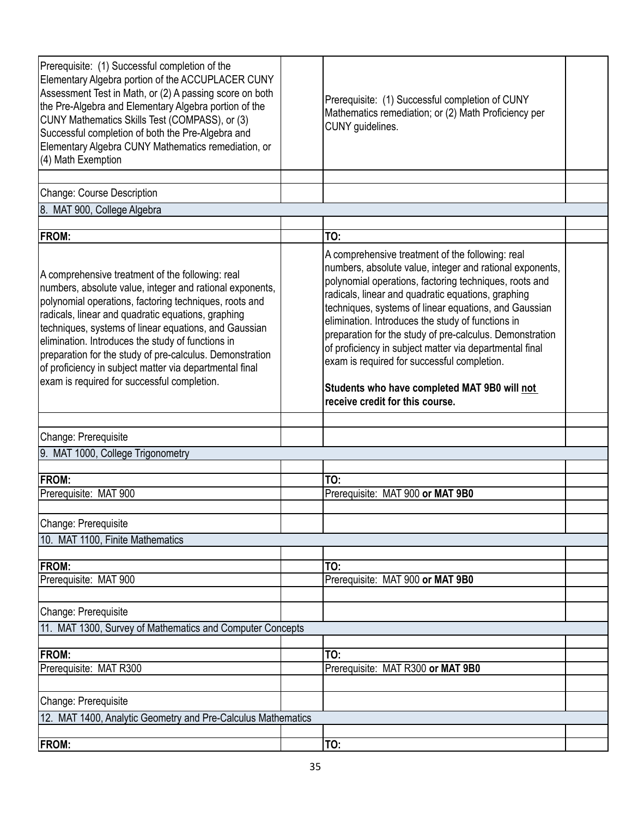| Prerequisite: (1) Successful completion of the<br>Elementary Algebra portion of the ACCUPLACER CUNY<br>Assessment Test in Math, or (2) A passing score on both<br>the Pre-Algebra and Elementary Algebra portion of the<br>CUNY Mathematics Skills Test (COMPASS), or (3)<br>Successful completion of both the Pre-Algebra and<br>Elementary Algebra CUNY Mathematics remediation, or<br>(4) Math Exemption                                                                                                      | Prerequisite: (1) Successful completion of CUNY<br>Mathematics remediation; or (2) Math Proficiency per<br>CUNY guidelines.                                                                                                                                                                                                                                                                                                                                                                                                                                                                         |  |  |
|------------------------------------------------------------------------------------------------------------------------------------------------------------------------------------------------------------------------------------------------------------------------------------------------------------------------------------------------------------------------------------------------------------------------------------------------------------------------------------------------------------------|-----------------------------------------------------------------------------------------------------------------------------------------------------------------------------------------------------------------------------------------------------------------------------------------------------------------------------------------------------------------------------------------------------------------------------------------------------------------------------------------------------------------------------------------------------------------------------------------------------|--|--|
| Change: Course Description                                                                                                                                                                                                                                                                                                                                                                                                                                                                                       |                                                                                                                                                                                                                                                                                                                                                                                                                                                                                                                                                                                                     |  |  |
| 8. MAT 900, College Algebra                                                                                                                                                                                                                                                                                                                                                                                                                                                                                      |                                                                                                                                                                                                                                                                                                                                                                                                                                                                                                                                                                                                     |  |  |
|                                                                                                                                                                                                                                                                                                                                                                                                                                                                                                                  |                                                                                                                                                                                                                                                                                                                                                                                                                                                                                                                                                                                                     |  |  |
| <b>FROM:</b>                                                                                                                                                                                                                                                                                                                                                                                                                                                                                                     | TO:                                                                                                                                                                                                                                                                                                                                                                                                                                                                                                                                                                                                 |  |  |
| A comprehensive treatment of the following: real<br>numbers, absolute value, integer and rational exponents,<br>polynomial operations, factoring techniques, roots and<br>radicals, linear and quadratic equations, graphing<br>techniques, systems of linear equations, and Gaussian<br>elimination. Introduces the study of functions in<br>preparation for the study of pre-calculus. Demonstration<br>of proficiency in subject matter via departmental final<br>exam is required for successful completion. | A comprehensive treatment of the following: real<br>numbers, absolute value, integer and rational exponents,<br>polynomial operations, factoring techniques, roots and<br>radicals, linear and quadratic equations, graphing<br>techniques, systems of linear equations, and Gaussian<br>elimination. Introduces the study of functions in<br>preparation for the study of pre-calculus. Demonstration<br>of proficiency in subject matter via departmental final<br>exam is required for successful completion.<br>Students who have completed MAT 9B0 will not<br>receive credit for this course. |  |  |
| Change: Prerequisite                                                                                                                                                                                                                                                                                                                                                                                                                                                                                             |                                                                                                                                                                                                                                                                                                                                                                                                                                                                                                                                                                                                     |  |  |
| 9. MAT 1000, College Trigonometry                                                                                                                                                                                                                                                                                                                                                                                                                                                                                |                                                                                                                                                                                                                                                                                                                                                                                                                                                                                                                                                                                                     |  |  |
|                                                                                                                                                                                                                                                                                                                                                                                                                                                                                                                  |                                                                                                                                                                                                                                                                                                                                                                                                                                                                                                                                                                                                     |  |  |
| <b>FROM:</b><br>Prerequisite: MAT 900                                                                                                                                                                                                                                                                                                                                                                                                                                                                            | TO:<br>Prerequisite: MAT 900 or MAT 9B0                                                                                                                                                                                                                                                                                                                                                                                                                                                                                                                                                             |  |  |
|                                                                                                                                                                                                                                                                                                                                                                                                                                                                                                                  |                                                                                                                                                                                                                                                                                                                                                                                                                                                                                                                                                                                                     |  |  |
| Change: Prerequisite                                                                                                                                                                                                                                                                                                                                                                                                                                                                                             |                                                                                                                                                                                                                                                                                                                                                                                                                                                                                                                                                                                                     |  |  |
| 10. MAT 1100, Finite Mathematics                                                                                                                                                                                                                                                                                                                                                                                                                                                                                 |                                                                                                                                                                                                                                                                                                                                                                                                                                                                                                                                                                                                     |  |  |
|                                                                                                                                                                                                                                                                                                                                                                                                                                                                                                                  |                                                                                                                                                                                                                                                                                                                                                                                                                                                                                                                                                                                                     |  |  |
| <b>FROM:</b>                                                                                                                                                                                                                                                                                                                                                                                                                                                                                                     | TO:                                                                                                                                                                                                                                                                                                                                                                                                                                                                                                                                                                                                 |  |  |
| Prerequisite: MAT 900                                                                                                                                                                                                                                                                                                                                                                                                                                                                                            | Prerequisite: MAT 900 or MAT 9B0                                                                                                                                                                                                                                                                                                                                                                                                                                                                                                                                                                    |  |  |
|                                                                                                                                                                                                                                                                                                                                                                                                                                                                                                                  |                                                                                                                                                                                                                                                                                                                                                                                                                                                                                                                                                                                                     |  |  |
| Change: Prerequisite                                                                                                                                                                                                                                                                                                                                                                                                                                                                                             |                                                                                                                                                                                                                                                                                                                                                                                                                                                                                                                                                                                                     |  |  |
| 11. MAT 1300, Survey of Mathematics and Computer Concepts                                                                                                                                                                                                                                                                                                                                                                                                                                                        |                                                                                                                                                                                                                                                                                                                                                                                                                                                                                                                                                                                                     |  |  |
| <b>FROM:</b>                                                                                                                                                                                                                                                                                                                                                                                                                                                                                                     | TO:                                                                                                                                                                                                                                                                                                                                                                                                                                                                                                                                                                                                 |  |  |
| Prerequisite: MAT R300                                                                                                                                                                                                                                                                                                                                                                                                                                                                                           | Prerequisite: MAT R300 or MAT 9B0                                                                                                                                                                                                                                                                                                                                                                                                                                                                                                                                                                   |  |  |
|                                                                                                                                                                                                                                                                                                                                                                                                                                                                                                                  |                                                                                                                                                                                                                                                                                                                                                                                                                                                                                                                                                                                                     |  |  |
| Change: Prerequisite                                                                                                                                                                                                                                                                                                                                                                                                                                                                                             |                                                                                                                                                                                                                                                                                                                                                                                                                                                                                                                                                                                                     |  |  |
| 12. MAT 1400, Analytic Geometry and Pre-Calculus Mathematics                                                                                                                                                                                                                                                                                                                                                                                                                                                     |                                                                                                                                                                                                                                                                                                                                                                                                                                                                                                                                                                                                     |  |  |
|                                                                                                                                                                                                                                                                                                                                                                                                                                                                                                                  |                                                                                                                                                                                                                                                                                                                                                                                                                                                                                                                                                                                                     |  |  |
| <b>FROM:</b>                                                                                                                                                                                                                                                                                                                                                                                                                                                                                                     | TO:                                                                                                                                                                                                                                                                                                                                                                                                                                                                                                                                                                                                 |  |  |